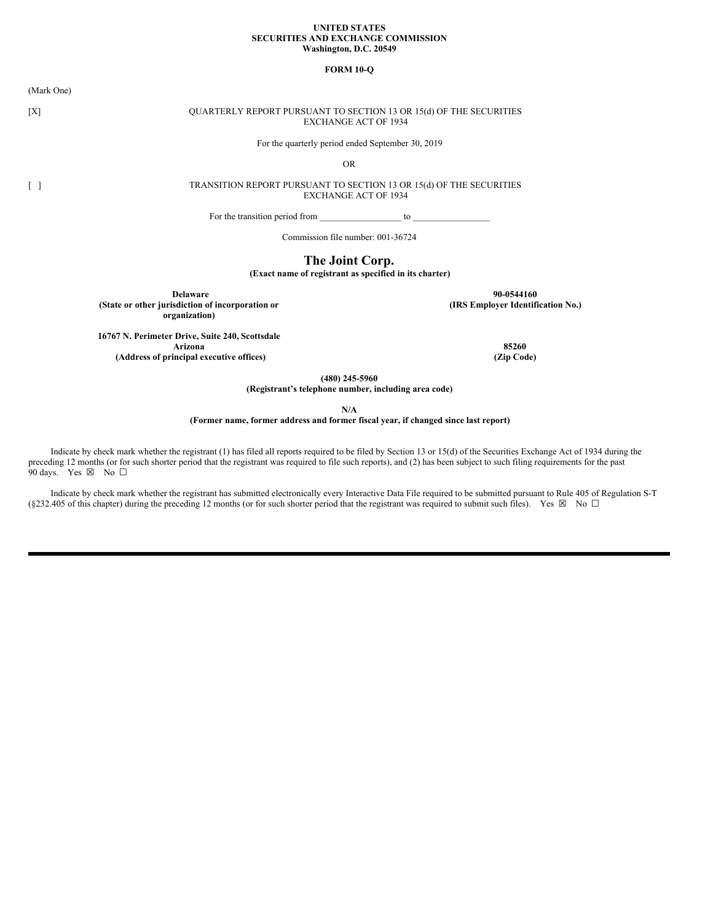### **UNITED STATES SECURITIES AND EXCHANGE COMMISSION Washington, D.C. 20549**

# **FORM 10-Q**

(Mark One)

# [X] QUARTERLY REPORT PURSUANT TO SECTION 13 OR 15(d) OF THE SECURITIES EXCHANGE ACT OF 1934

For the quarterly period ended September 30, 2019

OR

[ ] TRANSITION REPORT PURSUANT TO SECTION 13 OR 15(d) OF THE SECURITIES EXCHANGE ACT OF 1934

For the transition period from  $\frac{1}{\sqrt{2\pi}}$  to  $\frac{1}{\sqrt{2\pi}}$ 

Commission file number: 001-36724

# **The Joint Corp.**

**(Exact name of registrant as specified in its charter)**

**Delaware 90-0544160 (State or other jurisdiction of incorporation or organization)**

**16767 N. Perimeter Drive, Suite 240, Scottsdale Arizona 85260 (Address of principal executive offices) (Zip Code)**

**(IRS Employer Identification No.)**

**(480) 245-5960**

**(Registrant's telephone number, including area code)**

**N/A**

**(Former name, former address and former fiscal year, if changed since last report)**

Indicate by check mark whether the registrant (1) has filed all reports required to be filed by Section 13 or 15(d) of the Securities Exchange Act of 1934 during the preceding 12 months (or for such shorter period that the registrant was required to file such reports), and (2) has been subject to such filing requirements for the past 90 days. Yes ⊠ No □

Indicate by check mark whether the registrant has submitted electronically every Interactive Data File required to be submitted pursuant to Rule 405 of Regulation S-T (§232.405 of this chapter) during the preceding 12 months (or for such shorter period that the registrant was required to submit such files). Yes ⊠ No  $\Box$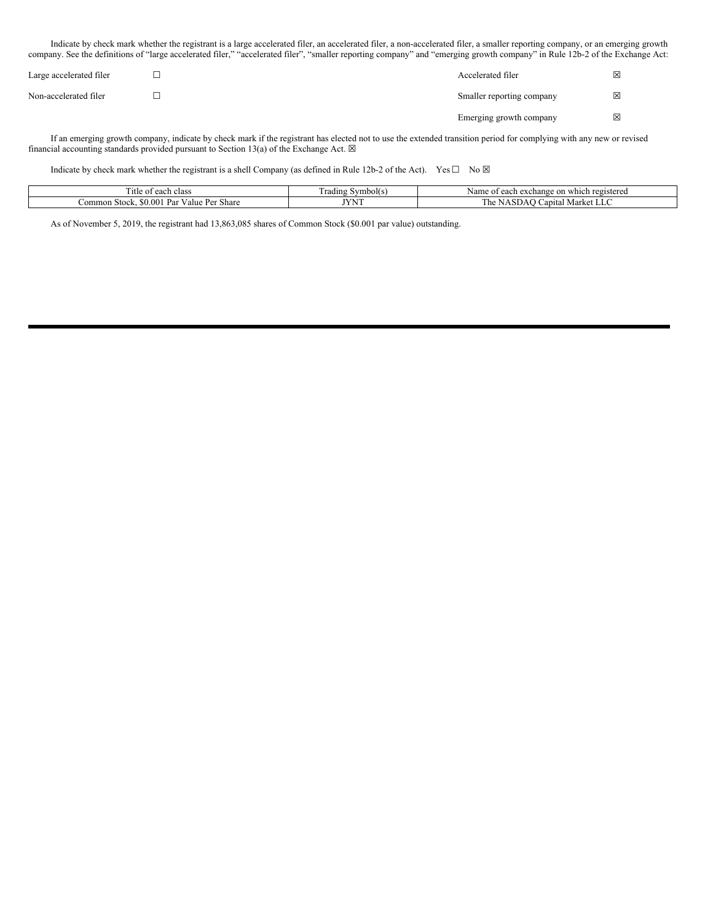Indicate by check mark whether the registrant is a large accelerated filer, an accelerated filer, a non-accelerated filer, a smaller reporting company, or an emerging growth company. See the definitions of "large accelerated filer," "accelerated filer", "smaller reporting company" and "emerging growth company" in Rule 12b-2 of the Exchange Act:

| Large accelerated filer | Accelerated filer         | X |
|-------------------------|---------------------------|---|
| Non-accelerated filer   | Smaller reporting company | 図 |
|                         | Emerging growth company   | X |

If an emerging growth company, indicate by check mark if the registrant has elected not to use the extended transition period for complying with any new or revised financial accounting standards provided pursuant to Section 13(a) of the Exchange Act.  $\boxtimes$ 

Indicate by check mark whether the registrant is a shell Company (as defined in Rule 12b-2 of the Act). Yes  $\square$  No  $\boxtimes$ 

| $\sim$<br><sup>1</sup> tle<br>class<br>. $\triangle$<br><b>Cacu</b>                                | i rading<br>vmbolt s | Name<br>on which registered<br>$\alpha$<br>. exchange<br>cacii |
|----------------------------------------------------------------------------------------------------|----------------------|----------------------------------------------------------------|
| $\sim$<br><b>D</b> oi<br><b>Do</b><br>Share<br>∴ommon Stock.<br>$\sqrt{a}$ lu $\epsilon$<br>$\sim$ | <b>IXAM</b>          | Market<br>. ne<br>anıta<br>- 317<br><b>LL</b>                  |

As of November 5, 2019, the registrant had 13,863,085 shares of Common Stock (\$0.001 par value) outstanding.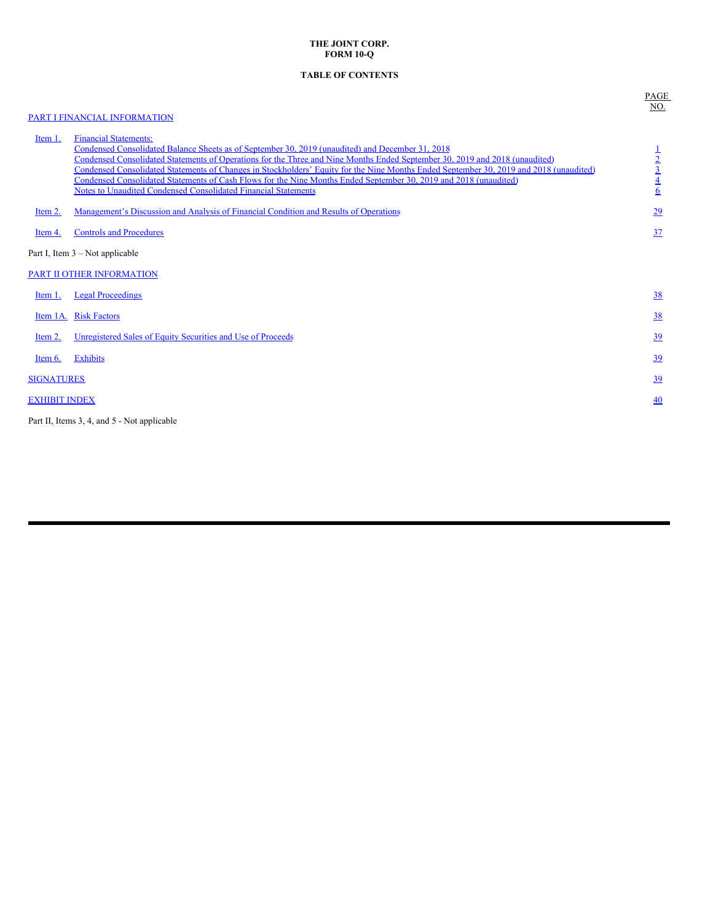# **THE JOINT CORP. FORM 10-Q**

# **TABLE OF CONTENTS**

# PART I FINANCIAL [INFORMATION](#page-3-0)

PAGE NO.

| Item 1.              | <b>Financial Statements:</b><br>Condensed Consolidated Balance Sheets as of September 30, 2019 (unaudited) and December 31, 2018<br>Condensed Consolidated Statements of Operations for the Three and Nine Months Ended September 30, 2019 and 2018 (unaudited)<br>Condensed Consolidated Statements of Changes in Stockholders' Equity for the Nine Months Ended September 30, 2019 and 2018 (unaudited)<br>Condensed Consolidated Statements of Cash Flows for the Nine Months Ended September 30, 2019 and 2018 (unaudited)<br><b>Notes to Unaudited Condensed Consolidated Financial Statements</b> | $\frac{1}{2}$ $\frac{2}{3}$ $\frac{4}{6}$ |
|----------------------|---------------------------------------------------------------------------------------------------------------------------------------------------------------------------------------------------------------------------------------------------------------------------------------------------------------------------------------------------------------------------------------------------------------------------------------------------------------------------------------------------------------------------------------------------------------------------------------------------------|-------------------------------------------|
| Item 2.              | Management's Discussion and Analysis of Financial Condition and Results of Operations                                                                                                                                                                                                                                                                                                                                                                                                                                                                                                                   | 29                                        |
| Item 4.              | <b>Controls and Procedures</b>                                                                                                                                                                                                                                                                                                                                                                                                                                                                                                                                                                          | 37                                        |
|                      | Part I, Item $3 - Not$ applicable                                                                                                                                                                                                                                                                                                                                                                                                                                                                                                                                                                       |                                           |
|                      | PART II OTHER INFORMATION                                                                                                                                                                                                                                                                                                                                                                                                                                                                                                                                                                               |                                           |
| Item 1.              | <b>Legal Proceedings</b>                                                                                                                                                                                                                                                                                                                                                                                                                                                                                                                                                                                | <u>38</u>                                 |
| Item 1A.             | <b>Risk Factors</b>                                                                                                                                                                                                                                                                                                                                                                                                                                                                                                                                                                                     | <u>38</u>                                 |
| Item 2.              | Unregistered Sales of Equity Securities and Use of Proceeds                                                                                                                                                                                                                                                                                                                                                                                                                                                                                                                                             | 39                                        |
| Item 6.              | <b>Exhibits</b>                                                                                                                                                                                                                                                                                                                                                                                                                                                                                                                                                                                         | <u>39</u>                                 |
| <b>SIGNATURES</b>    |                                                                                                                                                                                                                                                                                                                                                                                                                                                                                                                                                                                                         | 39                                        |
| <b>EXHIBIT INDEX</b> |                                                                                                                                                                                                                                                                                                                                                                                                                                                                                                                                                                                                         | 40                                        |
|                      | Part II, Items 3, 4, and 5 - Not applicable                                                                                                                                                                                                                                                                                                                                                                                                                                                                                                                                                             |                                           |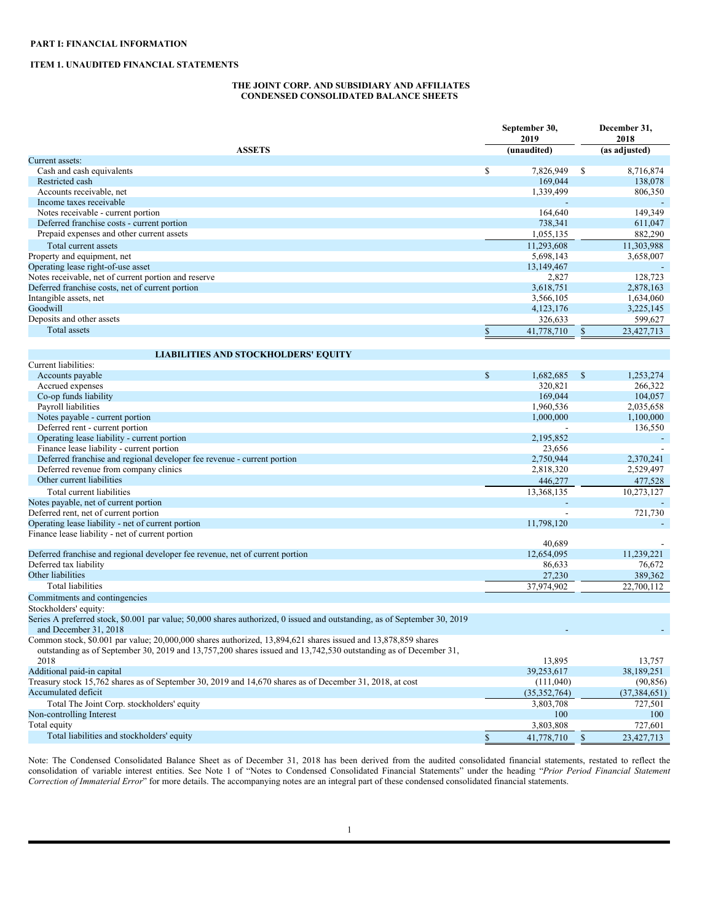# <span id="page-3-1"></span><span id="page-3-0"></span>**ITEM 1. UNAUDITED FINANCIAL STATEMENTS**

# <span id="page-3-2"></span>**THE JOINT CORP. AND SUBSIDIARY AND AFFILIATES CONDENSED CONSOLIDATED BALANCE SHEETS**

| <b>ASSETS</b><br>(as adjusted)<br>(unaudited)<br>Current assets:<br>\$<br>7,826,949<br><sup>\$</sup><br>8,716,874<br>Cash and cash equivalents<br>Restricted cash<br>169,044<br>138,078<br>Accounts receivable, net<br>1,339,499<br>806,350<br>Income taxes receivable<br>149,349<br>Notes receivable - current portion<br>164,640<br>Deferred franchise costs - current portion<br>738,341<br>611,047<br>Prepaid expenses and other current assets<br>882,290<br>1,055,135<br>11,293,608<br>11,303,988<br>Total current assets<br>Property and equipment, net<br>5,698,143<br>3,658,007<br>Operating lease right-of-use asset<br>13,149,467<br>Notes receivable, net of current portion and reserve<br>128,723<br>2,827<br>Deferred franchise costs, net of current portion<br>2,878,163<br>3,618,751<br>Intangible assets, net<br>1,634,060<br>3,566,105<br>Goodwill<br>3,225,145<br>4,123,176<br>Deposits and other assets<br>326,633<br>599,627<br><b>Total</b> assets<br>41,778,710<br>$\mathbb{S}$<br>$\mathbb{S}$<br>23,427,713<br><b>LIABILITIES AND STOCKHOLDERS' EQUITY</b><br>Current liabilities:<br>$\mathbb{S}$<br>Accounts payable<br>1.682.685<br>1,253,274<br>-S<br>Accrued expenses<br>320,821<br>266,322<br>Co-op funds liability<br>169,044<br>104,057<br>Payroll liabilities<br>1,960,536<br>2,035,658<br>Notes payable - current portion<br>1,100,000<br>1,000,000<br>Deferred rent - current portion<br>136,550<br>Operating lease liability - current portion<br>2,195,852<br>Finance lease liability - current portion<br>23,656<br>Deferred franchise and regional developer fee revenue - current portion<br>2,750,944<br>2,370,241 | September 30,<br>2019 |  |  | December 31,<br>2018 |
|----------------------------------------------------------------------------------------------------------------------------------------------------------------------------------------------------------------------------------------------------------------------------------------------------------------------------------------------------------------------------------------------------------------------------------------------------------------------------------------------------------------------------------------------------------------------------------------------------------------------------------------------------------------------------------------------------------------------------------------------------------------------------------------------------------------------------------------------------------------------------------------------------------------------------------------------------------------------------------------------------------------------------------------------------------------------------------------------------------------------------------------------------------------------------------------------------------------------------------------------------------------------------------------------------------------------------------------------------------------------------------------------------------------------------------------------------------------------------------------------------------------------------------------------------------------------------------------------------------------------------------------------------------------|-----------------------|--|--|----------------------|
|                                                                                                                                                                                                                                                                                                                                                                                                                                                                                                                                                                                                                                                                                                                                                                                                                                                                                                                                                                                                                                                                                                                                                                                                                                                                                                                                                                                                                                                                                                                                                                                                                                                                |                       |  |  |                      |
|                                                                                                                                                                                                                                                                                                                                                                                                                                                                                                                                                                                                                                                                                                                                                                                                                                                                                                                                                                                                                                                                                                                                                                                                                                                                                                                                                                                                                                                                                                                                                                                                                                                                |                       |  |  |                      |
|                                                                                                                                                                                                                                                                                                                                                                                                                                                                                                                                                                                                                                                                                                                                                                                                                                                                                                                                                                                                                                                                                                                                                                                                                                                                                                                                                                                                                                                                                                                                                                                                                                                                |                       |  |  |                      |
|                                                                                                                                                                                                                                                                                                                                                                                                                                                                                                                                                                                                                                                                                                                                                                                                                                                                                                                                                                                                                                                                                                                                                                                                                                                                                                                                                                                                                                                                                                                                                                                                                                                                |                       |  |  |                      |
|                                                                                                                                                                                                                                                                                                                                                                                                                                                                                                                                                                                                                                                                                                                                                                                                                                                                                                                                                                                                                                                                                                                                                                                                                                                                                                                                                                                                                                                                                                                                                                                                                                                                |                       |  |  |                      |
|                                                                                                                                                                                                                                                                                                                                                                                                                                                                                                                                                                                                                                                                                                                                                                                                                                                                                                                                                                                                                                                                                                                                                                                                                                                                                                                                                                                                                                                                                                                                                                                                                                                                |                       |  |  |                      |
|                                                                                                                                                                                                                                                                                                                                                                                                                                                                                                                                                                                                                                                                                                                                                                                                                                                                                                                                                                                                                                                                                                                                                                                                                                                                                                                                                                                                                                                                                                                                                                                                                                                                |                       |  |  |                      |
|                                                                                                                                                                                                                                                                                                                                                                                                                                                                                                                                                                                                                                                                                                                                                                                                                                                                                                                                                                                                                                                                                                                                                                                                                                                                                                                                                                                                                                                                                                                                                                                                                                                                |                       |  |  |                      |
|                                                                                                                                                                                                                                                                                                                                                                                                                                                                                                                                                                                                                                                                                                                                                                                                                                                                                                                                                                                                                                                                                                                                                                                                                                                                                                                                                                                                                                                                                                                                                                                                                                                                |                       |  |  |                      |
|                                                                                                                                                                                                                                                                                                                                                                                                                                                                                                                                                                                                                                                                                                                                                                                                                                                                                                                                                                                                                                                                                                                                                                                                                                                                                                                                                                                                                                                                                                                                                                                                                                                                |                       |  |  |                      |
|                                                                                                                                                                                                                                                                                                                                                                                                                                                                                                                                                                                                                                                                                                                                                                                                                                                                                                                                                                                                                                                                                                                                                                                                                                                                                                                                                                                                                                                                                                                                                                                                                                                                |                       |  |  |                      |
|                                                                                                                                                                                                                                                                                                                                                                                                                                                                                                                                                                                                                                                                                                                                                                                                                                                                                                                                                                                                                                                                                                                                                                                                                                                                                                                                                                                                                                                                                                                                                                                                                                                                |                       |  |  |                      |
|                                                                                                                                                                                                                                                                                                                                                                                                                                                                                                                                                                                                                                                                                                                                                                                                                                                                                                                                                                                                                                                                                                                                                                                                                                                                                                                                                                                                                                                                                                                                                                                                                                                                |                       |  |  |                      |
|                                                                                                                                                                                                                                                                                                                                                                                                                                                                                                                                                                                                                                                                                                                                                                                                                                                                                                                                                                                                                                                                                                                                                                                                                                                                                                                                                                                                                                                                                                                                                                                                                                                                |                       |  |  |                      |
|                                                                                                                                                                                                                                                                                                                                                                                                                                                                                                                                                                                                                                                                                                                                                                                                                                                                                                                                                                                                                                                                                                                                                                                                                                                                                                                                                                                                                                                                                                                                                                                                                                                                |                       |  |  |                      |
|                                                                                                                                                                                                                                                                                                                                                                                                                                                                                                                                                                                                                                                                                                                                                                                                                                                                                                                                                                                                                                                                                                                                                                                                                                                                                                                                                                                                                                                                                                                                                                                                                                                                |                       |  |  |                      |
|                                                                                                                                                                                                                                                                                                                                                                                                                                                                                                                                                                                                                                                                                                                                                                                                                                                                                                                                                                                                                                                                                                                                                                                                                                                                                                                                                                                                                                                                                                                                                                                                                                                                |                       |  |  |                      |
|                                                                                                                                                                                                                                                                                                                                                                                                                                                                                                                                                                                                                                                                                                                                                                                                                                                                                                                                                                                                                                                                                                                                                                                                                                                                                                                                                                                                                                                                                                                                                                                                                                                                |                       |  |  |                      |
|                                                                                                                                                                                                                                                                                                                                                                                                                                                                                                                                                                                                                                                                                                                                                                                                                                                                                                                                                                                                                                                                                                                                                                                                                                                                                                                                                                                                                                                                                                                                                                                                                                                                |                       |  |  |                      |
|                                                                                                                                                                                                                                                                                                                                                                                                                                                                                                                                                                                                                                                                                                                                                                                                                                                                                                                                                                                                                                                                                                                                                                                                                                                                                                                                                                                                                                                                                                                                                                                                                                                                |                       |  |  |                      |
|                                                                                                                                                                                                                                                                                                                                                                                                                                                                                                                                                                                                                                                                                                                                                                                                                                                                                                                                                                                                                                                                                                                                                                                                                                                                                                                                                                                                                                                                                                                                                                                                                                                                |                       |  |  |                      |
|                                                                                                                                                                                                                                                                                                                                                                                                                                                                                                                                                                                                                                                                                                                                                                                                                                                                                                                                                                                                                                                                                                                                                                                                                                                                                                                                                                                                                                                                                                                                                                                                                                                                |                       |  |  |                      |
|                                                                                                                                                                                                                                                                                                                                                                                                                                                                                                                                                                                                                                                                                                                                                                                                                                                                                                                                                                                                                                                                                                                                                                                                                                                                                                                                                                                                                                                                                                                                                                                                                                                                |                       |  |  |                      |
|                                                                                                                                                                                                                                                                                                                                                                                                                                                                                                                                                                                                                                                                                                                                                                                                                                                                                                                                                                                                                                                                                                                                                                                                                                                                                                                                                                                                                                                                                                                                                                                                                                                                |                       |  |  |                      |
|                                                                                                                                                                                                                                                                                                                                                                                                                                                                                                                                                                                                                                                                                                                                                                                                                                                                                                                                                                                                                                                                                                                                                                                                                                                                                                                                                                                                                                                                                                                                                                                                                                                                |                       |  |  |                      |
|                                                                                                                                                                                                                                                                                                                                                                                                                                                                                                                                                                                                                                                                                                                                                                                                                                                                                                                                                                                                                                                                                                                                                                                                                                                                                                                                                                                                                                                                                                                                                                                                                                                                |                       |  |  |                      |
|                                                                                                                                                                                                                                                                                                                                                                                                                                                                                                                                                                                                                                                                                                                                                                                                                                                                                                                                                                                                                                                                                                                                                                                                                                                                                                                                                                                                                                                                                                                                                                                                                                                                |                       |  |  |                      |
|                                                                                                                                                                                                                                                                                                                                                                                                                                                                                                                                                                                                                                                                                                                                                                                                                                                                                                                                                                                                                                                                                                                                                                                                                                                                                                                                                                                                                                                                                                                                                                                                                                                                |                       |  |  |                      |
|                                                                                                                                                                                                                                                                                                                                                                                                                                                                                                                                                                                                                                                                                                                                                                                                                                                                                                                                                                                                                                                                                                                                                                                                                                                                                                                                                                                                                                                                                                                                                                                                                                                                |                       |  |  |                      |
| Deferred revenue from company clinics<br>2,818,320<br>2,529,497                                                                                                                                                                                                                                                                                                                                                                                                                                                                                                                                                                                                                                                                                                                                                                                                                                                                                                                                                                                                                                                                                                                                                                                                                                                                                                                                                                                                                                                                                                                                                                                                |                       |  |  |                      |
| Other current liabilities<br>446,277<br>477,528                                                                                                                                                                                                                                                                                                                                                                                                                                                                                                                                                                                                                                                                                                                                                                                                                                                                                                                                                                                                                                                                                                                                                                                                                                                                                                                                                                                                                                                                                                                                                                                                                |                       |  |  |                      |
| Total current liabilities<br>10,273,127<br>13,368,135                                                                                                                                                                                                                                                                                                                                                                                                                                                                                                                                                                                                                                                                                                                                                                                                                                                                                                                                                                                                                                                                                                                                                                                                                                                                                                                                                                                                                                                                                                                                                                                                          |                       |  |  |                      |
| Notes payable, net of current portion                                                                                                                                                                                                                                                                                                                                                                                                                                                                                                                                                                                                                                                                                                                                                                                                                                                                                                                                                                                                                                                                                                                                                                                                                                                                                                                                                                                                                                                                                                                                                                                                                          |                       |  |  |                      |
| Deferred rent, net of current portion<br>721,730                                                                                                                                                                                                                                                                                                                                                                                                                                                                                                                                                                                                                                                                                                                                                                                                                                                                                                                                                                                                                                                                                                                                                                                                                                                                                                                                                                                                                                                                                                                                                                                                               |                       |  |  |                      |
| Operating lease liability - net of current portion<br>11,798,120                                                                                                                                                                                                                                                                                                                                                                                                                                                                                                                                                                                                                                                                                                                                                                                                                                                                                                                                                                                                                                                                                                                                                                                                                                                                                                                                                                                                                                                                                                                                                                                               |                       |  |  |                      |
| Finance lease liability - net of current portion                                                                                                                                                                                                                                                                                                                                                                                                                                                                                                                                                                                                                                                                                                                                                                                                                                                                                                                                                                                                                                                                                                                                                                                                                                                                                                                                                                                                                                                                                                                                                                                                               |                       |  |  |                      |
| 40,689                                                                                                                                                                                                                                                                                                                                                                                                                                                                                                                                                                                                                                                                                                                                                                                                                                                                                                                                                                                                                                                                                                                                                                                                                                                                                                                                                                                                                                                                                                                                                                                                                                                         |                       |  |  |                      |
| Deferred franchise and regional developer fee revenue, net of current portion<br>12,654,095<br>11,239,221                                                                                                                                                                                                                                                                                                                                                                                                                                                                                                                                                                                                                                                                                                                                                                                                                                                                                                                                                                                                                                                                                                                                                                                                                                                                                                                                                                                                                                                                                                                                                      |                       |  |  |                      |
| Deferred tax liability<br>86,633<br>76,672                                                                                                                                                                                                                                                                                                                                                                                                                                                                                                                                                                                                                                                                                                                                                                                                                                                                                                                                                                                                                                                                                                                                                                                                                                                                                                                                                                                                                                                                                                                                                                                                                     |                       |  |  |                      |
| Other liabilities<br>27,230<br>389,362                                                                                                                                                                                                                                                                                                                                                                                                                                                                                                                                                                                                                                                                                                                                                                                                                                                                                                                                                                                                                                                                                                                                                                                                                                                                                                                                                                                                                                                                                                                                                                                                                         |                       |  |  |                      |
| <b>Total liabilities</b><br>37,974,902<br>22,700,112                                                                                                                                                                                                                                                                                                                                                                                                                                                                                                                                                                                                                                                                                                                                                                                                                                                                                                                                                                                                                                                                                                                                                                                                                                                                                                                                                                                                                                                                                                                                                                                                           |                       |  |  |                      |
| Commitments and contingencies                                                                                                                                                                                                                                                                                                                                                                                                                                                                                                                                                                                                                                                                                                                                                                                                                                                                                                                                                                                                                                                                                                                                                                                                                                                                                                                                                                                                                                                                                                                                                                                                                                  |                       |  |  |                      |
| Stockholders' equity:                                                                                                                                                                                                                                                                                                                                                                                                                                                                                                                                                                                                                                                                                                                                                                                                                                                                                                                                                                                                                                                                                                                                                                                                                                                                                                                                                                                                                                                                                                                                                                                                                                          |                       |  |  |                      |
| Series A preferred stock, \$0.001 par value; 50,000 shares authorized, 0 issued and outstanding, as of September 30, 2019<br>and December 31, 2018                                                                                                                                                                                                                                                                                                                                                                                                                                                                                                                                                                                                                                                                                                                                                                                                                                                                                                                                                                                                                                                                                                                                                                                                                                                                                                                                                                                                                                                                                                             |                       |  |  |                      |
| Common stock, \$0.001 par value; 20,000,000 shares authorized, 13,894,621 shares issued and 13,878,859 shares<br>outstanding as of September 30, 2019 and 13,757,200 shares issued and 13,742,530 outstanding as of December 31,                                                                                                                                                                                                                                                                                                                                                                                                                                                                                                                                                                                                                                                                                                                                                                                                                                                                                                                                                                                                                                                                                                                                                                                                                                                                                                                                                                                                                               |                       |  |  |                      |
| 13,895<br>2018<br>13,757                                                                                                                                                                                                                                                                                                                                                                                                                                                                                                                                                                                                                                                                                                                                                                                                                                                                                                                                                                                                                                                                                                                                                                                                                                                                                                                                                                                                                                                                                                                                                                                                                                       |                       |  |  |                      |
| Additional paid-in capital<br>39,253,617<br>38,189,251                                                                                                                                                                                                                                                                                                                                                                                                                                                                                                                                                                                                                                                                                                                                                                                                                                                                                                                                                                                                                                                                                                                                                                                                                                                                                                                                                                                                                                                                                                                                                                                                         |                       |  |  |                      |
| Treasury stock 15,762 shares as of September 30, 2019 and 14,670 shares as of December 31, 2018, at cost<br>(111,040)<br>(90, 856)                                                                                                                                                                                                                                                                                                                                                                                                                                                                                                                                                                                                                                                                                                                                                                                                                                                                                                                                                                                                                                                                                                                                                                                                                                                                                                                                                                                                                                                                                                                             |                       |  |  |                      |
| Accumulated deficit<br>(35, 352, 764)<br>(37, 384, 651)                                                                                                                                                                                                                                                                                                                                                                                                                                                                                                                                                                                                                                                                                                                                                                                                                                                                                                                                                                                                                                                                                                                                                                                                                                                                                                                                                                                                                                                                                                                                                                                                        |                       |  |  |                      |
| Total The Joint Corp. stockholders' equity<br>727,501<br>3,803,708                                                                                                                                                                                                                                                                                                                                                                                                                                                                                                                                                                                                                                                                                                                                                                                                                                                                                                                                                                                                                                                                                                                                                                                                                                                                                                                                                                                                                                                                                                                                                                                             |                       |  |  |                      |
| Non-controlling Interest<br>100<br>100                                                                                                                                                                                                                                                                                                                                                                                                                                                                                                                                                                                                                                                                                                                                                                                                                                                                                                                                                                                                                                                                                                                                                                                                                                                                                                                                                                                                                                                                                                                                                                                                                         |                       |  |  |                      |
| Total equity<br>3,803,808<br>727,601                                                                                                                                                                                                                                                                                                                                                                                                                                                                                                                                                                                                                                                                                                                                                                                                                                                                                                                                                                                                                                                                                                                                                                                                                                                                                                                                                                                                                                                                                                                                                                                                                           |                       |  |  |                      |
| Total liabilities and stockholders' equity<br>$\mathbb{S}$<br>41,778,710<br>$\mathbb{S}$<br>23,427,713                                                                                                                                                                                                                                                                                                                                                                                                                                                                                                                                                                                                                                                                                                                                                                                                                                                                                                                                                                                                                                                                                                                                                                                                                                                                                                                                                                                                                                                                                                                                                         |                       |  |  |                      |

Note: The Condensed Consolidated Balance Sheet as of December 31, 2018 has been derived from the audited consolidated financial statements, restated to reflect the consolidation of variable interest entities. See Note 1 of "Notes to Condensed Consolidated Financial Statements" under the heading "*Prior Period Financial Statement Correction of Immaterial Error*" for more details. The accompanying notes are an integral part of these condensed consolidated financial statements.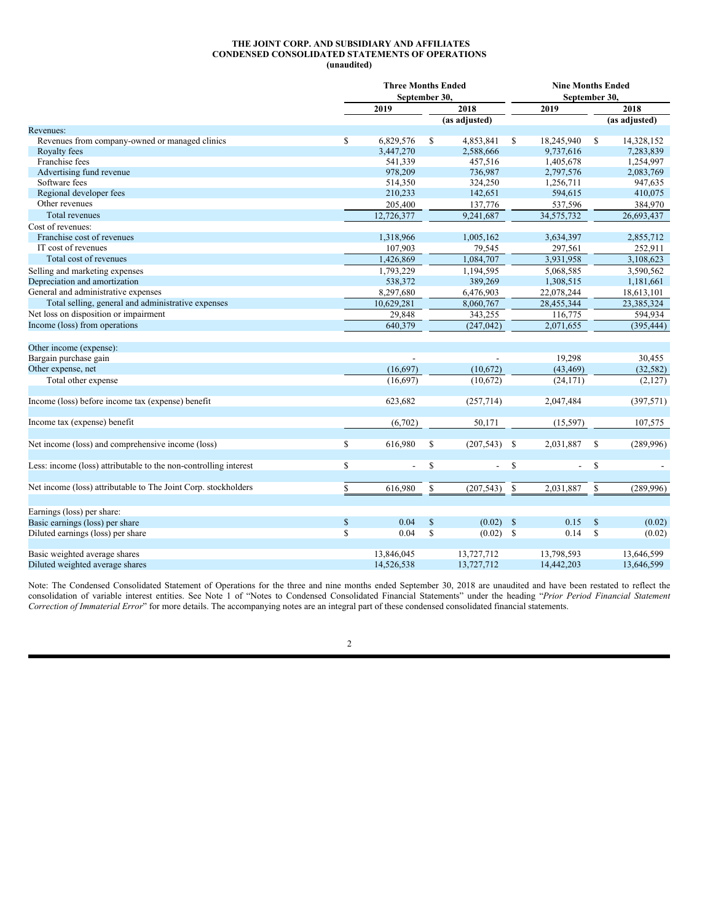# <span id="page-4-0"></span>**THE JOINT CORP. AND SUBSIDIARY AND AFFILIATES CONDENSED CONSOLIDATED STATEMENTS OF OPERATIONS (unaudited)**

|                                                                  |              | <b>Three Months Ended</b><br>September 30. |               | <b>Nine Months Ended</b><br>September 30. |              |                |    |               |
|------------------------------------------------------------------|--------------|--------------------------------------------|---------------|-------------------------------------------|--------------|----------------|----|---------------|
|                                                                  |              | 2019                                       |               | 2018                                      |              | 2019           |    | 2018          |
|                                                                  |              |                                            |               | (as adjusted)                             |              |                |    | (as adjusted) |
| Revenues:                                                        |              |                                            |               |                                           |              |                |    |               |
| Revenues from company-owned or managed clinics                   | \$           | 6,829,576                                  | \$            | 4,853,841                                 | S            | 18,245,940     | \$ | 14,328,152    |
| Royalty fees                                                     |              | 3,447,270                                  |               | 2,588,666                                 |              | 9,737,616      |    | 7,283,839     |
| Franchise fees                                                   |              | 541,339                                    |               | 457,516                                   |              | 1,405,678      |    | 1,254,997     |
| Advertising fund revenue                                         |              | 978,209                                    |               | 736,987                                   |              | 2,797,576      |    | 2,083,769     |
| Software fees                                                    |              | 514,350                                    |               | 324,250                                   |              | 1,256,711      |    | 947,635       |
| Regional developer fees                                          |              | 210,233                                    |               | 142,651                                   |              | 594,615        |    | 410,075       |
| Other revenues                                                   |              | 205,400                                    |               | 137,776                                   |              | 537,596        |    | 384,970       |
| Total revenues                                                   |              | 12,726,377                                 |               | 9,241,687                                 |              | 34,575,732     |    | 26,693,437    |
| Cost of revenues:                                                |              |                                            |               |                                           |              |                |    |               |
| Franchise cost of revenues                                       |              | 1,318,966                                  |               | 1,005,162                                 |              | 3,634,397      |    | 2,855,712     |
| IT cost of revenues                                              |              | 107,903                                    |               | 79,545                                    |              | 297,561        |    | 252,911       |
| Total cost of revenues                                           |              | 1,426,869                                  |               | 1,084,707                                 |              | 3,931,958      |    | 3,108,623     |
| Selling and marketing expenses                                   |              | 1,793,229                                  |               | 1,194,595                                 |              | 5,068,585      |    | 3,590,562     |
| Depreciation and amortization                                    |              | 538,372                                    |               | 389,269                                   |              | 1,308,515      |    | 1,181,661     |
| General and administrative expenses                              |              | 8,297,680                                  |               | 6,476,903                                 |              | 22,078,244     |    | 18,613,101    |
| Total selling, general and administrative expenses               |              | 10,629,281                                 |               | 8,060,767                                 |              | 28,455,344     |    | 23,385,324    |
| Net loss on disposition or impairment                            |              | 29.848                                     |               | 343,255                                   |              | 116,775        |    | 594.934       |
| Income (loss) from operations                                    |              | 640,379                                    |               | (247, 042)                                |              | 2,071,655      |    | (395, 444)    |
|                                                                  |              |                                            |               |                                           |              |                |    |               |
| Other income (expense):                                          |              |                                            |               |                                           |              |                |    |               |
| Bargain purchase gain                                            |              |                                            |               |                                           |              | 19,298         |    | 30,455        |
| Other expense, net                                               |              | (16,697)                                   |               | (10,672)                                  |              | (43, 469)      |    | (32, 582)     |
| Total other expense                                              |              | (16,697)                                   |               | (10,672)                                  |              | (24, 171)      |    | (2,127)       |
|                                                                  |              |                                            |               |                                           |              |                |    |               |
| Income (loss) before income tax (expense) benefit                |              | 623,682                                    |               | (257, 714)                                |              | 2,047,484      |    | (397, 571)    |
|                                                                  |              |                                            |               |                                           |              |                |    |               |
| Income tax (expense) benefit                                     |              | (6,702)                                    |               | 50,171                                    |              | (15, 597)      |    | 107,575       |
|                                                                  |              |                                            |               |                                           |              |                |    |               |
| Net income (loss) and comprehensive income (loss)                | \$           | 616,980                                    | \$            | $(207,543)$ \$                            |              | 2,031,887      | \$ | (289,996)     |
| Less: income (loss) attributable to the non-controlling interest | \$           | $\blacksquare$                             | \$            | $\overline{\phantom{a}}$                  | S.           | $\blacksquare$ | \$ |               |
|                                                                  |              |                                            |               |                                           |              |                |    |               |
| Net income (loss) attributable to The Joint Corp. stockholders   | $\mathbb{S}$ | 616,980                                    | \$            | (207, 543)                                | $\mathbb{S}$ | 2,031,887      | \$ | (289.996)     |
|                                                                  |              |                                            |               |                                           |              |                |    |               |
| Earnings (loss) per share:                                       |              |                                            |               |                                           |              |                |    |               |
| Basic earnings (loss) per share                                  | $\mathbb{S}$ | 0.04                                       | $\mathbb{S}$  | (0.02)                                    | $^{\circ}$   | 0.15           | \$ | (0.02)        |
| Diluted earnings (loss) per share                                | S            | 0.04                                       | <sup>\$</sup> | $(0.02)$ \$                               |              | 0.14           | \$ | (0.02)        |
|                                                                  |              |                                            |               |                                           |              |                |    |               |
| Basic weighted average shares                                    |              | 13,846,045                                 |               | 13,727,712                                |              | 13,798,593     |    | 13,646,599    |
| Diluted weighted average shares                                  |              | 14,526,538                                 |               | 13,727,712                                |              | 14,442,203     |    | 13,646,599    |

Note: The Condensed Consolidated Statement of Operations for the three and nine months ended September 30, 2018 are unaudited and have been restated to reflect the consolidation of variable interest entities. See Note 1 of "Notes to Condensed Consolidated Financial Statements" under the heading "*Prior Period Financial Statement Correction of Immaterial Error*" for more details. The accompanying notes are an integral part of these condensed consolidated financial statements.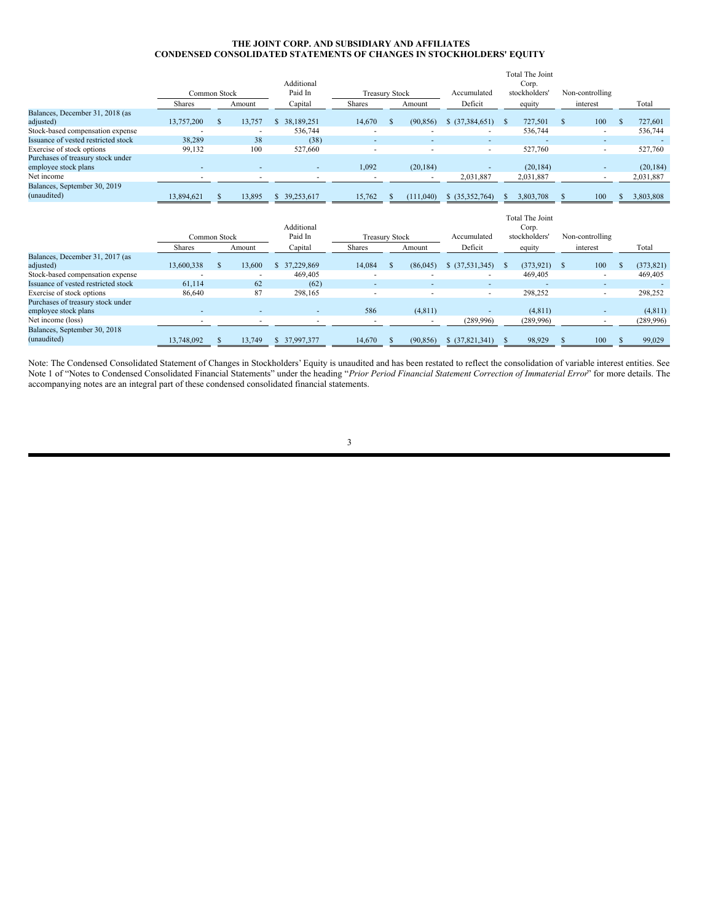# <span id="page-5-0"></span>**THE JOINT CORP. AND SUBSIDIARY AND AFFILIATES CONDENSED CONSOLIDATED STATEMENTS OF CHANGES IN STOCKHOLDERS' EQUITY**

|                                     | Total The Joint |  |        |  |                                  |  |        |                              |           |                    |                 |           |               |          |  |           |
|-------------------------------------|-----------------|--|--------|--|----------------------------------|--|--------|------------------------------|-----------|--------------------|-----------------|-----------|---------------|----------|--|-----------|
|                                     |                 |  |        |  | Additional                       |  |        |                              |           |                    |                 | Corp.     |               |          |  |           |
|                                     | Common Stock    |  |        |  | Paid In<br><b>Treasury Stock</b> |  |        | stockholders'<br>Accumulated |           |                    | Non-controlling |           |               |          |  |           |
|                                     | Shares          |  | Amount |  | Capital                          |  | Shares |                              | Amount    | Deficit            |                 | equity    |               | interest |  | Total     |
| Balances, December 31, 2018 (as     |                 |  |        |  |                                  |  |        |                              |           |                    |                 |           |               |          |  |           |
| adjusted)                           | 13,757,200      |  | 13,757 |  | \$ 38,189,251                    |  | 14,670 | <b>S</b>                     | (90, 856) | \$(37,384,651)     |                 | 727.501   | <sup>\$</sup> | 100      |  | 727,601   |
| Stock-based compensation expense    |                 |  |        |  | 536,744                          |  |        |                              |           |                    |                 | 536,744   |               |          |  | 536,744   |
| Issuance of vested restricted stock | 38,289          |  | 38     |  | (38)                             |  | ۰      |                              |           |                    |                 |           |               | ۰        |  |           |
| Exercise of stock options           | 99,132          |  | 100    |  | 527,660                          |  | ۰      |                              |           | ۰                  |                 | 527,760   |               | ۰        |  | 527,760   |
| Purchases of treasury stock under   |                 |  |        |  |                                  |  |        |                              |           |                    |                 |           |               |          |  |           |
| employee stock plans                |                 |  |        |  |                                  |  | 1,092  |                              | (20, 184) |                    |                 | (20.184)  |               | ۰        |  | (20, 184) |
| Net income                          |                 |  |        |  |                                  |  |        |                              |           | 2,031,887          |                 | 2,031,887 |               |          |  | 2,031,887 |
| Balances, September 30, 2019        |                 |  |        |  |                                  |  |        |                              |           |                    |                 |           |               |          |  |           |
| (unaudited)                         | 13.894.621      |  | 13,895 |  | \$ 39,253,617                    |  | 15.762 |                              | (111.040) | $$$ $(35.352.764)$ |                 | 3,803,708 |               | 100      |  | 3,803,808 |

|                                     | Common Stock |  |        |  | Additional<br>Paid In<br><b>Treasury Stock</b> |  |        |  |           | Accumulated              | Total The Joint<br>Corp.<br>stockholders' |            |              | Non-controlling          |            |  |  |  |  |          |       |
|-------------------------------------|--------------|--|--------|--|------------------------------------------------|--|--------|--|-----------|--------------------------|-------------------------------------------|------------|--------------|--------------------------|------------|--|--|--|--|----------|-------|
|                                     | Shares       |  | Amount |  | Capital                                        |  | Shares |  | Amount    | Deficit                  |                                           | equity     |              |                          |            |  |  |  |  | interest | Total |
| Balances, December 31, 2017 (as     |              |  |        |  |                                                |  |        |  |           |                          |                                           |            |              |                          |            |  |  |  |  |          |       |
| adjusted)                           | 13.600.338   |  | 13,600 |  | \$37,229,869                                   |  | 14.084 |  | (86,045)  | \$ (37,531,345)          |                                           | (373, 921) | <sup>S</sup> | 100                      | (373, 821) |  |  |  |  |          |       |
| Stock-based compensation expense    |              |  |        |  | 469,405                                        |  |        |  |           | $\overline{\phantom{a}}$ |                                           | 469,405    |              |                          | 469,405    |  |  |  |  |          |       |
| Issuance of vested restricted stock | 61.114       |  | 62     |  | (62)                                           |  |        |  |           | $\overline{\phantom{a}}$ |                                           |            |              | $\overline{\phantom{a}}$ |            |  |  |  |  |          |       |
| Exercise of stock options           | 86,640       |  | 87     |  | 298,165                                        |  |        |  |           | ٠                        |                                           | 298,252    |              | $\overline{\phantom{a}}$ | 298,252    |  |  |  |  |          |       |
| Purchases of treasury stock under   |              |  |        |  |                                                |  |        |  |           |                          |                                           |            |              |                          |            |  |  |  |  |          |       |
| employee stock plans                |              |  |        |  |                                                |  | 586    |  | (4,811)   |                          |                                           | (4,811)    |              |                          | (4, 811)   |  |  |  |  |          |       |
| Net income (loss)                   |              |  |        |  |                                                |  |        |  |           | (289,996)                |                                           | (289,996)  |              |                          | (289,996)  |  |  |  |  |          |       |
| Balances, September 30, 2018        |              |  |        |  |                                                |  |        |  |           |                          |                                           |            |              |                          |            |  |  |  |  |          |       |
| (unaudited)                         | 13,748,092   |  | 13,749 |  | \$37,997,377                                   |  | 14,670 |  | (90, 856) | \$ (37,821,341)          |                                           | 98,929     |              | 100                      | 99,029     |  |  |  |  |          |       |

Note: The Condensed Consolidated Statement of Changes in Stockholders' Equity is unaudited and has been restated to reflect the consolidation of variable interest entities. See Note 1 of "Notes to Condensed Consolidated Financial Statements" under the heading "Prior Period Financial Statement Correction of Immaterial Error" for more details. The accompanying notes are an integral part of these condensed consolidated financial statements.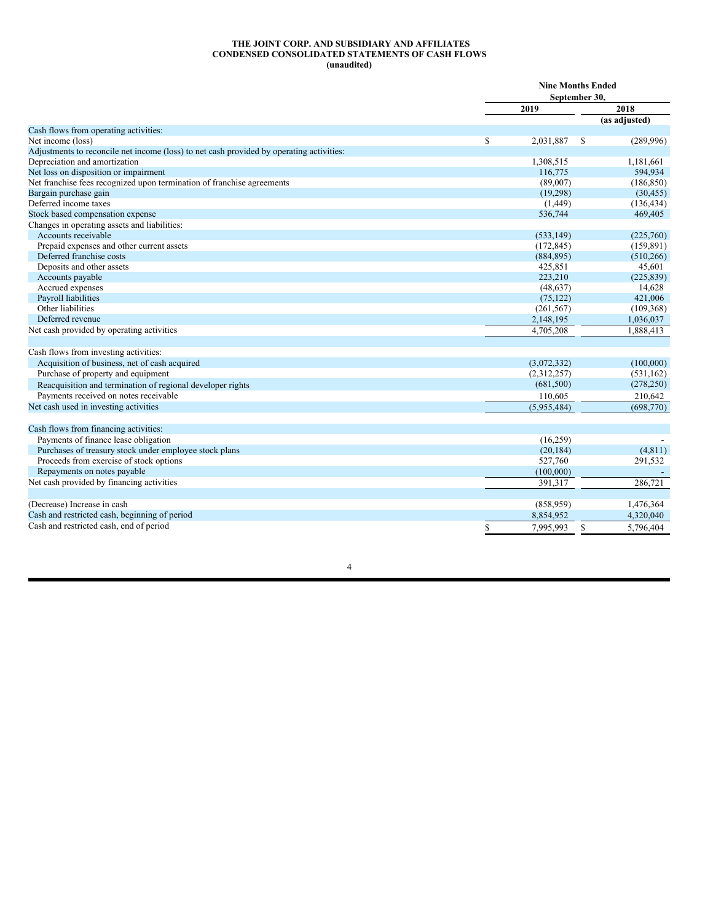### <span id="page-6-0"></span>**THE JOINT CORP. AND SUBSIDIARY AND AFFILIATES CONDENSED CONSOLIDATED STATEMENTS OF CASH FLOWS (unaudited)**

|                                                                                          | <b>Nine Months Ended</b> |             |                 |  |  |
|------------------------------------------------------------------------------------------|--------------------------|-------------|-----------------|--|--|
|                                                                                          |                          |             | September 30,   |  |  |
|                                                                                          |                          | 2019        | 2018            |  |  |
|                                                                                          |                          |             | (as adjusted)   |  |  |
| Cash flows from operating activities:                                                    |                          |             |                 |  |  |
| Net income (loss)                                                                        | \$                       | 2,031,887   | (289,996)<br>-S |  |  |
| Adjustments to reconcile net income (loss) to net cash provided by operating activities: |                          |             |                 |  |  |
| Depreciation and amortization                                                            |                          | 1,308,515   | 1,181,661       |  |  |
| Net loss on disposition or impairment                                                    |                          | 116,775     | 594,934         |  |  |
| Net franchise fees recognized upon termination of franchise agreements                   |                          | (89,007)    | (186, 850)      |  |  |
| Bargain purchase gain                                                                    |                          | (19,298)    | (30, 455)       |  |  |
| Deferred income taxes                                                                    |                          | (1,449)     | (136, 434)      |  |  |
| Stock based compensation expense                                                         |                          | 536,744     | 469,405         |  |  |
| Changes in operating assets and liabilities:                                             |                          |             |                 |  |  |
| Accounts receivable                                                                      |                          | (533, 149)  | (225,760)       |  |  |
| Prepaid expenses and other current assets                                                |                          | (172, 845)  | (159, 891)      |  |  |
| Deferred franchise costs                                                                 |                          | (884, 895)  | (510, 266)      |  |  |
| Deposits and other assets                                                                |                          | 425,851     | 45,601          |  |  |
| Accounts payable                                                                         |                          | 223,210     | (225, 839)      |  |  |
| Accrued expenses                                                                         |                          | (48, 637)   | 14,628          |  |  |
| Payroll liabilities                                                                      |                          | (75, 122)   | 421,006         |  |  |
| Other liabilities                                                                        |                          | (261, 567)  | (109, 368)      |  |  |
| Deferred revenue                                                                         |                          | 2,148,195   | 1,036,037       |  |  |
| Net cash provided by operating activities                                                |                          | 4,705,208   | 1,888,413       |  |  |
|                                                                                          |                          |             |                 |  |  |
| Cash flows from investing activities:                                                    |                          |             |                 |  |  |
| Acquisition of business, net of cash acquired                                            |                          | (3,072,332) | (100,000)       |  |  |
| Purchase of property and equipment                                                       |                          | (2,312,257) | (531, 162)      |  |  |
| Reacquisition and termination of regional developer rights                               |                          | (681, 500)  | (278, 250)      |  |  |
| Payments received on notes receivable                                                    |                          | 110,605     | 210,642         |  |  |
| Net cash used in investing activities                                                    |                          | (5,955,484) | (698,770)       |  |  |
|                                                                                          |                          |             |                 |  |  |
| Cash flows from financing activities:                                                    |                          |             |                 |  |  |
| Payments of finance lease obligation                                                     |                          | (16,259)    |                 |  |  |
| Purchases of treasury stock under employee stock plans                                   |                          | (20, 184)   | (4, 811)        |  |  |
| Proceeds from exercise of stock options                                                  |                          | 527,760     | 291,532         |  |  |
| Repayments on notes payable                                                              |                          | (100,000)   |                 |  |  |
| Net cash provided by financing activities                                                |                          | 391,317     | 286,721         |  |  |
|                                                                                          |                          |             |                 |  |  |
| (Decrease) Increase in cash                                                              |                          | (858, 959)  | 1,476,364       |  |  |
| Cash and restricted cash, beginning of period                                            |                          | 8,854,952   | 4,320,040       |  |  |
| Cash and restricted cash, end of period                                                  | \$                       | 7.995.993   | 5,796,404<br>\$ |  |  |
|                                                                                          |                          |             |                 |  |  |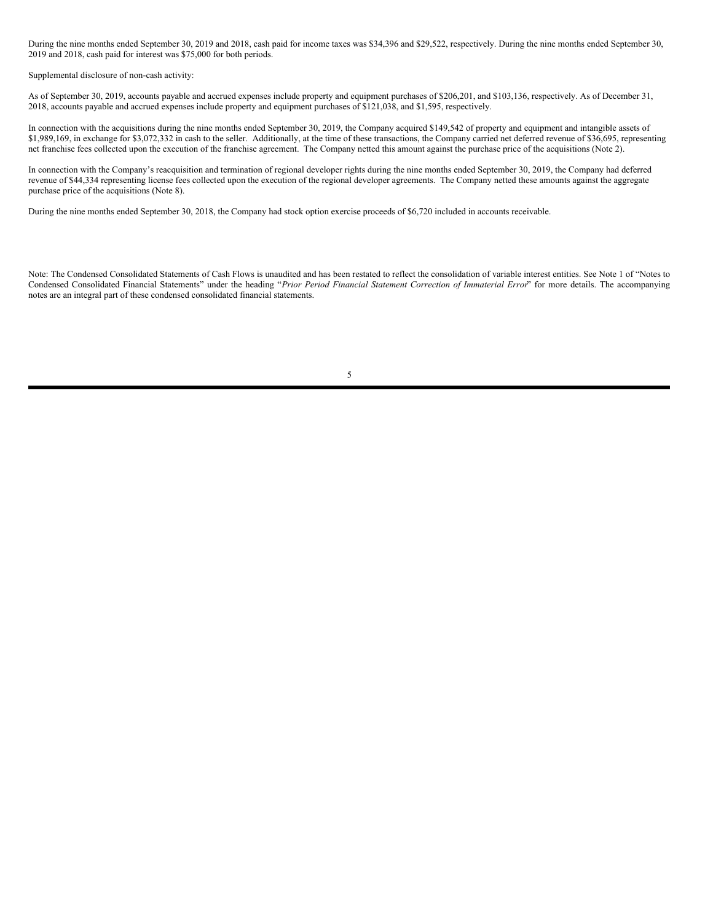During the nine months ended September 30, 2019 and 2018, cash paid for income taxes was \$34,396 and \$29,522, respectively. During the nine months ended September 30, 2019 and 2018, cash paid for interest was \$75,000 for both periods.

Supplemental disclosure of non-cash activity:

As of September 30, 2019, accounts payable and accrued expenses include property and equipment purchases of \$206,201, and \$103,136, respectively. As of December 31, 2018, accounts payable and accrued expenses include property and equipment purchases of \$121,038, and \$1,595, respectively.

In connection with the acquisitions during the nine months ended September 30, 2019, the Company acquired \$149,542 of property and equipment and intangible assets of \$1,989,169, in exchange for \$3,072,332 in cash to the seller. Additionally, at the time of these transactions, the Company carried net deferred revenue of \$36,695, representing net franchise fees collected upon the execution of the franchise agreement. The Company netted this amount against the purchase price of the acquisitions (Note 2).

In connection with the Company's reacquisition and termination of regional developer rights during the nine months ended September 30, 2019, the Company had deferred revenue of \$44,334 representing license fees collected upon the execution of the regional developer agreements. The Company netted these amounts against the aggregate purchase price of the acquisitions (Note 8).

During the nine months ended September 30, 2018, the Company had stock option exercise proceeds of \$6,720 included in accounts receivable.

Note: The Condensed Consolidated Statements of Cash Flows is unaudited and has been restated to reflect the consolidation of variable interest entities. See Note 1 of "Notes to Condensed Consolidated Financial Statements" under the heading "*Prior Period Financial Statement Correction of Immaterial Error*" for more details. The accompanying notes are an integral part of these condensed consolidated financial statements.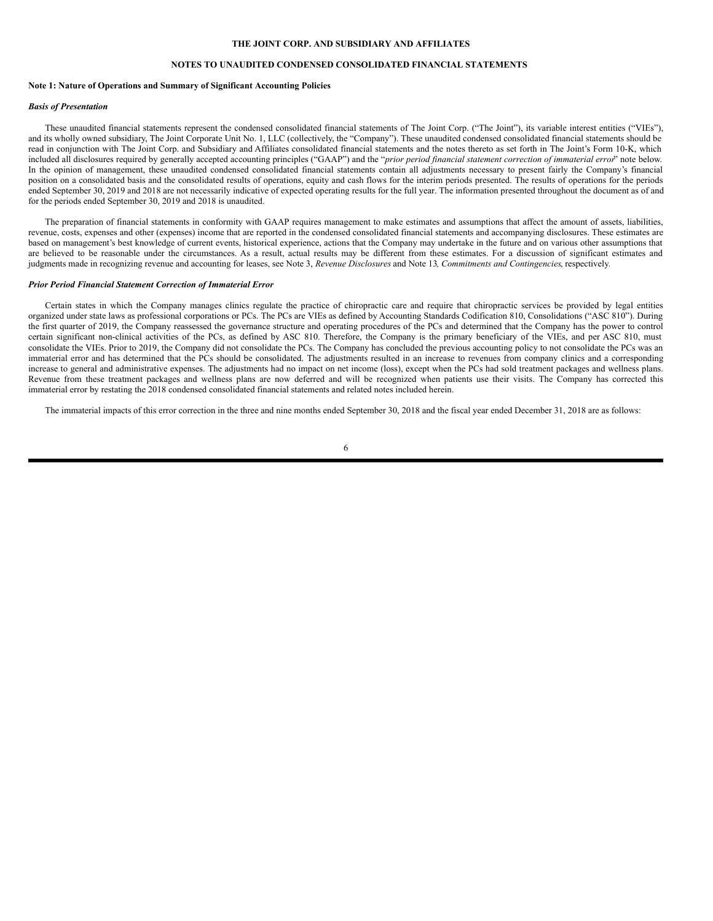# <span id="page-8-0"></span>**THE JOINT CORP. AND SUBSIDIARY AND AFFILIATES**

# **NOTES TO UNAUDITED CONDENSED CONSOLIDATED FINANCIAL STATEMENTS**

# **Note 1: Nature of Operations and Summary of Significant Accounting Policies**

# *Basis of Presentation*

These unaudited financial statements represent the condensed consolidated financial statements of The Joint Corp. ("The Joint"), its variable interest entities ("VIEs"), and its wholly owned subsidiary, The Joint Corporate Unit No. 1, LLC (collectively, the "Company"). These unaudited condensed consolidated financial statements should be read in conjunction with The Joint Corp. and Subsidiary and Affiliates consolidated financial statements and the notes thereto as set forth in The Joint's Form 10-K, which included all disclosures required by generally accepted accounting principles ("GAAP") and the "prior period financial statement correction of immaterial error" note below. In the opinion of management, these unaudited condensed consolidated financial statements contain all adjustments necessary to present fairly the Company's financial position on a consolidated basis and the consolidated results of operations, equity and cash flows for the interim periods presented. The results of operations for the periods ended September 30, 2019 and 2018 are not necessarily indicative of expected operating results for the full year. The information presented throughout the document as of and for the periods ended September 30, 2019 and 2018 is unaudited.

The preparation of financial statements in conformity with GAAP requires management to make estimates and assumptions that affect the amount of assets, liabilities, revenue, costs, expenses and other (expenses) income that are reported in the condensed consolidated financial statements and accompanying disclosures. These estimates are based on management's best knowledge of current events, historical experience, actions that the Company may undertake in the future and on various other assumptions that are believed to be reasonable under the circumstances. As a result, actual results may be different from these estimates. For a discussion of significant estimates and judgments made in recognizing revenue and accounting for leases, see Note 3, *Revenue Disclosures* and Note 13*, Commitments and Contingencies*, respectively*.*

#### *Prior Period Financial Statement Correction of Immaterial Error*

Certain states in which the Company manages clinics regulate the practice of chiropractic care and require that chiropractic services be provided by legal entities organized under state laws as professional corporations or PCs. The PCs are VIEs as defined by Accounting Standards Codification 810, Consolidations ("ASC 810"). During the first quarter of 2019, the Company reassessed the governance structure and operating procedures of the PCs and determined that the Company has the power to control certain significant non-clinical activities of the PCs, as defined by ASC 810. Therefore, the Company is the primary beneficiary of the VIEs, and per ASC 810, must consolidate the VIEs. Prior to 2019, the Company did not consolidate the PCs. The Company has concluded the previous accounting policy to not consolidate the PCs was an immaterial error and has determined that the PCs should be consolidated. The adjustments resulted in an increase to revenues from company clinics and a corresponding increase to general and administrative expenses. The adjustments had no impact on net income (loss), except when the PCs had sold treatment packages and wellness plans. Revenue from these treatment packages and wellness plans are now deferred and will be recognized when patients use their visits. The Company has corrected this immaterial error by restating the 2018 condensed consolidated financial statements and related notes included herein.

The immaterial impacts of this error correction in the three and nine months ended September 30, 2018 and the fiscal year ended December 31, 2018 are as follows: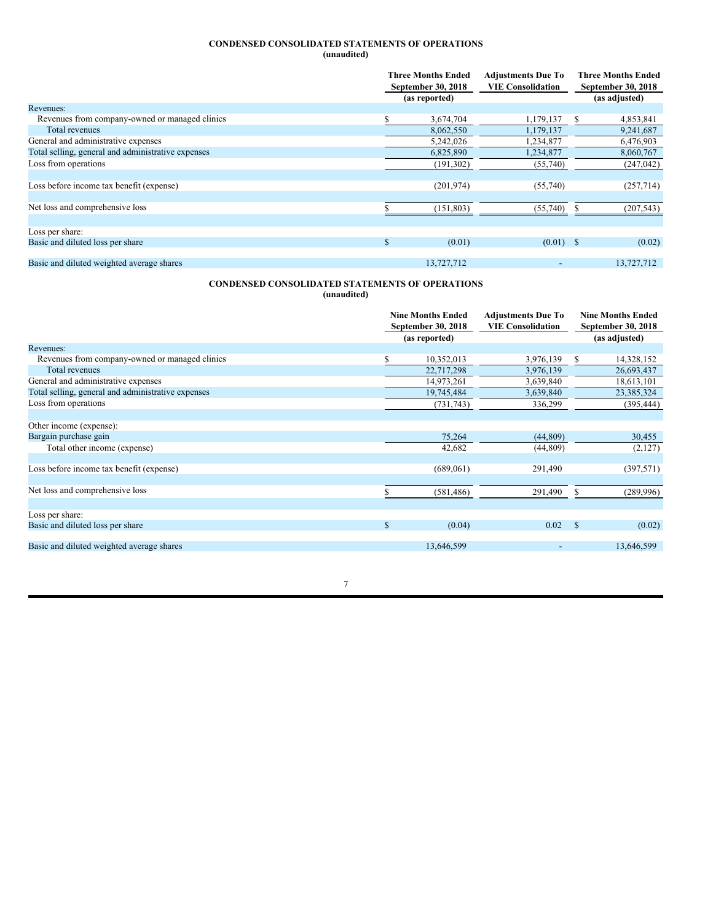# **CONDENSED CONSOLIDATED STATEMENTS OF OPERATIONS (unaudited)**

|                                                    |   | <b>Three Months Ended</b><br><b>Adjustments Due To</b> |                          |   | <b>Three Months Ended</b> |
|----------------------------------------------------|---|--------------------------------------------------------|--------------------------|---|---------------------------|
|                                                    |   | <b>September 30, 2018</b>                              | <b>VIE Consolidation</b> |   | September 30, 2018        |
|                                                    |   | (as reported)                                          |                          |   | (as adjusted)             |
| Revenues:                                          |   |                                                        |                          |   |                           |
| Revenues from company-owned or managed clinics     |   | 3,674,704                                              | 1,179,137                | S | 4,853,841                 |
| Total revenues                                     |   | 8,062,550                                              | 1,179,137                |   | 9,241,687                 |
| General and administrative expenses                |   | 5,242,026                                              | 1,234,877                |   | 6,476,903                 |
| Total selling, general and administrative expenses |   | 6,825,890                                              | 1,234,877                |   | 8,060,767                 |
| Loss from operations                               |   | (191, 302)                                             | (55,740)                 |   | (247, 042)                |
|                                                    |   |                                                        |                          |   |                           |
| Loss before income tax benefit (expense)           |   | (201, 974)                                             | (55,740)                 |   | (257, 714)                |
|                                                    |   |                                                        |                          |   |                           |
| Net loss and comprehensive loss                    |   | (151, 803)                                             | (55,740)                 |   | (207, 543)                |
|                                                    |   |                                                        |                          |   |                           |
| Loss per share:                                    |   |                                                        |                          |   |                           |
| Basic and diluted loss per share                   | S | (0.01)                                                 | $(0.01)$ \$              |   | (0.02)                    |
|                                                    |   |                                                        |                          |   |                           |
| Basic and diluted weighted average shares          |   | 13,727,712                                             |                          |   | 13.727.712                |

# **CONDENSED CONSOLIDATED STATEMENTS OF OPERATIONS**

**(unaudited)**

|                                                    | <b>Nine Months Ended</b> |                    | <b>Adjustments Due To</b> |               | <b>Nine Months Ended</b> |
|----------------------------------------------------|--------------------------|--------------------|---------------------------|---------------|--------------------------|
|                                                    |                          | September 30, 2018 | <b>VIE Consolidation</b>  |               | September 30, 2018       |
|                                                    |                          | (as reported)      |                           |               | (as adjusted)            |
| Revenues:                                          |                          |                    |                           |               |                          |
| Revenues from company-owned or managed clinics     | \$.                      | 10,352,013         | 3,976,139                 | S             | 14,328,152               |
| <b>Total revenues</b>                              |                          | 22,717,298         | 3,976,139                 |               | 26,693,437               |
| General and administrative expenses                |                          | 14,973,261         | 3,639,840                 |               | 18,613,101               |
| Total selling, general and administrative expenses |                          | 19,745,484         | 3,639,840                 |               | 23,385,324               |
| Loss from operations                               |                          | (731, 743)         | 336,299                   |               | (395, 444)               |
|                                                    |                          |                    |                           |               |                          |
| Other income (expense):                            |                          |                    |                           |               |                          |
| Bargain purchase gain                              |                          | 75,264             | (44, 809)                 |               | 30,455                   |
| Total other income (expense)                       |                          | 42,682             | (44, 809)                 |               | (2,127)                  |
|                                                    |                          |                    |                           |               |                          |
| Loss before income tax benefit (expense)           |                          | (689,061)          | 291,490                   |               | (397, 571)               |
|                                                    |                          |                    |                           |               |                          |
| Net loss and comprehensive loss                    |                          | (581, 486)         | 291,490                   |               | (289,996)                |
|                                                    |                          |                    |                           |               |                          |
| Loss per share:                                    |                          |                    |                           |               |                          |
| Basic and diluted loss per share                   | $\mathbb{S}$             | (0.04)             | 0.02                      | <sup>\$</sup> | (0.02)                   |
|                                                    |                          |                    |                           |               |                          |
| Basic and diluted weighted average shares          |                          | 13,646,599         | $\overline{\phantom{a}}$  |               | 13,646,599               |
|                                                    |                          |                    |                           |               |                          |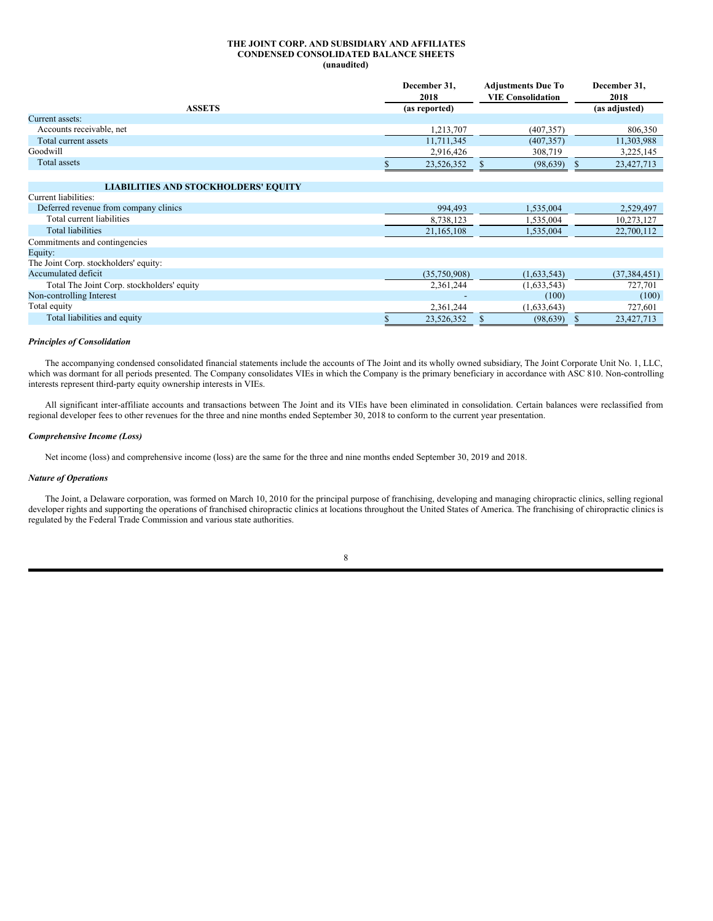# **THE JOINT CORP. AND SUBSIDIARY AND AFFILIATES CONDENSED CONSOLIDATED BALANCE SHEETS (unaudited)**

|                                             | December 31,<br>2018 |               | <b>Adjustments Due To</b><br><b>VIE Consolidation</b> |    | December 31,<br>2018 |
|---------------------------------------------|----------------------|---------------|-------------------------------------------------------|----|----------------------|
| <b>ASSETS</b>                               | (as reported)        |               |                                                       |    | (as adjusted)        |
| Current assets:                             |                      |               |                                                       |    |                      |
| Accounts receivable, net                    | 1,213,707            |               | (407, 357)                                            |    | 806,350              |
| Total current assets                        | 11,711,345           |               | (407, 357)                                            |    | 11,303,988           |
| Goodwill                                    | 2,916,426            |               | 308,719                                               |    | 3,225,145            |
| Total assets                                | 23,526,352           | <sup>\$</sup> | (98, 639)                                             | -S | 23,427,713           |
|                                             |                      |               |                                                       |    |                      |
| <b>LIABILITIES AND STOCKHOLDERS' EQUITY</b> |                      |               |                                                       |    |                      |
| Current liabilities:                        |                      |               |                                                       |    |                      |
| Deferred revenue from company clinics       |                      | 994,493       | 1,535,004                                             |    | 2,529,497            |
| Total current liabilities                   | 8,738,123            |               | 1,535,004                                             |    | 10,273,127           |
| <b>Total liabilities</b>                    | 21,165,108           |               | 1,535,004                                             |    | 22,700,112           |
| Commitments and contingencies               |                      |               |                                                       |    |                      |
| Equity:                                     |                      |               |                                                       |    |                      |
| The Joint Corp. stockholders' equity:       |                      |               |                                                       |    |                      |
| Accumulated deficit                         | (35,750,908)         |               | (1,633,543)                                           |    | (37, 384, 451)       |
| Total The Joint Corp. stockholders' equity  | 2,361,244            |               | (1,633,543)                                           |    | 727,701              |
| Non-controlling Interest                    |                      |               | (100)                                                 |    | (100)                |
| Total equity                                | 2,361,244            |               | (1,633,643)                                           |    | 727,601              |
| Total liabilities and equity                | 23,526,352           | $\mathbb{S}$  | (98, 639)                                             | -S | 23,427,713           |
|                                             |                      |               |                                                       |    |                      |

### *Principles of Consolidation*

The accompanying condensed consolidated financial statements include the accounts of The Joint and its wholly owned subsidiary, The Joint Corporate Unit No. 1, LLC, which was dormant for all periods presented. The Company consolidates VIEs in which the Company is the primary beneficiary in accordance with ASC 810. Non-controlling interests represent third-party equity ownership interests in VIEs.

All significant inter-affiliate accounts and transactions between The Joint and its VIEs have been eliminated in consolidation. Certain balances were reclassified from regional developer fees to other revenues for the three and nine months ended September 30, 2018 to conform to the current year presentation.

# *Comprehensive Income (Loss)*

Net income (loss) and comprehensive income (loss) are the same for the three and nine months ended September 30, 2019 and 2018.

# *Nature of Operations*

The Joint, a Delaware corporation, was formed on March 10, 2010 for the principal purpose of franchising, developing and managing chiropractic clinics, selling regional developer rights and supporting the operations of franchised chiropractic clinics at locations throughout the United States of America. The franchising of chiropractic clinics is regulated by the Federal Trade Commission and various state authorities.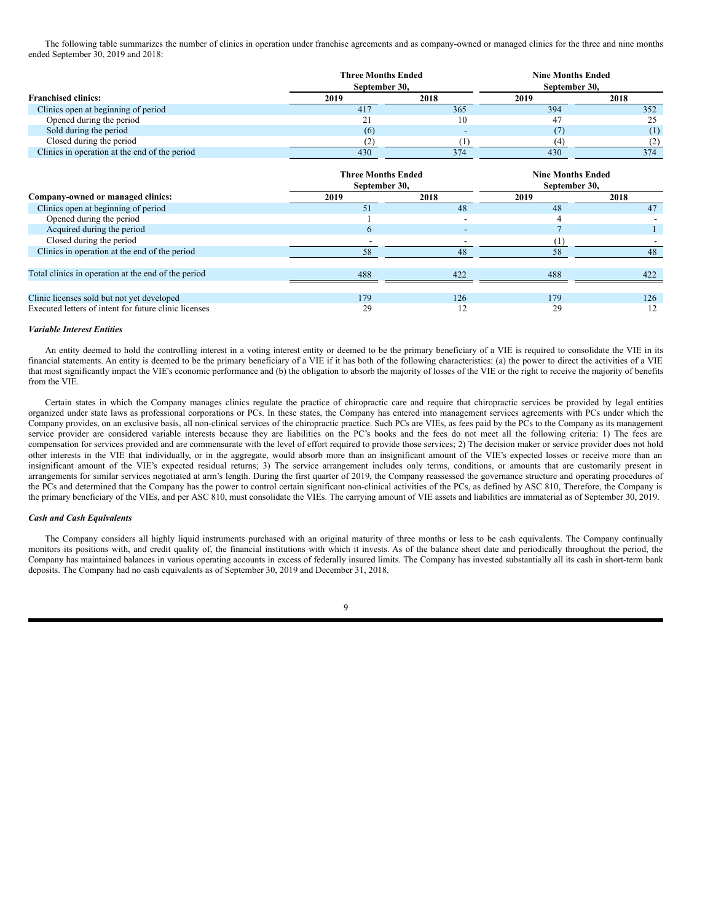The following table summarizes the number of clinics in operation under franchise agreements and as company-owned or managed clinics for the three and nine months ended September 30, 2019 and 2018:

|                                               | <b>Three Months Ended</b><br>September 30, | <b>Nine Months Ended</b><br>September 30, |                                           |      |  |
|-----------------------------------------------|--------------------------------------------|-------------------------------------------|-------------------------------------------|------|--|
| <b>Franchised clinics:</b>                    | 2019                                       | 2018                                      | 2019                                      | 2018 |  |
| Clinics open at beginning of period           | 417                                        | 365                                       | 394                                       | 352  |  |
| Opened during the period                      | 21                                         | 10                                        | 47                                        | 25   |  |
| Sold during the period                        | (6)                                        |                                           | (7)                                       | (1)  |  |
| Closed during the period                      |                                            | T                                         | (4)                                       | (2)  |  |
| Clinics in operation at the end of the period | 430                                        | 374                                       | 430                                       | 374  |  |
|                                               | <b>Three Months Ended</b><br>September 30, |                                           | <b>Nine Months Ended</b><br>September 30, |      |  |
| Company-owned or managed clinics:             | 2019                                       | 2018                                      | 2019                                      | 2018 |  |
| Clinics open at beginning of period           | 51                                         | 48                                        | 48                                        | 47   |  |
| Opened during the period                      |                                            |                                           |                                           |      |  |
| Acquired during the period                    | 6                                          |                                           |                                           |      |  |

| Closed during the period                              |     |     |     |     |
|-------------------------------------------------------|-----|-----|-----|-----|
| Clinics in operation at the end of the period         |     |     |     | 48  |
|                                                       |     |     |     |     |
| Total clinics in operation at the end of the period   | 488 | 422 | 488 | 422 |
|                                                       |     |     |     |     |
| Clinic licenses sold but not yet developed            | 179 | 126 | 179 | 126 |
| Executed letters of intent for future clinic licenses | 29  |     | 29  |     |

#### *Variable Interest Entities*

An entity deemed to hold the controlling interest in a voting interest entity or deemed to be the primary beneficiary of a VIE is required to consolidate the VIE in its financial statements. An entity is deemed to be the primary beneficiary of a VIE if it has both of the following characteristics: (a) the power to direct the activities of a VIE that most significantly impact the VIE's economic performance and (b) the obligation to absorb the majority of losses of the VIE or the right to receive the majority of benefits from the VIE.

Certain states in which the Company manages clinics regulate the practice of chiropractic care and require that chiropractic services be provided by legal entities organized under state laws as professional corporations or PCs. In these states, the Company has entered into management services agreements with PCs under which the Company provides, on an exclusive basis, all non-clinical services of the chiropractic practice. Such PCs are VIEs, as fees paid by the PCs to the Company as its management service provider are considered variable interests because they are liabilities on the PC's books and the fees do not meet all the following criteria: 1) The fees are compensation for services provided and are commensurate with the level of effort required to provide those services; 2) The decision maker or service provider does not hold other interests in the VIE that individually, or in the aggregate, would absorb more than an insignificant amount of the VIE's expected losses or receive more than an insignificant amount of the VIE's expected residual returns; 3) The service arrangement includes only terms, conditions, or amounts that are customarily present in arrangements for similar services negotiated at arm's length. During the first quarter of 2019, the Company reassessed the governance structure and operating procedures of the PCs and determined that the Company has the power to control certain significant non-clinical activities of the PCs, as defined by ASC 810, Therefore, the Company is the primary beneficiary of the VIEs, and per ASC 810, must consolidate the VIEs. The carrying amount of VIE assets and liabilities are immaterial as of September 30, 2019.

### *Cash and Cash Equivalents*

The Company considers all highly liquid instruments purchased with an original maturity of three months or less to be cash equivalents. The Company continually monitors its positions with, and credit quality of, the financial institutions with which it invests. As of the balance sheet date and periodically throughout the period, the Company has maintained balances in various operating accounts in excess of federally insured limits. The Company has invested substantially all its cash in short-term bank deposits. The Company had no cash equivalents as of September 30, 2019 and December 31, 2018.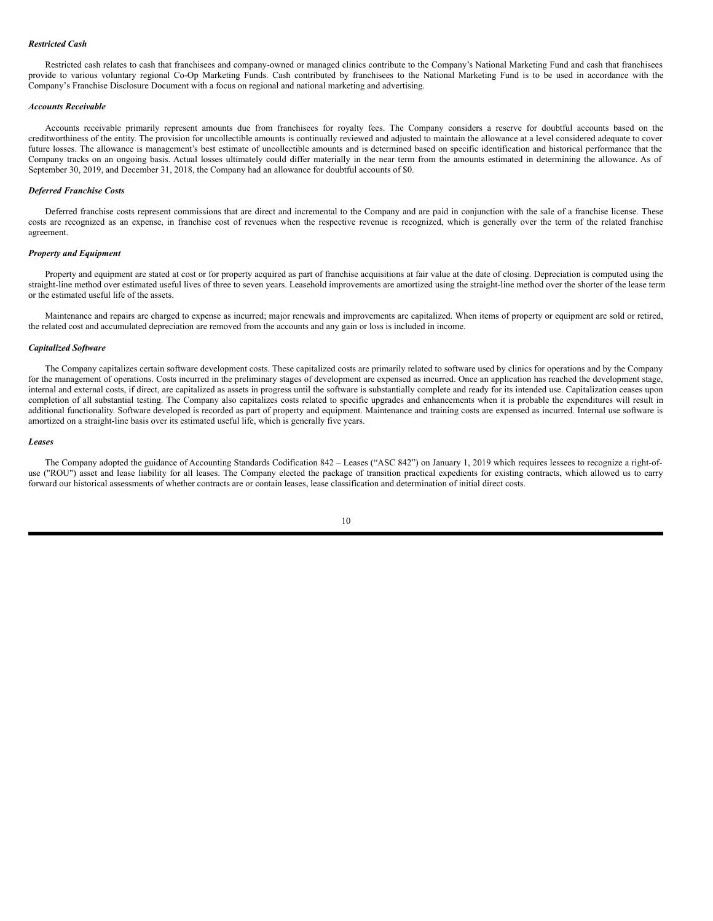# *Restricted Cash*

Restricted cash relates to cash that franchisees and company-owned or managed clinics contribute to the Company's National Marketing Fund and cash that franchisees provide to various voluntary regional Co-Op Marketing Funds. Cash contributed by franchisees to the National Marketing Fund is to be used in accordance with the Company's Franchise Disclosure Document with a focus on regional and national marketing and advertising.

# *Accounts Receivable*

Accounts receivable primarily represent amounts due from franchisees for royalty fees. The Company considers a reserve for doubtful accounts based on the creditworthiness of the entity. The provision for uncollectible amounts is continually reviewed and adjusted to maintain the allowance at a level considered adequate to cover future losses. The allowance is management's best estimate of uncollectible amounts and is determined based on specific identification and historical performance that the Company tracks on an ongoing basis. Actual losses ultimately could differ materially in the near term from the amounts estimated in determining the allowance. As of September 30, 2019, and December 31, 2018, the Company had an allowance for doubtful accounts of \$0.

# *Deferred Franchise Costs*

Deferred franchise costs represent commissions that are direct and incremental to the Company and are paid in conjunction with the sale of a franchise license. These costs are recognized as an expense, in franchise cost of revenues when the respective revenue is recognized, which is generally over the term of the related franchise agreement.

### *Property and Equipment*

Property and equipment are stated at cost or for property acquired as part of franchise acquisitions at fair value at the date of closing. Depreciation is computed using the straight-line method over estimated useful lives of three to seven years. Leasehold improvements are amortized using the straight-line method over the shorter of the lease term or the estimated useful life of the assets.

Maintenance and repairs are charged to expense as incurred; major renewals and improvements are capitalized. When items of property or equipment are sold or retired, the related cost and accumulated depreciation are removed from the accounts and any gain or loss is included in income.

# *Capitalized Software*

The Company capitalizes certain software development costs. These capitalized costs are primarily related to software used by clinics for operations and by the Company for the management of operations. Costs incurred in the preliminary stages of development are expensed as incurred. Once an application has reached the development stage, internal and external costs, if direct, are capitalized as assets in progress until the software is substantially complete and ready for its intended use. Capitalization ceases upon completion of all substantial testing. The Company also capitalizes costs related to specific upgrades and enhancements when it is probable the expenditures will result in additional functionality. Software developed is recorded as part of property and equipment. Maintenance and training costs are expensed as incurred. Internal use software is amortized on a straight-line basis over its estimated useful life, which is generally five years.

#### *Leases*

The Company adopted the guidance of Accounting Standards Codification 842 – Leases ("ASC 842") on January 1, 2019 which requires lessees to recognize a right-ofuse ("ROU") asset and lease liability for all leases. The Company elected the package of transition practical expedients for existing contracts, which allowed us to carry forward our historical assessments of whether contracts are or contain leases, lease classification and determination of initial direct costs.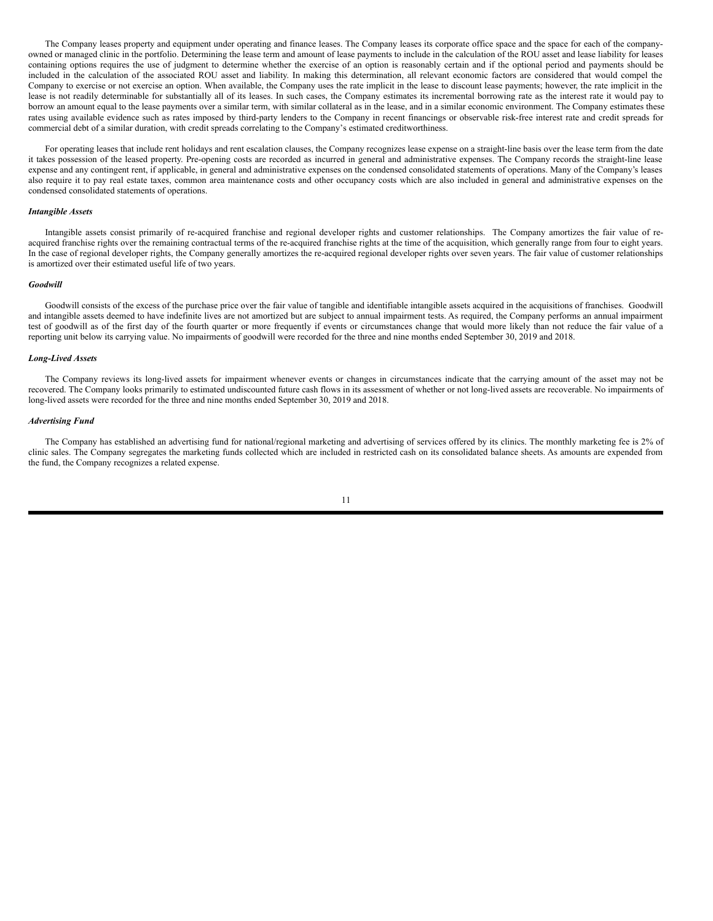The Company leases property and equipment under operating and finance leases. The Company leases its corporate office space and the space for each of the companyowned or managed clinic in the portfolio. Determining the lease term and amount of lease payments to include in the calculation of the ROU asset and lease liability for leases containing options requires the use of judgment to determine whether the exercise of an option is reasonably certain and if the optional period and payments should be included in the calculation of the associated ROU asset and liability. In making this determination, all relevant economic factors are considered that would compel the Company to exercise or not exercise an option. When available, the Company uses the rate implicit in the lease to discount lease payments; however, the rate implicit in the lease is not readily determinable for substantially all of its leases. In such cases, the Company estimates its incremental borrowing rate as the interest rate it would pay to borrow an amount equal to the lease payments over a similar term, with similar collateral as in the lease, and in a similar economic environment. The Company estimates these rates using available evidence such as rates imposed by third-party lenders to the Company in recent financings or observable risk-free interest rate and credit spreads for commercial debt of a similar duration, with credit spreads correlating to the Company's estimated creditworthiness.

For operating leases that include rent holidays and rent escalation clauses, the Company recognizes lease expense on a straight-line basis over the lease term from the date it takes possession of the leased property. Pre-opening costs are recorded as incurred in general and administrative expenses. The Company records the straight-line lease expense and any contingent rent, if applicable, in general and administrative expenses on the condensed consolidated statements of operations. Many of the Company's leases also require it to pay real estate taxes, common area maintenance costs and other occupancy costs which are also included in general and administrative expenses on the condensed consolidated statements of operations.

# *Intangible Assets*

Intangible assets consist primarily of re-acquired franchise and regional developer rights and customer relationships. The Company amortizes the fair value of reacquired franchise rights over the remaining contractual terms of the re-acquired franchise rights at the time of the acquisition, which generally range from four to eight years. In the case of regional developer rights, the Company generally amortizes the re-acquired regional developer rights over seven years. The fair value of customer relationships is amortized over their estimated useful life of two years.

#### *Goodwill*

Goodwill consists of the excess of the purchase price over the fair value of tangible and identifiable intangible assets acquired in the acquisitions of franchises. Goodwill and intangible assets deemed to have indefinite lives are not amortized but are subject to annual impairment tests. As required, the Company performs an annual impairment test of goodwill as of the first day of the fourth quarter or more frequently if events or circumstances change that would more likely than not reduce the fair value of a reporting unit below its carrying value. No impairments of goodwill were recorded for the three and nine months ended September 30, 2019 and 2018.

### *Long-Lived Assets*

The Company reviews its long-lived assets for impairment whenever events or changes in circumstances indicate that the carrying amount of the asset may not be recovered. The Company looks primarily to estimated undiscounted future cash flows in its assessment of whether or not long-lived assets are recoverable. No impairments of long-lived assets were recorded for the three and nine months ended September 30, 2019 and 2018.

# *Advertising Fund*

The Company has established an advertising fund for national/regional marketing and advertising of services offered by its clinics. The monthly marketing fee is 2% of clinic sales. The Company segregates the marketing funds collected which are included in restricted cash on its consolidated balance sheets. As amounts are expended from the fund, the Company recognizes a related expense.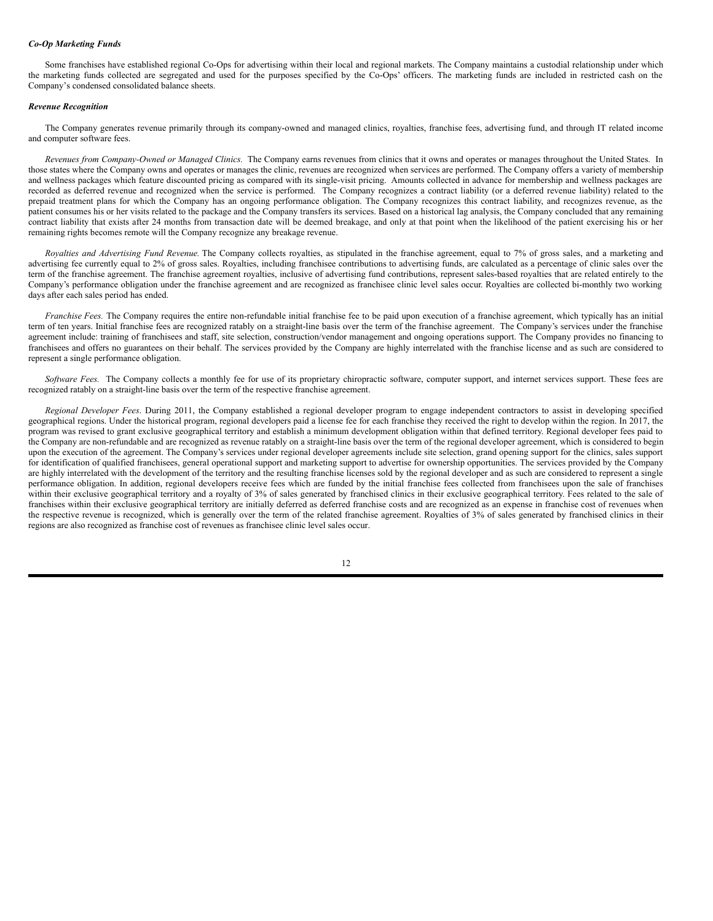# *Co-Op Marketing Funds*

Some franchises have established regional Co-Ops for advertising within their local and regional markets. The Company maintains a custodial relationship under which the marketing funds collected are segregated and used for the purposes specified by the Co-Ops' officers. The marketing funds are included in restricted cash on the Company's condensed consolidated balance sheets.

# *Revenue Recognition*

The Company generates revenue primarily through its company-owned and managed clinics, royalties, franchise fees, advertising fund, and through IT related income and computer software fees.

*Revenues from Company-Owned or Managed Clinics.* The Company earns revenues from clinics that it owns and operates or manages throughout the United States. In those states where the Company owns and operates or manages the clinic, revenues are recognized when services are performed. The Company offers a variety of membership and wellness packages which feature discounted pricing as compared with its single-visit pricing. Amounts collected in advance for membership and wellness packages are recorded as deferred revenue and recognized when the service is performed. The Company recognizes a contract liability (or a deferred revenue liability) related to the prepaid treatment plans for which the Company has an ongoing performance obligation. The Company recognizes this contract liability, and recognizes revenue, as the patient consumes his or her visits related to the package and the Company transfers its services. Based on a historical lag analysis, the Company concluded that any remaining contract liability that exists after 24 months from transaction date will be deemed breakage, and only at that point when the likelihood of the patient exercising his or her remaining rights becomes remote will the Company recognize any breakage revenue.

*Royalties and Advertising Fund Revenue.* The Company collects royalties, as stipulated in the franchise agreement, equal to 7% of gross sales, and a marketing and advertising fee currently equal to 2% of gross sales. Royalties, including franchisee contributions to advertising funds, are calculated as a percentage of clinic sales over the term of the franchise agreement. The franchise agreement royalties, inclusive of advertising fund contributions, represent sales-based royalties that are related entirely to the Company's performance obligation under the franchise agreement and are recognized as franchisee clinic level sales occur. Royalties are collected bi-monthly two working days after each sales period has ended.

*Franchise Fees.* The Company requires the entire non-refundable initial franchise fee to be paid upon execution of a franchise agreement, which typically has an initial term of ten years. Initial franchise fees are recognized ratably on a straight-line basis over the term of the franchise agreement. The Company's services under the franchise agreement include: training of franchisees and staff, site selection, construction/vendor management and ongoing operations support. The Company provides no financing to franchisees and offers no guarantees on their behalf. The services provided by the Company are highly interrelated with the franchise license and as such are considered to represent a single performance obligation.

*Software Fees.* The Company collects a monthly fee for use of its proprietary chiropractic software, computer support, and internet services support. These fees are recognized ratably on a straight-line basis over the term of the respective franchise agreement.

*Regional Developer Fees*. During 2011, the Company established a regional developer program to engage independent contractors to assist in developing specified geographical regions. Under the historical program, regional developers paid a license fee for each franchise they received the right to develop within the region. In 2017, the program was revised to grant exclusive geographical territory and establish a minimum development obligation within that defined territory. Regional developer fees paid to the Company are non-refundable and are recognized as revenue ratably on a straight-line basis over the term of the regional developer agreement, which is considered to begin upon the execution of the agreement. The Company's services under regional developer agreements include site selection, grand opening support for the clinics, sales support for identification of qualified franchisees, general operational support and marketing support to advertise for ownership opportunities. The services provided by the Company are highly interrelated with the development of the territory and the resulting franchise licenses sold by the regional developer and as such are considered to represent a single performance obligation. In addition, regional developers receive fees which are funded by the initial franchise fees collected from franchisees upon the sale of franchises within their exclusive geographical territory and a royalty of 3% of sales generated by franchised clinics in their exclusive geographical territory. Fees related to the sale of franchises within their exclusive geographical territory are initially deferred as deferred franchise costs and are recognized as an expense in franchise cost of revenues when the respective revenue is recognized, which is generally over the term of the related franchise agreement. Royalties of 3% of sales generated by franchised clinics in their regions are also recognized as franchise cost of revenues as franchisee clinic level sales occur.

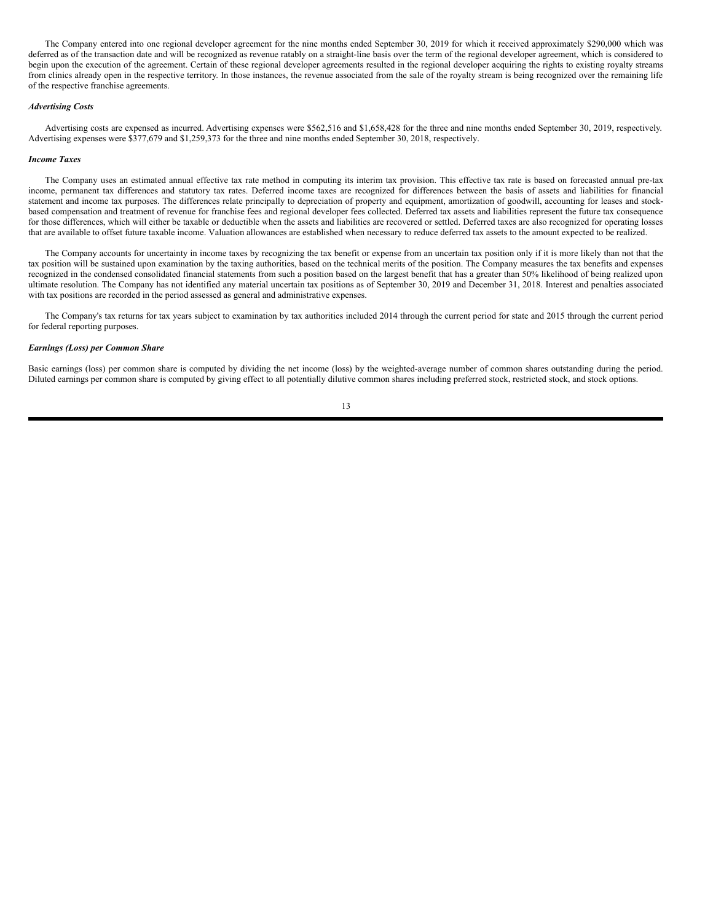The Company entered into one regional developer agreement for the nine months ended September 30, 2019 for which it received approximately \$290,000 which was deferred as of the transaction date and will be recognized as revenue ratably on a straight-line basis over the term of the regional developer agreement, which is considered to begin upon the execution of the agreement. Certain of these regional developer agreements resulted in the regional developer acquiring the rights to existing royalty streams from clinics already open in the respective territory. In those instances, the revenue associated from the sale of the royalty stream is being recognized over the remaining life of the respective franchise agreements.

# *Advertising Costs*

Advertising costs are expensed as incurred. Advertising expenses were \$562,516 and \$1,658,428 for the three and nine months ended September 30, 2019, respectively. Advertising expenses were \$377,679 and \$1,259,373 for the three and nine months ended September 30, 2018, respectively.

#### *Income Taxes*

The Company uses an estimated annual effective tax rate method in computing its interim tax provision. This effective tax rate is based on forecasted annual pre-tax income, permanent tax differences and statutory tax rates. Deferred income taxes are recognized for differences between the basis of assets and liabilities for financial statement and income tax purposes. The differences relate principally to depreciation of property and equipment, amortization of goodwill, accounting for leases and stockbased compensation and treatment of revenue for franchise fees and regional developer fees collected. Deferred tax assets and liabilities represent the future tax consequence for those differences, which will either be taxable or deductible when the assets and liabilities are recovered or settled. Deferred taxes are also recognized for operating losses that are available to offset future taxable income. Valuation allowances are established when necessary to reduce deferred tax assets to the amount expected to be realized.

The Company accounts for uncertainty in income taxes by recognizing the tax benefit or expense from an uncertain tax position only if it is more likely than not that the tax position will be sustained upon examination by the taxing authorities, based on the technical merits of the position. The Company measures the tax benefits and expenses recognized in the condensed consolidated financial statements from such a position based on the largest benefit that has a greater than 50% likelihood of being realized upon ultimate resolution. The Company has not identified any material uncertain tax positions as of September 30, 2019 and December 31, 2018. Interest and penalties associated with tax positions are recorded in the period assessed as general and administrative expenses.

The Company's tax returns for tax years subject to examination by tax authorities included 2014 through the current period for state and 2015 through the current period for federal reporting purposes.

### *Earnings (Loss) per Common Share*

Basic earnings (loss) per common share is computed by dividing the net income (loss) by the weighted-average number of common shares outstanding during the period. Diluted earnings per common share is computed by giving effect to all potentially dilutive common shares including preferred stock, restricted stock, and stock options.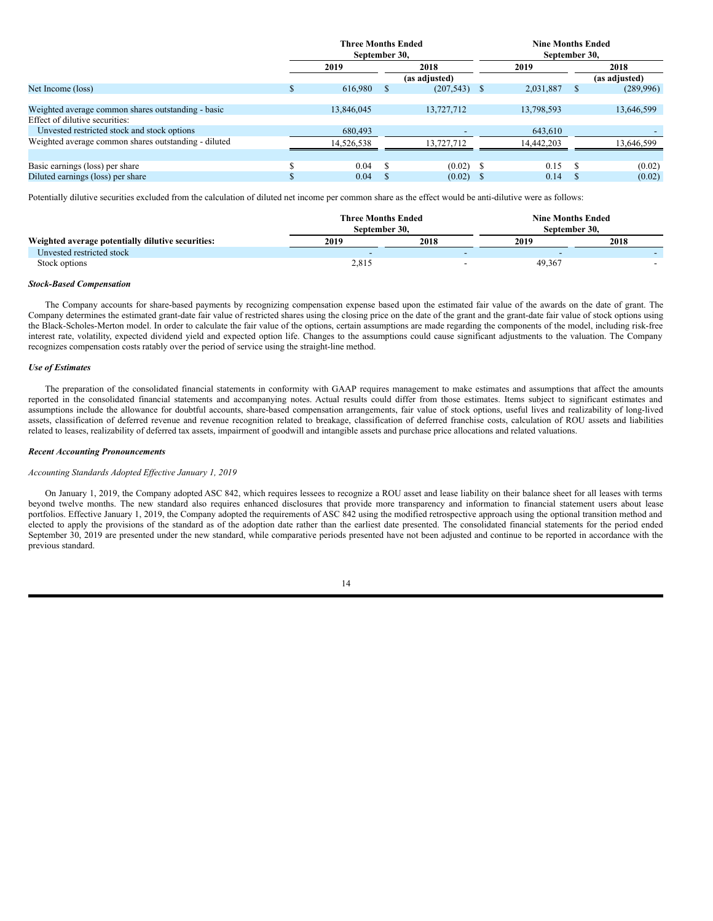|                                                      | <b>Three Months Ended</b> |               |    | <b>Nine Months Ended</b> |               |
|------------------------------------------------------|---------------------------|---------------|----|--------------------------|---------------|
|                                                      | September 30,             |               |    | September 30,            |               |
|                                                      | 2019                      | 2018          |    | 2019                     | 2018          |
|                                                      |                           | (as adjusted) |    |                          | (as adjusted) |
| Net Income (loss)                                    | 616,980                   | (207, 543)    | -S | 2,031,887                | (289,996)     |
| Weighted average common shares outstanding - basic   | 13,846,045                | 13,727,712    |    | 13,798,593               | 13,646,599    |
| Effect of dilutive securities:                       |                           |               |    |                          |               |
| Unvested restricted stock and stock options          | 680,493                   |               |    | 643.610                  |               |
| Weighted average common shares outstanding - diluted | 14.526.538                | 13,727,712    |    | 14,442,203               | 13.646.599    |
|                                                      |                           |               |    |                          |               |
| Basic earnings (loss) per share                      | 0.04                      | (0.02)        |    | 0.15                     | (0.02)        |
| Diluted earnings (loss) per share                    | 0.04                      | (0.02)        |    | 0.14                     | (0.02)        |

Potentially dilutive securities excluded from the calculation of diluted net income per common share as the effect would be anti-dilutive were as follows:

|                                                   | <b>Three Months Ended</b><br>September 30. |      | <b>Nine Months Ended</b><br>September 30. |      |
|---------------------------------------------------|--------------------------------------------|------|-------------------------------------------|------|
| Weighted average potentially dilutive securities: | 2019                                       | 2018 | 2019                                      | 2018 |
| Unvested restricted stock                         |                                            |      |                                           |      |
| Stock options                                     | 2,815                                      |      | 49.367                                    |      |

#### *Stock-Based Compensation*

The Company accounts for share-based payments by recognizing compensation expense based upon the estimated fair value of the awards on the date of grant. The Company determines the estimated grant-date fair value of restricted shares using the closing price on the date of the grant and the grant-date fair value of stock options using the Black-Scholes-Merton model. In order to calculate the fair value of the options, certain assumptions are made regarding the components of the model, including risk-free interest rate, volatility, expected dividend yield and expected option life. Changes to the assumptions could cause significant adjustments to the valuation. The Company recognizes compensation costs ratably over the period of service using the straight-line method.

### *Use of Estimates*

The preparation of the consolidated financial statements in conformity with GAAP requires management to make estimates and assumptions that affect the amounts reported in the consolidated financial statements and accompanying notes. Actual results could differ from those estimates. Items subject to significant estimates and assumptions include the allowance for doubtful accounts, share-based compensation arrangements, fair value of stock options, useful lives and realizability of long-lived assets, classification of deferred revenue and revenue recognition related to breakage, classification of deferred franchise costs, calculation of ROU assets and liabilities related to leases, realizability of deferred tax assets, impairment of goodwill and intangible assets and purchase price allocations and related valuations.

#### *Recent Accounting Pronouncements*

# *Accounting Standards Adopted Ef ective January 1, 2019*

On January 1, 2019, the Company adopted ASC 842, which requires lessees to recognize a ROU asset and lease liability on their balance sheet for all leases with terms beyond twelve months. The new standard also requires enhanced disclosures that provide more transparency and information to financial statement users about lease portfolios. Effective January 1, 2019, the Company adopted the requirements of ASC 842 using the modified retrospective approach using the optional transition method and elected to apply the provisions of the standard as of the adoption date rather than the earliest date presented. The consolidated financial statements for the period ended September 30, 2019 are presented under the new standard, while comparative periods presented have not been adjusted and continue to be reported in accordance with the previous standard.

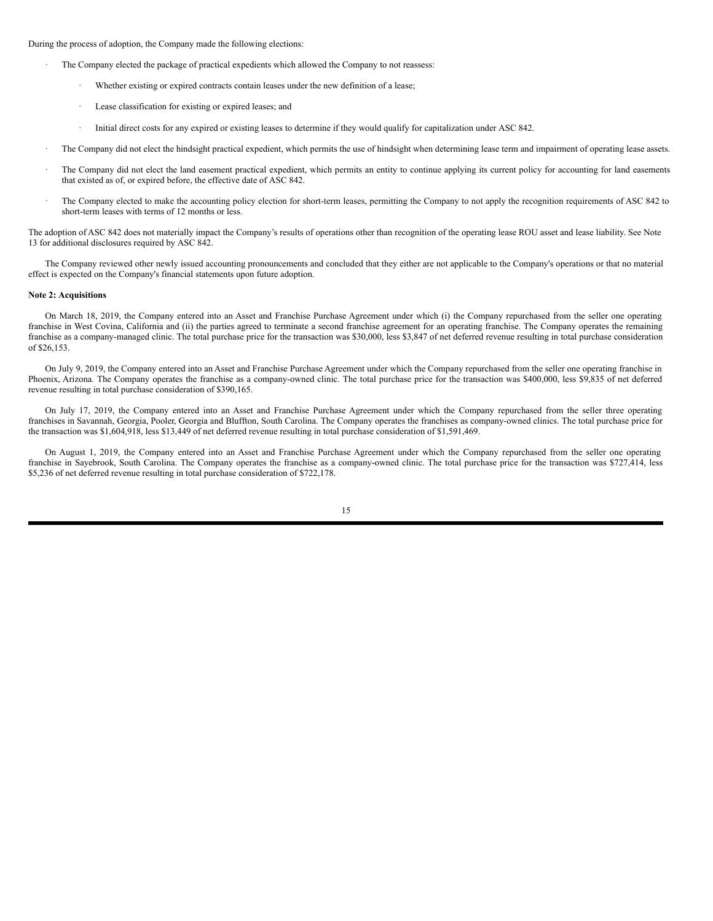During the process of adoption, the Company made the following elections:

- The Company elected the package of practical expedients which allowed the Company to not reassess:
	- Whether existing or expired contracts contain leases under the new definition of a lease;
	- · Lease classification for existing or expired leases; and
	- · Initial direct costs for any expired or existing leases to determine if they would qualify for capitalization under ASC 842.
- The Company did not elect the hindsight practical expedient, which permits the use of hindsight when determining lease term and impairment of operating lease assets.
- The Company did not elect the land easement practical expedient, which permits an entity to continue applying its current policy for accounting for land easements that existed as of, or expired before, the effective date of ASC 842.
- The Company elected to make the accounting policy election for short-term leases, permitting the Company to not apply the recognition requirements of ASC 842 to short-term leases with terms of 12 months or less.

The adoption of ASC 842 does not materially impact the Company's results of operations other than recognition of the operating lease ROU asset and lease liability. See Note 13 for additional disclosures required by ASC 842.

The Company reviewed other newly issued accounting pronouncements and concluded that they either are not applicable to the Company's operations or that no material effect is expected on the Company's financial statements upon future adoption.

### **Note 2: Acquisitions**

On March 18, 2019, the Company entered into an Asset and Franchise Purchase Agreement under which (i) the Company repurchased from the seller one operating franchise in West Covina, California and (ii) the parties agreed to terminate a second franchise agreement for an operating franchise. The Company operates the remaining franchise as a company-managed clinic. The total purchase price for the transaction was \$30,000, less \$3,847 of net deferred revenue resulting in total purchase consideration of \$26,153.

On July 9, 2019, the Company entered into an Asset and Franchise Purchase Agreement under which the Company repurchased from the seller one operating franchise in Phoenix, Arizona. The Company operates the franchise as a company-owned clinic. The total purchase price for the transaction was \$400,000, less \$9,835 of net deferred revenue resulting in total purchase consideration of \$390,165.

On July 17, 2019, the Company entered into an Asset and Franchise Purchase Agreement under which the Company repurchased from the seller three operating franchises in Savannah, Georgia, Pooler, Georgia and Bluffton, South Carolina. The Company operates the franchises as company-owned clinics. The total purchase price for the transaction was \$1,604,918, less \$13,449 of net deferred revenue resulting in total purchase consideration of \$1,591,469.

On August 1, 2019, the Company entered into an Asset and Franchise Purchase Agreement under which the Company repurchased from the seller one operating franchise in Sayebrook, South Carolina. The Company operates the franchise as a company-owned clinic. The total purchase price for the transaction was \$727,414, less \$5,236 of net deferred revenue resulting in total purchase consideration of \$722,178.

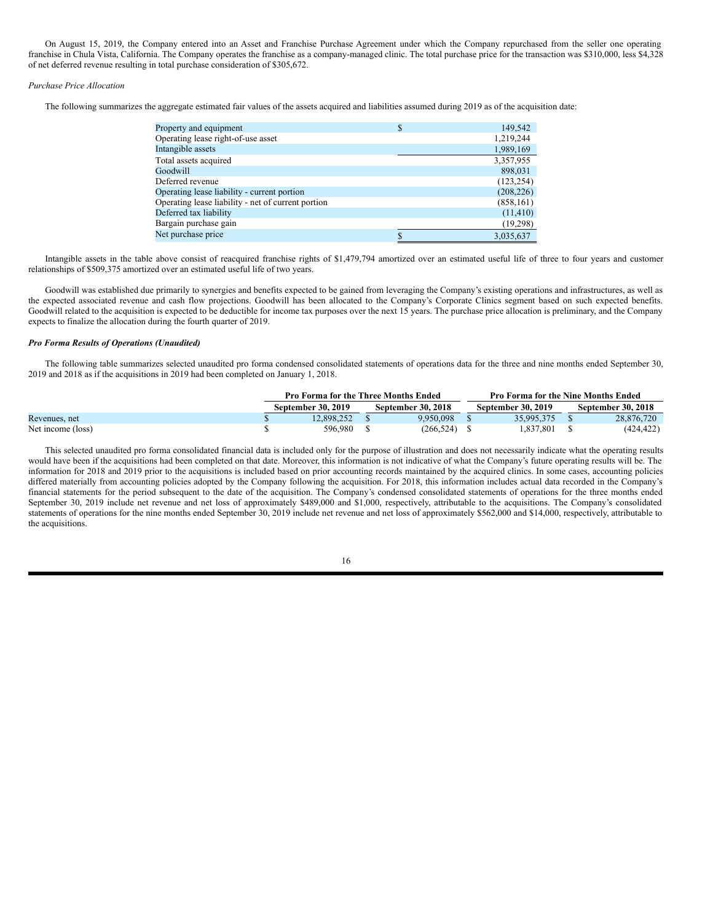On August 15, 2019, the Company entered into an Asset and Franchise Purchase Agreement under which the Company repurchased from the seller one operating franchise in Chula Vista, California. The Company operates the franchise as a company-managed clinic. The total purchase price for the transaction was \$310,000, less \$4,328 of net deferred revenue resulting in total purchase consideration of \$305,672.

### *Purchase Price Allocation*

The following summarizes the aggregate estimated fair values of the assets acquired and liabilities assumed during 2019 as of the acquisition date:

| Property and equipment                             | \$. | 149,542    |
|----------------------------------------------------|-----|------------|
| Operating lease right-of-use asset                 |     | 1,219,244  |
| Intangible assets                                  |     | 1,989,169  |
| Total assets acquired                              |     | 3,357,955  |
| Goodwill                                           |     | 898,031    |
| Deferred revenue                                   |     | (123, 254) |
| Operating lease liability - current portion        |     | (208, 226) |
| Operating lease liability - net of current portion |     | (858, 161) |
| Deferred tax liability                             |     | (11, 410)  |
| Bargain purchase gain                              |     | (19,298)   |
| Net purchase price                                 | S   | 3,035,637  |

Intangible assets in the table above consist of reacquired franchise rights of \$1,479,794 amortized over an estimated useful life of three to four years and customer relationships of \$509,375 amortized over an estimated useful life of two years.

Goodwill was established due primarily to synergies and benefits expected to be gained from leveraging the Company's existing operations and infrastructures, as well as the expected associated revenue and cash flow projections. Goodwill has been allocated to the Company's Corporate Clinics segment based on such expected benefits. Goodwill related to the acquisition is expected to be deductible for income tax purposes over the next 15 years. The purchase price allocation is preliminary, and the Company expects to finalize the allocation during the fourth quarter of 2019.

### *Pro Forma Results of Operations (Unaudited)*

The following table summarizes selected unaudited pro forma condensed consolidated statements of operations data for the three and nine months ended September 30, 2019 and 2018 as if the acquisitions in 2019 had been completed on January 1, 2018.

|                   | <b>Pro Forma for the Three Months Ended</b> |  |                           |  | <b>Pro Forma for the Nine Months Ended</b> |  |                    |  |
|-------------------|---------------------------------------------|--|---------------------------|--|--------------------------------------------|--|--------------------|--|
|                   | <b>September 30, 2019</b>                   |  | <b>September 30, 2018</b> |  | <b>September 30, 2019</b>                  |  | September 30, 2018 |  |
| Revenues, net     | 2.898.252                                   |  | 9.950.098                 |  | 35,995,375                                 |  | 28,876,720         |  |
| Net income (loss) | 596.980                                     |  | (266, 524)                |  | .837.801                                   |  | (424,422)          |  |

This selected unaudited pro forma consolidated financial data is included only for the purpose of illustration and does not necessarily indicate what the operating results would have been if the acquisitions had been completed on that date. Moreover, this information is not indicative of what the Company's future operating results will be. The information for 2018 and 2019 prior to the acquisitions is included based on prior accounting records maintained by the acquired clinics. In some cases, accounting policies differed materially from accounting policies adopted by the Company following the acquisition. For 2018, this information includes actual data recorded in the Company's financial statements for the period subsequent to the date of the acquisition. The Company's condensed consolidated statements of operations for the three months ended September 30, 2019 include net revenue and net loss of approximately \$489,000 and \$1,000, respectively, attributable to the acquisitions. The Company's consolidated statements of operations for the nine months ended September 30, 2019 include net revenue and net loss of approximately \$562,000 and \$14,000, respectively, attributable to the acquisitions.

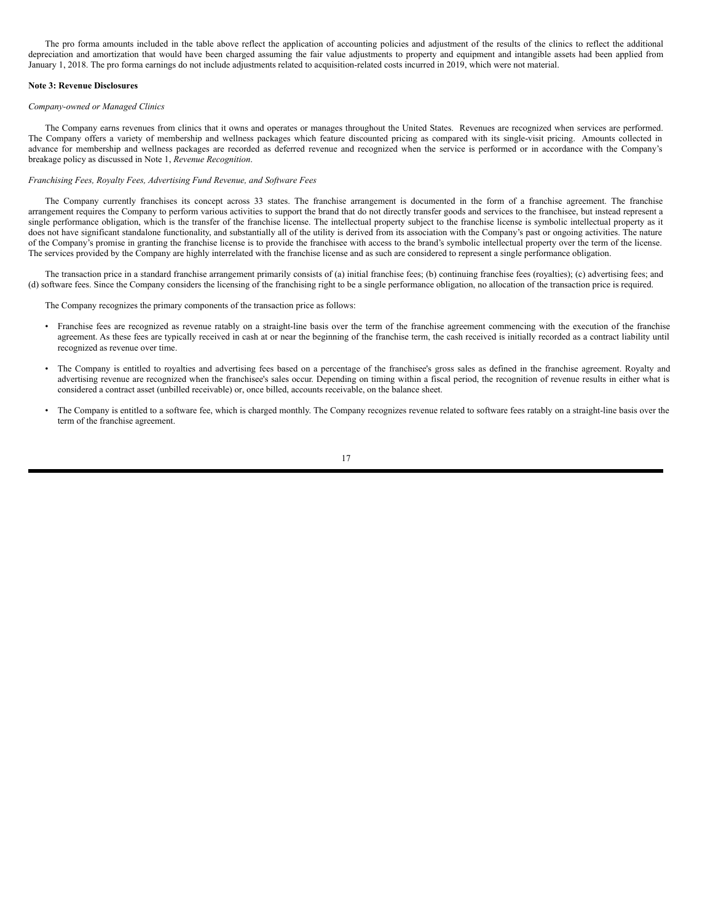The pro forma amounts included in the table above reflect the application of accounting policies and adjustment of the results of the clinics to reflect the additional depreciation and amortization that would have been charged assuming the fair value adjustments to property and equipment and intangible assets had been applied from January 1, 2018. The pro forma earnings do not include adjustments related to acquisition-related costs incurred in 2019, which were not material.

### **Note 3: Revenue Disclosures**

# *Company-owned or Managed Clinics*

The Company earns revenues from clinics that it owns and operates or manages throughout the United States. Revenues are recognized when services are performed. The Company offers a variety of membership and wellness packages which feature discounted pricing as compared with its single-visit pricing. Amounts collected in advance for membership and wellness packages are recorded as deferred revenue and recognized when the service is performed or in accordance with the Company's breakage policy as discussed in Note 1, *Revenue Recognition*.

### *Franchising Fees, Royalty Fees, Advertising Fund Revenue, and Software Fees*

The Company currently franchises its concept across 33 states. The franchise arrangement is documented in the form of a franchise agreement. The franchise arrangement requires the Company to perform various activities to support the brand that do not directly transfer goods and services to the franchisee, but instead represent a single performance obligation, which is the transfer of the franchise license. The intellectual property subject to the franchise license is symbolic intellectual property as it does not have significant standalone functionality, and substantially all of the utility is derived from its association with the Company's past or ongoing activities. The nature of the Company's promise in granting the franchise license is to provide the franchisee with access to the brand's symbolic intellectual property over the term of the license. The services provided by the Company are highly interrelated with the franchise license and as such are considered to represent a single performance obligation.

The transaction price in a standard franchise arrangement primarily consists of (a) initial franchise fees; (b) continuing franchise fees (royalties); (c) advertising fees; and (d) software fees. Since the Company considers the licensing of the franchising right to be a single performance obligation, no allocation of the transaction price is required.

The Company recognizes the primary components of the transaction price as follows:

- Franchise fees are recognized as revenue ratably on a straight-line basis over the term of the franchise agreement commencing with the execution of the franchise agreement. As these fees are typically received in cash at or near the beginning of the franchise term, the cash received is initially recorded as a contract liability until recognized as revenue over time.
- The Company is entitled to royalties and advertising fees based on a percentage of the franchisee's gross sales as defined in the franchise agreement. Royalty and advertising revenue are recognized when the franchisee's sales occur. Depending on timing within a fiscal period, the recognition of revenue results in either what is considered a contract asset (unbilled receivable) or, once billed, accounts receivable, on the balance sheet.
- The Company is entitled to a software fee, which is charged monthly. The Company recognizes revenue related to software fees ratably on a straight-line basis over the term of the franchise agreement.

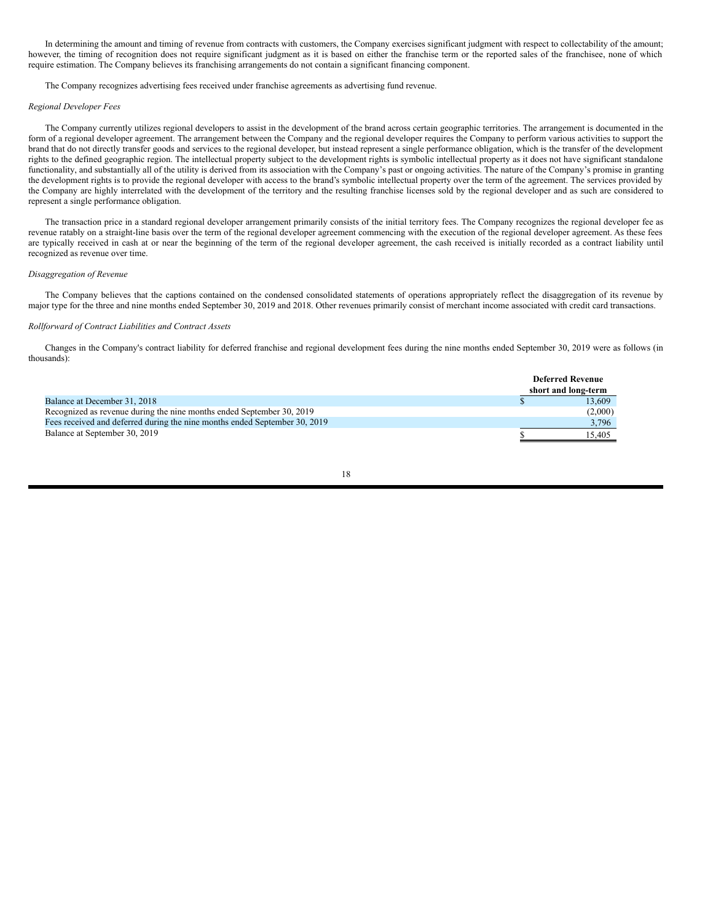In determining the amount and timing of revenue from contracts with customers, the Company exercises significant judgment with respect to collectability of the amount; however, the timing of recognition does not require significant judgment as it is based on either the franchise term or the reported sales of the franchisee, none of which require estimation. The Company believes its franchising arrangements do not contain a significant financing component.

The Company recognizes advertising fees received under franchise agreements as advertising fund revenue.

# *Regional Developer Fees*

The Company currently utilizes regional developers to assist in the development of the brand across certain geographic territories. The arrangement is documented in the form of a regional developer agreement. The arrangement between the Company and the regional developer requires the Company to perform various activities to support the brand that do not directly transfer goods and services to the regional developer, but instead represent a single performance obligation, which is the transfer of the development rights to the defined geographic region. The intellectual property subject to the development rights is symbolic intellectual property as it does not have significant standalone functionality, and substantially all of the utility is derived from its association with the Company's past or ongoing activities. The nature of the Company's promise in granting the development rights is to provide the regional developer with access to the brand's symbolic intellectual property over the term of the agreement. The services provided by the Company are highly interrelated with the development of the territory and the resulting franchise licenses sold by the regional developer and as such are considered to represent a single performance obligation.

The transaction price in a standard regional developer arrangement primarily consists of the initial territory fees. The Company recognizes the regional developer fee as revenue ratably on a straight-line basis over the term of the regional developer agreement commencing with the execution of the regional developer agreement. As these fees are typically received in cash at or near the beginning of the term of the regional developer agreement, the cash received is initially recorded as a contract liability until recognized as revenue over time.

### *Disaggregation of Revenue*

The Company believes that the captions contained on the condensed consolidated statements of operations appropriately reflect the disaggregation of its revenue by major type for the three and nine months ended September 30, 2019 and 2018. Other revenues primarily consist of merchant income associated with credit card transactions.

# *Rollforward of Contract Liabilities and Contract Assets*

Changes in the Company's contract liability for deferred franchise and regional development fees during the nine months ended September 30, 2019 were as follows (in thousands):

|                                                                            |                     | <b>Deferred Revenue</b> |
|----------------------------------------------------------------------------|---------------------|-------------------------|
|                                                                            | short and long-term |                         |
| Balance at December 31, 2018                                               |                     | 13.609                  |
| Recognized as revenue during the nine months ended September 30, 2019      |                     | (2,000)                 |
| Fees received and deferred during the nine months ended September 30, 2019 |                     | 3,796                   |
| Balance at September 30, 2019                                              |                     | 15.405                  |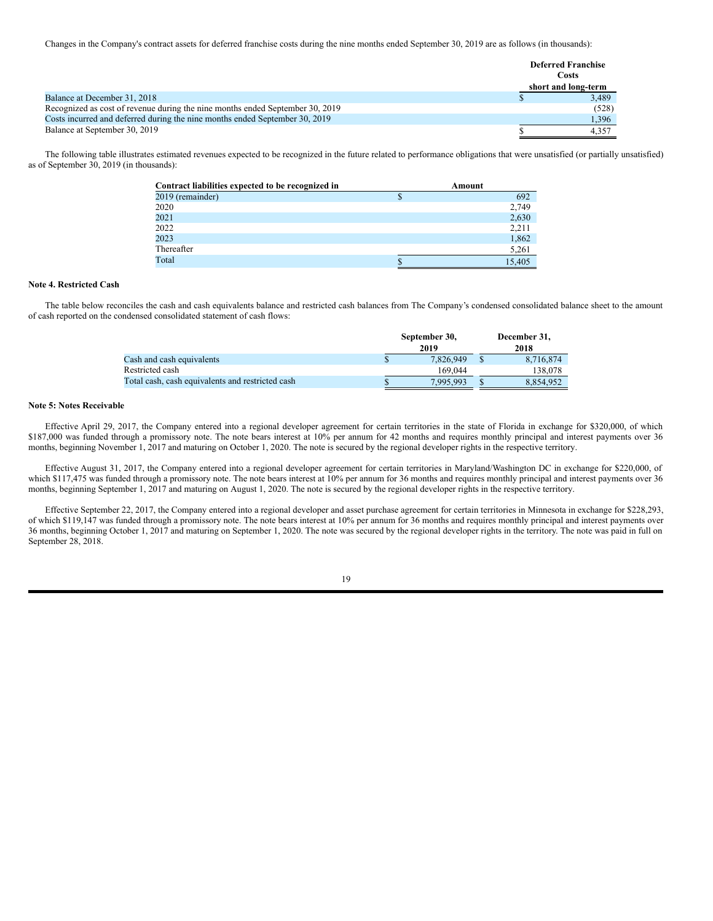Changes in the Company's contract assets for deferred franchise costs during the nine months ended September 30, 2019 are as follows (in thousands):

|                                                                               | <b>Deferred Franchise</b> |
|-------------------------------------------------------------------------------|---------------------------|
|                                                                               | Costs                     |
|                                                                               | short and long-term       |
| Balance at December 31, 2018                                                  | 3,489                     |
| Recognized as cost of revenue during the nine months ended September 30, 2019 | (528)                     |
| Costs incurred and deferred during the nine months ended September 30, 2019   | 1,396                     |
| Balance at September 30, 2019                                                 | 4.357                     |

The following table illustrates estimated revenues expected to be recognized in the future related to performance obligations that were unsatisfied (or partially unsatisfied) as of September 30, 2019 (in thousands):

| Contract liabilities expected to be recognized in | Amount |
|---------------------------------------------------|--------|
| 2019 (remainder)                                  | 692    |
| 2020                                              | 2,749  |
| 2021                                              | 2,630  |
| 2022                                              | 2,211  |
| 2023                                              | 1,862  |
| Thereafter                                        | 5,261  |
| Total                                             | 15.405 |

### **Note 4. Restricted Cash**

The table below reconciles the cash and cash equivalents balance and restricted cash balances from The Company's condensed consolidated balance sheet to the amount of cash reported on the condensed consolidated statement of cash flows:

|                                                  | September 30,   |  | December 31, |  |  |
|--------------------------------------------------|-----------------|--|--------------|--|--|
|                                                  | 2019            |  | 2018         |  |  |
| Cash and cash equivalents                        | 7.826.949       |  | 8.716.874    |  |  |
| Restricted cash                                  | 169.044         |  | 138,078      |  |  |
| Total cash, cash equivalents and restricted cash | \$<br>7.995.993 |  | 8.854.952    |  |  |
|                                                  |                 |  |              |  |  |

# **Note 5: Notes Receivable**

Effective April 29, 2017, the Company entered into a regional developer agreement for certain territories in the state of Florida in exchange for \$320,000, of which \$187,000 was funded through a promissory note. The note bears interest at 10% per annum for 42 months and requires monthly principal and interest payments over 36 months, beginning November 1, 2017 and maturing on October 1, 2020. The note is secured by the regional developer rights in the respective territory.

Effective August 31, 2017, the Company entered into a regional developer agreement for certain territories in Maryland/Washington DC in exchange for \$220,000, of which \$117,475 was funded through a promissory note. The note bears interest at 10% per annum for 36 months and requires monthly principal and interest payments over 36 months, beginning September 1, 2017 and maturing on August 1, 2020. The note is secured by the regional developer rights in the respective territory.

Effective September 22, 2017, the Company entered into a regional developer and asset purchase agreement for certain territories in Minnesota in exchange for \$228,293, of which \$119,147 was funded through a promissory note. The note bears interest at 10% per annum for 36 months and requires monthly principal and interest payments over 36 months, beginning October 1, 2017 and maturing on September 1, 2020. The note was secured by the regional developer rights in the territory. The note was paid in full on September 28, 2018.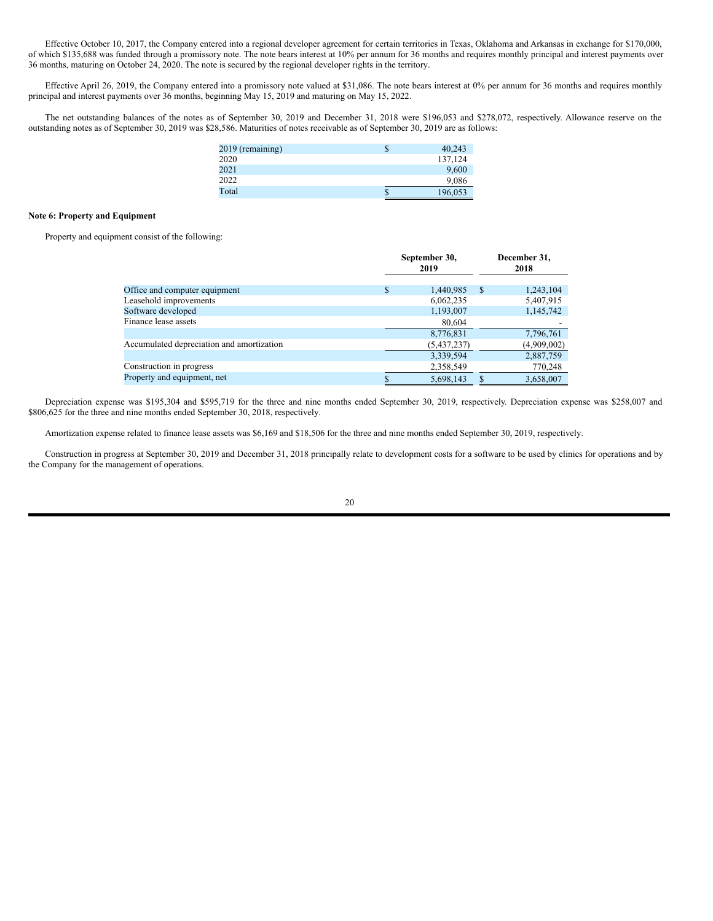Effective October 10, 2017, the Company entered into a regional developer agreement for certain territories in Texas, Oklahoma and Arkansas in exchange for \$170,000, of which \$135,688 was funded through a promissory note. The note bears interest at 10% per annum for 36 months and requires monthly principal and interest payments over 36 months, maturing on October 24, 2020. The note is secured by the regional developer rights in the territory.

Effective April 26, 2019, the Company entered into a promissory note valued at \$31,086. The note bears interest at  $0\%$  per annum for 36 months and requires monthly principal and interest payments over 36 months, beginning May 15, 2019 and maturing on May 15, 2022.

The net outstanding balances of the notes as of September 30, 2019 and December 31, 2018 were \$196,053 and \$278,072, respectively. Allowance reserve on the outstanding notes as of September 30, 2019 was \$28,586. Maturities of notes receivable as of September 30, 2019 are as follows:

| 2019 (remaining) | 40,243  |
|------------------|---------|
| 2020             | 137,124 |
| 2021             | 9,600   |
| 2022             | 9,086   |
| Total            | 196,053 |

# **Note 6: Property and Equipment**

Property and equipment consist of the following:

|                                           | September 30,<br>2019 |   | December 31,<br>2018 |
|-------------------------------------------|-----------------------|---|----------------------|
| Office and computer equipment             | \$<br>1,440,985       | S | 1,243,104            |
| Leasehold improvements                    | 6,062,235             |   | 5,407,915            |
| Software developed                        | 1,193,007             |   | 1,145,742            |
| Finance lease assets                      | 80,604                |   |                      |
|                                           | 8,776,831             |   | 7,796,761            |
| Accumulated depreciation and amortization | (5,437,237)           |   | (4,909,002)          |
|                                           | 3,339,594             |   | 2,887,759            |
| Construction in progress                  | 2,358,549             |   | 770,248              |
| Property and equipment, net               | 5,698,143             |   | 3,658,007            |

Depreciation expense was \$195,304 and \$595,719 for the three and nine months ended September 30, 2019, respectively. Depreciation expense was \$258,007 and \$806,625 for the three and nine months ended September 30, 2018, respectively.

Amortization expense related to finance lease assets was \$6,169 and \$18,506 for the three and nine months ended September 30, 2019, respectively.

Construction in progress at September 30, 2019 and December 31, 2018 principally relate to development costs for a software to be used by clinics for operations and by the Company for the management of operations.

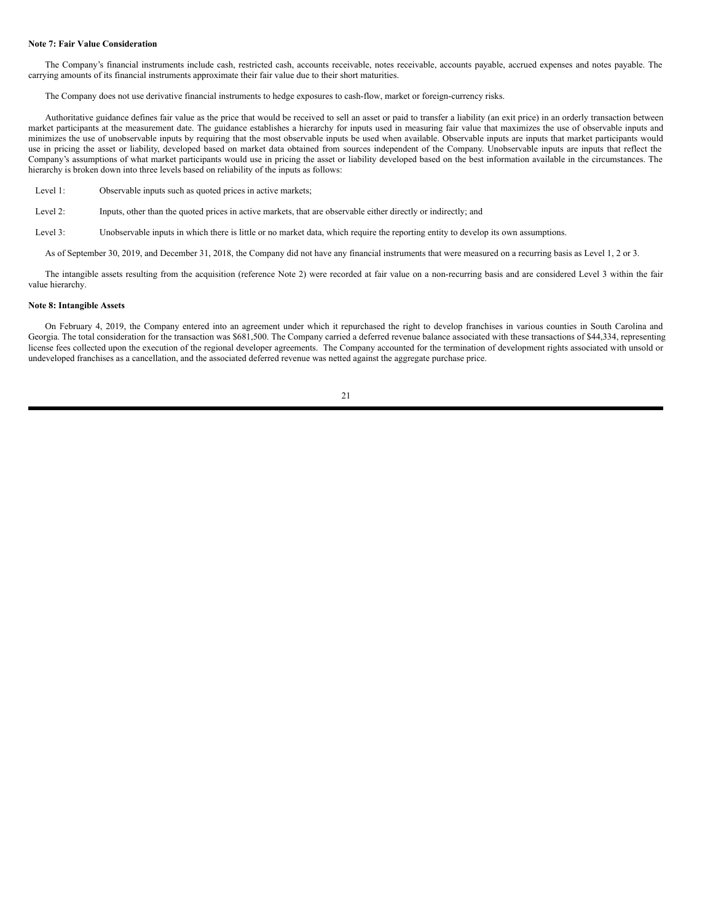# **Note 7: Fair Value Consideration**

The Company's financial instruments include cash, restricted cash, accounts receivable, notes receivable, accounts payable, accrued expenses and notes payable. The carrying amounts of its financial instruments approximate their fair value due to their short maturities.

The Company does not use derivative financial instruments to hedge exposures to cash-flow, market or foreign-currency risks.

Authoritative guidance defines fair value as the price that would be received to sell an asset or paid to transfer a liability (an exit price) in an orderly transaction between market participants at the measurement date. The guidance establishes a hierarchy for inputs used in measuring fair value that maximizes the use of observable inputs and minimizes the use of unobservable inputs by requiring that the most observable inputs be used when available. Observable inputs are inputs that market participants would use in pricing the asset or liability, developed based on market data obtained from sources independent of the Company. Unobservable inputs are inputs that reflect the Company's assumptions of what market participants would use in pricing the asset or liability developed based on the best information available in the circumstances. The hierarchy is broken down into three levels based on reliability of the inputs as follows:

- Level 1: Observable inputs such as quoted prices in active markets;
- Level 2: Inputs, other than the quoted prices in active markets, that are observable either directly or indirectly; and
- Level 3: Unobservable inputs in which there is little or no market data, which require the reporting entity to develop its own assumptions.

As of September 30, 2019, and December 31, 2018, the Company did not have any financial instruments that were measured on a recurring basis as Level 1, 2 or 3.

The intangible assets resulting from the acquisition (reference Note 2) were recorded at fair value on a non-recurring basis and are considered Level 3 within the fair value hierarchy.

### **Note 8: Intangible Assets**

On February 4, 2019, the Company entered into an agreement under which it repurchased the right to develop franchises in various counties in South Carolina and Georgia. The total consideration for the transaction was \$681,500. The Company carried a deferred revenue balance associated with these transactions of \$44,334, representing license fees collected upon the execution of the regional developer agreements. The Company accounted for the termination of development rights associated with unsold or undeveloped franchises as a cancellation, and the associated deferred revenue was netted against the aggregate purchase price.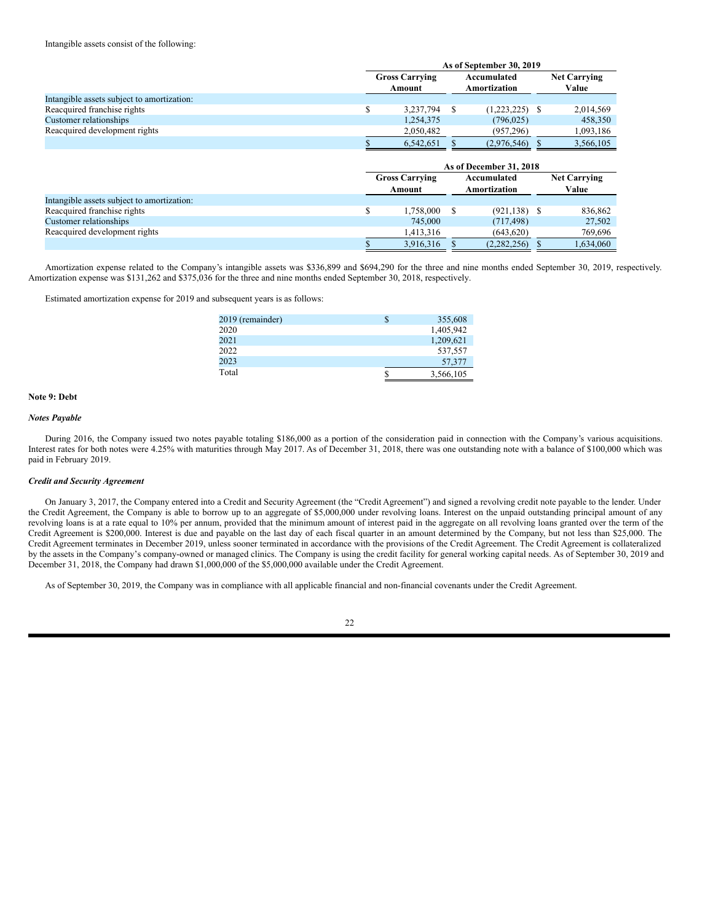Intangible assets consist of the following:

|                                            | As of September 30, 2019 |                       |   |                         |  |                     |
|--------------------------------------------|--------------------------|-----------------------|---|-------------------------|--|---------------------|
|                                            |                          | <b>Gross Carrying</b> |   | Accumulated             |  | <b>Net Carrying</b> |
|                                            |                          | Amount                |   | Amortization            |  | Value               |
| Intangible assets subject to amortization: |                          |                       |   |                         |  |                     |
| Reacquired franchise rights                | \$                       | 3,237,794             | S | $(1,223,225)$ \$        |  | 2,014,569           |
| Customer relationships                     |                          | 1,254,375             |   | (796, 025)              |  | 458,350             |
| Reacquired development rights              |                          | 2,050,482             |   | (957, 296)              |  | 1,093,186           |
|                                            |                          | 6,542,651             |   | (2,976,546)             |  | 3,566,105           |
|                                            |                          |                       |   |                         |  |                     |
|                                            |                          |                       |   |                         |  |                     |
|                                            |                          |                       |   | As of December 31, 2018 |  |                     |
|                                            |                          | <b>Gross Carrying</b> |   | Accumulated             |  | <b>Net Carrying</b> |
|                                            |                          | Amount                |   | Amortization            |  | Value               |
| Intangible assets subject to amortization: |                          |                       |   |                         |  |                     |
| Reacquired franchise rights                | \$                       | 1,758,000             | S | $(921, 138)$ \$         |  | 836,862             |
| Customer relationships                     |                          | 745,000               |   | (717, 498)              |  | 27,502              |
| Reacquired development rights              |                          | 1,413,316             |   | (643, 620)              |  | 769,696             |

Amortization expense related to the Company's intangible assets was \$336,899 and \$694,290 for the three and nine months ended September 30, 2019, respectively. Amortization expense was \$131,262 and \$375,036 for the three and nine months ended September 30, 2018, respectively.

Estimated amortization expense for 2019 and subsequent years is as follows:

| 2019 (remainder) | S | 355,608   |
|------------------|---|-----------|
| 2020             |   | 1,405,942 |
| 2021             |   | 1,209,621 |
| 2022             |   | 537,557   |
| 2023             |   | 57,377    |
| Total            |   | 3,566,105 |

### **Note 9: Debt**

# *Notes Payable*

During 2016, the Company issued two notes payable totaling \$186,000 as a portion of the consideration paid in connection with the Company's various acquisitions. Interest rates for both notes were 4.25% with maturities through May 2017. As of December 31, 2018, there was one outstanding note with a balance of \$100,000 which was paid in February 2019.

### *Credit and Security Agreement*

On January 3, 2017, the Company entered into a Credit and Security Agreement (the "Credit Agreement") and signed a revolving credit note payable to the lender. Under the Credit Agreement, the Company is able to borrow up to an aggregate of \$5,000,000 under revolving loans. Interest on the unpaid outstanding principal amount of any revolving loans is at a rate equal to 10% per annum, provided that the minimum amount of interest paid in the aggregate on all revolving loans granted over the term of the Credit Agreement is \$200,000. Interest is due and payable on the last day of each fiscal quarter in an amount determined by the Company, but not less than \$25,000. The Credit Agreement terminates in December 2019, unless sooner terminated in accordance with the provisions of the Credit Agreement. The Credit Agreement is collateralized by the assets in the Company's company-owned or managed clinics. The Company is using the credit facility for general working capital needs. As of September 30, 2019 and December 31, 2018, the Company had drawn \$1,000,000 of the \$5,000,000 available under the Credit Agreement.

As of September 30, 2019, the Company was in compliance with all applicable financial and non-financial covenants under the Credit Agreement.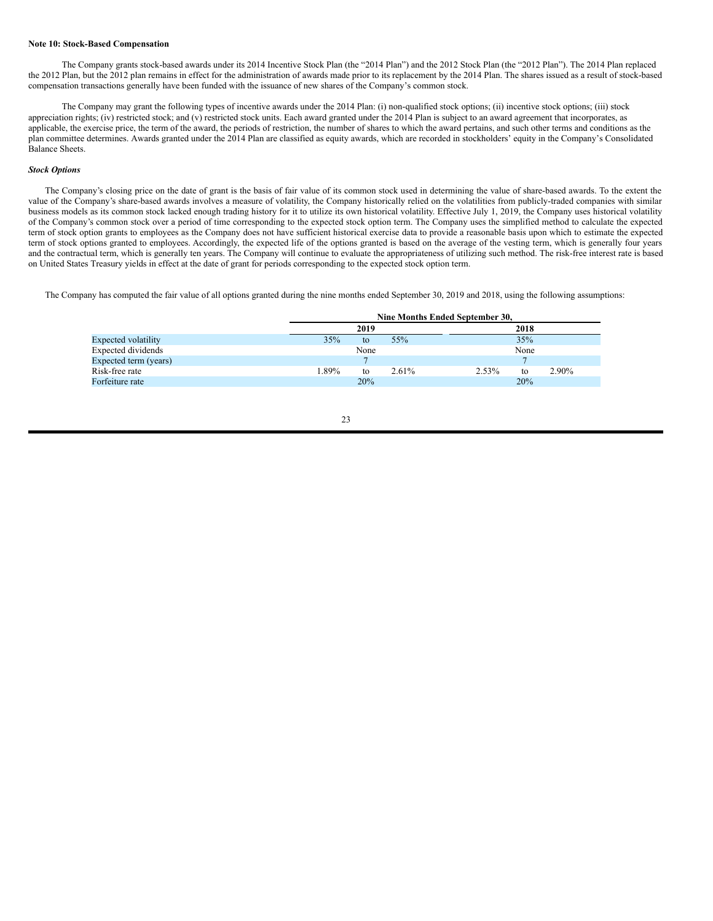# **Note 10: Stock-Based Compensation**

The Company grants stock-based awards under its 2014 Incentive Stock Plan (the "2014 Plan") and the 2012 Stock Plan (the "2012 Plan"). The 2014 Plan replaced the 2012 Plan, but the 2012 plan remains in effect for the administration of awards made prior to its replacement by the 2014 Plan. The shares issued as a result of stock-based compensation transactions generally have been funded with the issuance of new shares of the Company's common stock.

The Company may grant the following types of incentive awards under the 2014 Plan: (i) non-qualified stock options; (ii) incentive stock options; (iii) stock appreciation rights; (iv) restricted stock; and (v) restricted stock units. Each award granted under the 2014 Plan is subject to an award agreement that incorporates, as applicable, the exercise price, the term of the award, the periods of restriction, the number of shares to which the award pertains, and such other terms and conditions as the plan committee determines. Awards granted under the 2014 Plan are classified as equity awards, which are recorded in stockholders' equity in the Company's Consolidated Balance Sheets.

# *Stock Options*

The Company's closing price on the date of grant is the basis of fair value of its common stock used in determining the value of share-based awards. To the extent the value of the Company's share-based awards involves a measure of volatility, the Company historically relied on the volatilities from publicly-traded companies with similar business models as its common stock lacked enough trading history for it to utilize its own historical volatility. Effective July 1, 2019, the Company uses historical volatility of the Company's common stock over a period of time corresponding to the expected stock option term. The Company uses the simplified method to calculate the expected term of stock option grants to employees as the Company does not have sufficient historical exercise data to provide a reasonable basis upon which to estimate the expected term of stock options granted to employees. Accordingly, the expected life of the options granted is based on the average of the vesting term, which is generally four years and the contractual term, which is generally ten years. The Company will continue to evaluate the appropriateness of utilizing such method. The risk-free interest rate is based on United States Treasury yields in effect at the date of grant for periods corresponding to the expected stock option term.

The Company has computed the fair value of all options granted during the nine months ended September 30, 2019 and 2018, using the following assumptions:

|                       | Nine Months Ended September 30. |      |          |                      |  |  |  |
|-----------------------|---------------------------------|------|----------|----------------------|--|--|--|
|                       |                                 | 2019 |          | 2018                 |  |  |  |
| Expected volatility   | 35%                             | to   | 55%      | 35%                  |  |  |  |
| Expected dividends    |                                 | None |          | None                 |  |  |  |
| Expected term (years) |                                 |      |          |                      |  |  |  |
| Risk-free rate        | 1.89%                           | to   | $2.61\%$ | 2.53%<br>2.90%<br>to |  |  |  |
| Forfeiture rate       |                                 | 20%  |          | 20%                  |  |  |  |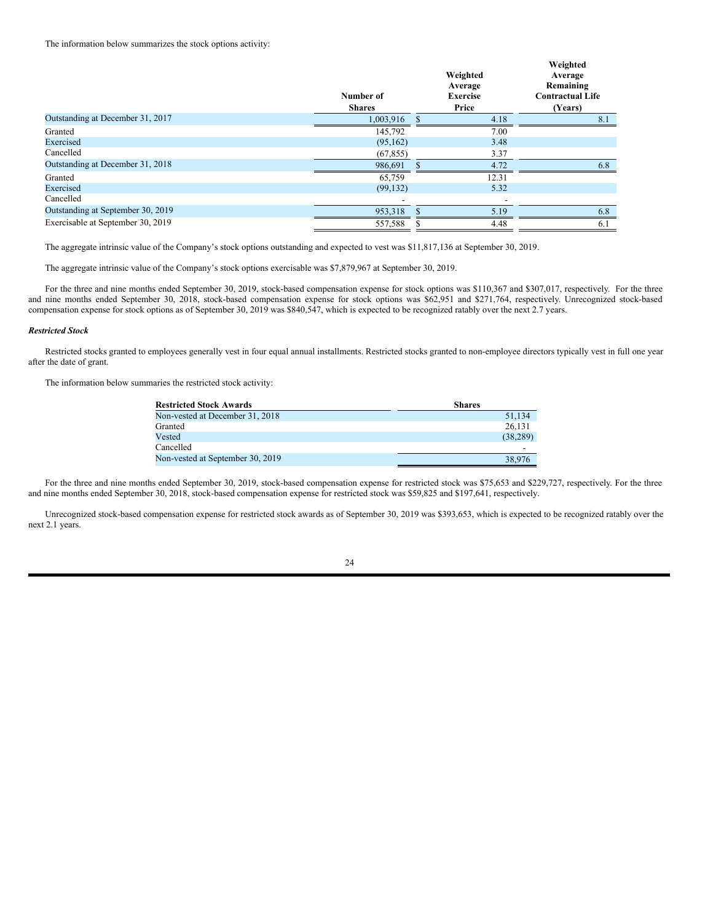The information below summarizes the stock options activity:

| Number of<br><b>Shares</b> |       | Weighted<br>Average<br>Remaining<br><b>Contractual Life</b><br>(Years) |
|----------------------------|-------|------------------------------------------------------------------------|
| 1,003,916                  | 4.18  | 8.1                                                                    |
| 145,792                    | 7.00  |                                                                        |
| (95, 162)                  | 3.48  |                                                                        |
| (67, 855)                  | 3.37  |                                                                        |
| 986,691                    | 4.72  | 6.8                                                                    |
| 65,759                     | 12.31 |                                                                        |
| (99, 132)                  | 5.32  |                                                                        |
|                            |       |                                                                        |
| 953,318                    | 5.19  | 6.8                                                                    |
| 557,588                    | 4.48  | 6.1                                                                    |
|                            |       | Weighted<br>Average<br><b>Exercise</b><br>Price                        |

The aggregate intrinsic value of the Company's stock options outstanding and expected to vest was \$11,817,136 at September 30, 2019.

The aggregate intrinsic value of the Company's stock options exercisable was \$7,879,967 at September 30, 2019.

For the three and nine months ended September 30, 2019, stock-based compensation expense for stock options was \$110,367 and \$307,017, respectively. For the three and nine months ended September 30, 2018, stock-based compensation expense for stock options was \$62,951 and \$271,764, respectively. Unrecognized stock-based compensation expense for stock options as of September 30, 2019 was \$840,547, which is expected to be recognized ratably over the next 2.7 years.

# *Restricted Stock*

Restricted stocks granted to employees generally vest in four equal annual installments. Restricted stocks granted to non-employee directors typically vest in full one year after the date of grant.

The information below summaries the restricted stock activity:

| <b>Restricted Stock Awards</b>   | <b>Shares</b> |
|----------------------------------|---------------|
| Non-vested at December 31, 2018  | 51.134        |
| Granted                          | 26.131        |
| Vested                           | (38, 289)     |
| Cancelled                        | -             |
| Non-vested at September 30, 2019 | 38,976        |

For the three and nine months ended September 30, 2019, stock-based compensation expense for restricted stock was \$75,653 and \$229,727, respectively. For the three and nine months ended September 30, 2018, stock-based compensation expense for restricted stock was \$59,825 and \$197,641, respectively.

Unrecognized stock-based compensation expense for restricted stock awards as of September 30, 2019 was \$393,653, which is expected to be recognized ratably over the next 2.1 years.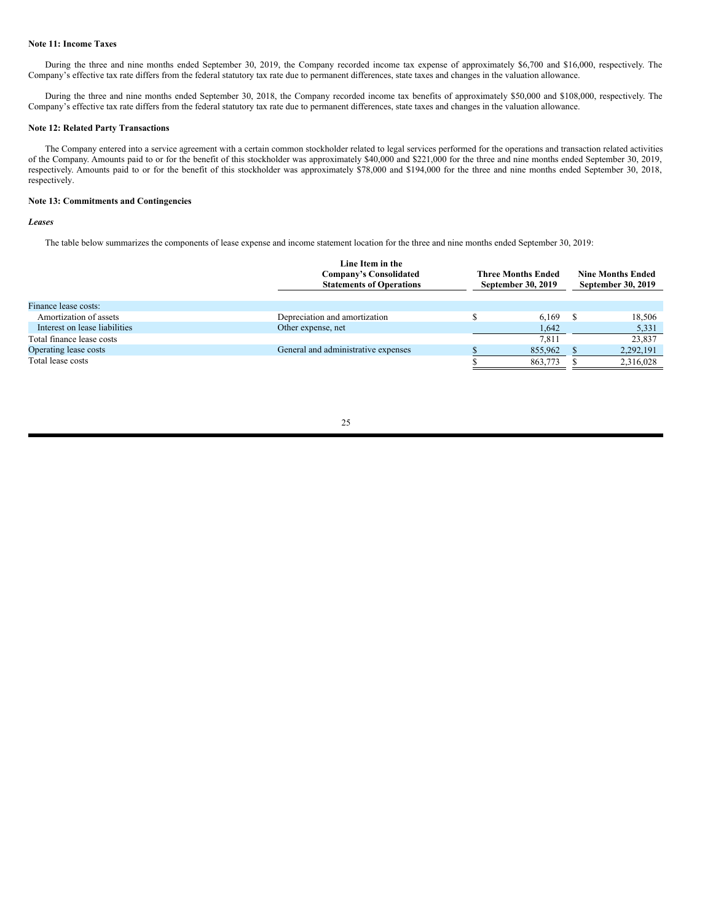# **Note 11: Income Taxes**

During the three and nine months ended September 30, 2019, the Company recorded income tax expense of approximately \$6,700 and \$16,000, respectively. The Company's effective tax rate differs from the federal statutory tax rate due to permanent differences, state taxes and changes in the valuation allowance.

During the three and nine months ended September 30, 2018, the Company recorded income tax benefits of approximately \$50,000 and \$108,000, respectively. The Company's effective tax rate differs from the federal statutory tax rate due to permanent differences, state taxes and changes in the valuation allowance.

# **Note 12: Related Party Transactions**

The Company entered into a service agreement with a certain common stockholder related to legal services performed for the operations and transaction related activities of the Company. Amounts paid to or for the benefit of this stockholder was approximately \$40,000 and \$221,000 for the three and nine months ended September 30, 2019, respectively. Amounts paid to or for the benefit of this stockholder was approximately \$78,000 and \$194,000 for the three and nine months ended September 30, 2018, respectively.

# **Note 13: Commitments and Contingencies**

### *Leases*

The table below summarizes the components of lease expense and income statement location for the three and nine months ended September 30, 2019:

|                               | <b>Three Months Ended</b><br>September 30, 2019 | <b>Nine Months Ended</b><br><b>September 30, 2019</b> |  |           |
|-------------------------------|-------------------------------------------------|-------------------------------------------------------|--|-----------|
|                               |                                                 |                                                       |  |           |
| Finance lease costs:          |                                                 |                                                       |  |           |
| Amortization of assets        | Depreciation and amortization                   | 6,169                                                 |  | 18,506    |
| Interest on lease liabilities | Other expense, net                              | 1,642                                                 |  | 5,331     |
| Total finance lease costs     |                                                 | 7.811                                                 |  | 23,837    |
| Operating lease costs         | General and administrative expenses             | 855,962                                               |  | 2,292,191 |
| Total lease costs             |                                                 | 863,773                                               |  | 2,316,028 |
|                               |                                                 |                                                       |  |           |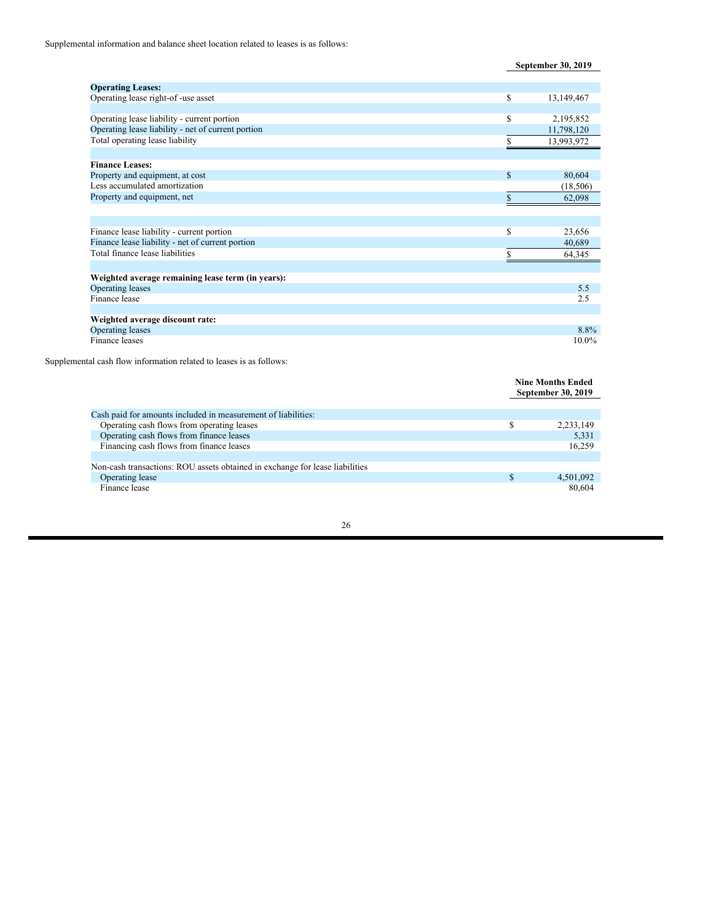Supplemental information and balance sheet location related to leases is as follows:

**September 30, 2019**

| <b>Operating Leases:</b>                           |              |            |
|----------------------------------------------------|--------------|------------|
| Operating lease right-of-use asset                 | \$           | 13,149,467 |
|                                                    |              |            |
| Operating lease liability - current portion        | \$           | 2,195,852  |
| Operating lease liability - net of current portion |              | 11,798,120 |
| Total operating lease liability                    |              | 13,993,972 |
|                                                    |              |            |
| <b>Finance Leases:</b>                             |              |            |
| Property and equipment, at cost                    | $\mathbb{S}$ | 80,604     |
| Less accumulated amortization                      |              | (18, 506)  |
| Property and equipment, net                        |              | 62,098     |
|                                                    |              |            |
|                                                    |              |            |
| Finance lease liability - current portion          | \$           | 23,656     |
| Finance lease liability - net of current portion   |              | 40,689     |
| Total finance lease liabilities                    |              | 64,345     |
|                                                    |              |            |
| Weighted average remaining lease term (in years):  |              |            |
| <b>Operating leases</b>                            |              | 5.5        |
| Finance lease                                      |              | 2.5        |
|                                                    |              |            |
| Weighted average discount rate:                    |              |            |
| <b>Operating leases</b>                            |              | 8.8%       |
| Finance leases                                     |              | 10.0%      |

Supplemental cash flow information related to leases is as follows:

|                                                                              |   | <b>Nine Months Ended</b><br><b>September 30, 2019</b> |
|------------------------------------------------------------------------------|---|-------------------------------------------------------|
| Cash paid for amounts included in measurement of liabilities:                |   |                                                       |
| Operating cash flows from operating leases                                   | S | 2,233,149                                             |
| Operating cash flows from finance leases                                     |   | 5,331                                                 |
| Financing cash flows from finance leases                                     |   | 16,259                                                |
|                                                                              |   |                                                       |
| Non-cash transactions: ROU assets obtained in exchange for lease liabilities |   |                                                       |
| Operating lease                                                              |   | 4,501,092                                             |
| Finance lease                                                                |   | 80,604                                                |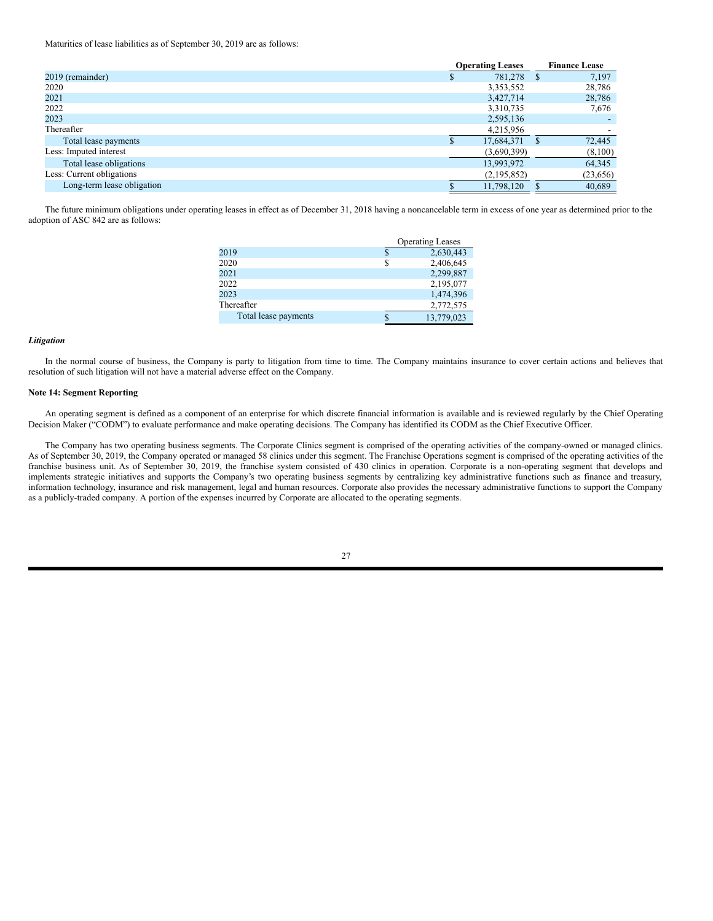Maturities of lease liabilities as of September 30, 2019 are as follows:

|                            | <b>Operating Leases</b> |               |    | <b>Finance Lease</b> |
|----------------------------|-------------------------|---------------|----|----------------------|
| 2019 (remainder)           |                         | 781.278       | -S | 7,197                |
| 2020                       |                         | 3,353,552     |    | 28,786               |
| 2021                       |                         | 3,427,714     |    | 28,786               |
| 2022                       |                         | 3,310,735     |    | 7,676                |
| 2023                       |                         | 2,595,136     |    |                      |
| Thereafter                 |                         | 4,215,956     |    |                      |
| Total lease payments       |                         | 17,684,371    |    | 72,445               |
| Less: Imputed interest     |                         | (3,690,399)   |    | (8,100)              |
| Total lease obligations    |                         | 13,993,972    |    | 64,345               |
| Less: Current obligations  |                         | (2, 195, 852) |    | (23, 656)            |
| Long-term lease obligation |                         | 11,798,120    |    | 40,689               |

The future minimum obligations under operating leases in effect as of December 31, 2018 having a noncancelable term in excess of one year as determined prior to the adoption of ASC 842 are as follows:

|                      |   | <b>Operating Leases</b> |
|----------------------|---|-------------------------|
| 2019                 | S | 2,630,443               |
| 2020                 | S | 2,406,645               |
| 2021                 |   | 2,299,887               |
| 2022                 |   | 2,195,077               |
| 2023                 |   | 1,474,396               |
| Thereafter           |   | 2,772,575               |
| Total lease payments |   | 13,779,023              |

# *Litigation*

In the normal course of business, the Company is party to litigation from time to time. The Company maintains insurance to cover certain actions and believes that resolution of such litigation will not have a material adverse effect on the Company.

### **Note 14: Segment Reporting**

An operating segment is defined as a component of an enterprise for which discrete financial information is available and is reviewed regularly by the Chief Operating Decision Maker ("CODM") to evaluate performance and make operating decisions. The Company has identified its CODM as the Chief Executive Officer.

The Company has two operating business segments. The Corporate Clinics segment is comprised of the operating activities of the company-owned or managed clinics. As of September 30, 2019, the Company operated or managed 58 clinics under this segment. The Franchise Operations segment is comprised of the operating activities of the franchise business unit. As of September 30, 2019, the franchise system consisted of 430 clinics in operation. Corporate is a non-operating segment that develops and implements strategic initiatives and supports the Company's two operating business segments by centralizing key administrative functions such as finance and treasury, information technology, insurance and risk management, legal and human resources. Corporate also provides the necessary administrative functions to support the Company as a publicly-traded company. A portion of the expenses incurred by Corporate are allocated to the operating segments.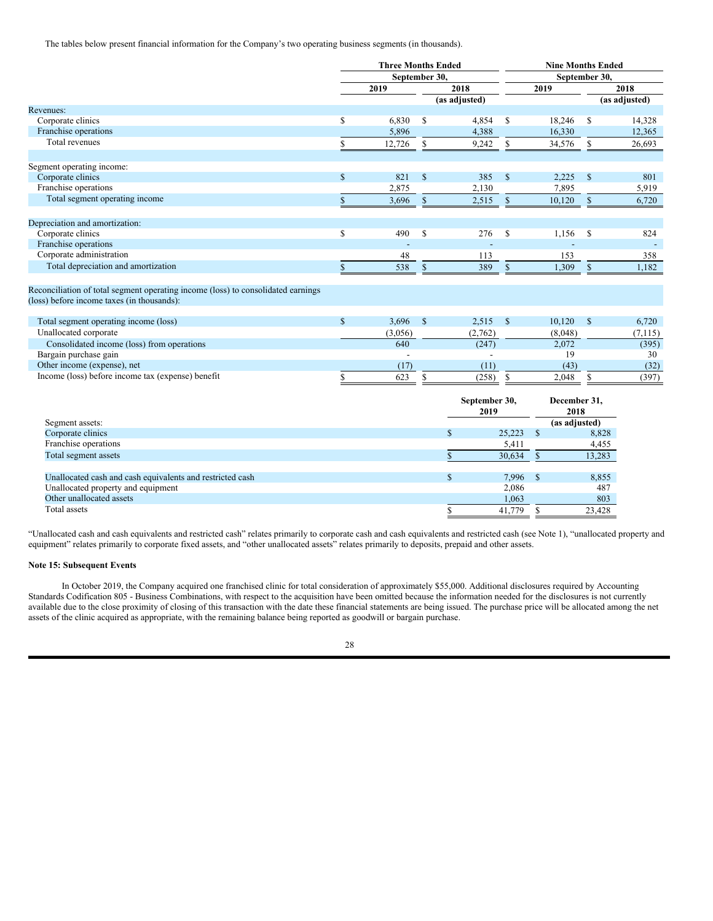The tables below present financial information for the Company's two operating business segments (in thousands).

|                                                                                  | <b>Three Months Ended</b><br>September 30, |         |               |               | <b>Nine Months Ended</b> |               |              |               |
|----------------------------------------------------------------------------------|--------------------------------------------|---------|---------------|---------------|--------------------------|---------------|--------------|---------------|
|                                                                                  |                                            |         |               |               |                          | September 30, |              |               |
|                                                                                  | 2019                                       |         |               |               | 2019                     |               |              | 2018          |
|                                                                                  |                                            |         |               | (as adjusted) |                          |               |              | (as adjusted) |
| Revenues:                                                                        |                                            |         |               |               |                          |               |              |               |
| Corporate clinics                                                                | S                                          | 6,830   | <b>S</b>      | 4,854         | \$                       | 18,246        | \$           | 14,328        |
| Franchise operations                                                             |                                            | 5,896   |               | 4,388         |                          | 16,330        |              | 12,365        |
| <b>Total revenues</b>                                                            |                                            | 12,726  | S             | 9,242         | \$                       | 34,576        | \$           | 26,693        |
|                                                                                  |                                            |         |               |               |                          |               |              |               |
| Segment operating income:<br>Corporate clinics                                   | $\mathbb{S}$                               | 821     | $\mathbb{S}$  | 385           | $\mathbb{S}$             | 2,225         |              | 801           |
| Franchise operations                                                             |                                            | 2,875   |               | 2,130         |                          | 7,895         | $\$$         |               |
| Total segment operating income                                                   |                                            |         |               |               |                          |               |              | 5,919         |
|                                                                                  | S                                          | 3,696   | \$            | 2,515         | \$                       | 10,120        | \$           | 6,720         |
| Depreciation and amortization:                                                   |                                            |         |               |               |                          |               |              |               |
| Corporate clinics                                                                | \$                                         | 490     | S             | 276           | \$                       | 1,156         | \$           | 824           |
| Franchise operations                                                             |                                            |         |               |               |                          |               |              |               |
| Corporate administration                                                         |                                            | 48      |               | 113           |                          | 153           |              | 358           |
| Total depreciation and amortization                                              | $\mathbf S$                                | 538     | $\mathbf S$   | 389           | $\mathbb{S}$             | 1,309         | $\mathbb{S}$ | 1.182         |
| Reconciliation of total segment operating income (loss) to consolidated earnings |                                            |         |               |               |                          |               |              |               |
| (loss) before income taxes (in thousands):                                       |                                            |         |               |               |                          |               |              |               |
|                                                                                  |                                            |         |               |               |                          |               |              |               |
| Total segment operating income (loss)                                            | $\mathbb{S}$                               | 3.696   | <sup>\$</sup> | 2,515         | $\mathbb{S}$             | 10,120        | $\mathbb{S}$ | 6,720         |
| Unallocated corporate                                                            |                                            | (3,056) |               | (2,762)       |                          | (8,048)       |              | (7, 115)      |
| Consolidated income (loss) from operations                                       |                                            | 640     |               | (247)         |                          | 2,072         |              | (395)         |
| Bargain purchase gain                                                            |                                            |         |               |               |                          | 19            |              | 30            |
| Other income (expense), net                                                      |                                            | (17)    |               | (11)          |                          | (43)          |              | (32)          |
| Income (loss) before income tax (expense) benefit                                |                                            | 623     | S             | (258)         | S                        | 2,048         | S            | (397)         |
|                                                                                  |                                            |         |               | September 30, |                          | December 31,  |              |               |

|                                                           | september 30, | December 31,<br>2018 |               |  |
|-----------------------------------------------------------|---------------|----------------------|---------------|--|
| Segment assets:                                           |               |                      | (as adjusted) |  |
| Corporate clinics                                         |               | 25,223               | 8,828         |  |
| Franchise operations                                      |               | 5.411                | 4,455         |  |
| Total segment assets                                      |               | 30,634               | 13,283        |  |
|                                                           |               |                      |               |  |
| Unallocated cash and cash equivalents and restricted cash |               | $7.996$ \$           | 8,855         |  |
| Unallocated property and equipment                        |               | 2,086                | 487           |  |
| Other unallocated assets                                  |               | 1.063                | 803           |  |
| Total assets                                              |               | 41,779               | 23.428        |  |

"Unallocated cash and cash equivalents and restricted cash" relates primarily to corporate cash and cash equivalents and restricted cash (see Note 1), "unallocated property and equipment" relates primarily to corporate fixed assets, and "other unallocated assets" relates primarily to deposits, prepaid and other assets.

# **Note 15: Subsequent Events**

In October 2019, the Company acquired one franchised clinic for total consideration of approximately \$55,000. Additional disclosures required by Accounting Standards Codification 805 - Business Combinations, with respect to the acquisition have been omitted because the information needed for the disclosures is not currently available due to the close proximity of closing of this transaction with the date these financial statements are being issued. The purchase price will be allocated among the net assets of the clinic acquired as appropriate, with the remaining balance being reported as goodwill or bargain purchase.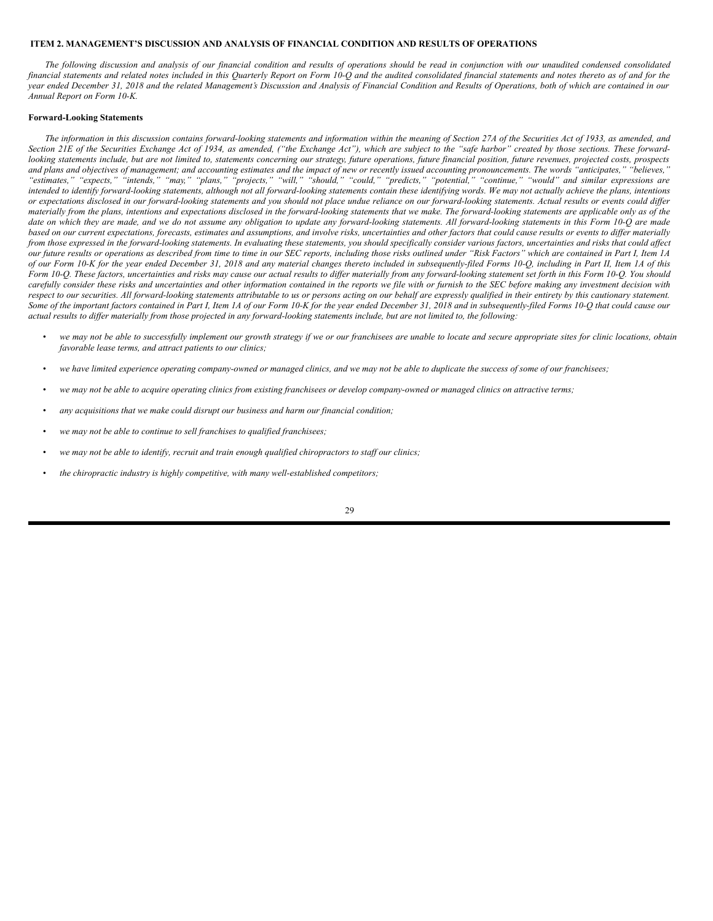# <span id="page-31-0"></span>**ITEM 2. MANAGEMENT'S DISCUSSION AND ANALYSIS OF FINANCIAL CONDITION AND RESULTS OF OPERATIONS**

The following discussion and analysis of our financial condition and results of operations should be read in conjunction with our unaudited condensed consolidated financial statements and related notes included in this Quarterly Report on Form 10-Q and the audited consolidated financial statements and notes thereto as of and for the year ended December 31, 2018 and the related Management's Discussion and Analysis of Financial Condition and Results of Operations, both of which are contained in our *Annual Report on Form 10-K.*

# **Forward-Looking Statements**

The information in this discussion contains forward-looking statements and information within the meaning of Section 27A of the Securities Act of 1933, as amended, and Section 21E of the Securities Exchange Act of 1934, as amended, ("the Exchange Act"), which are subject to the "safe harbor" created by those sections. These forwardlooking statements include, but are not limited to, statements concerning our strategy, future operations, future financial position, future revenues, projected costs, prospects and plans and objectives of management; and accounting estimates and the impact of new or recently issued accounting pronouncements. The words "anticipates," "believes," "estimates," "expects," "intends," "may," "plans," "projects," "will," "should," "could," "predicts," "potential," "continue," "would" and similar expressions are intended to identify forward-looking statements, although not all forward-looking statements contain these identifying words. We may not actually achieve the plans, intentions or expectations disclosed in our forward-looking statements and you should not place undue reliance on our forward-looking statements. Actual results or events could differ materially from the plans, intentions and expectations disclosed in the forward-looking statements that we make. The forward-looking statements are applicable only as of the date on which they are made, and we do not assume any obligation to update any forward-looking statements. All forward-looking statements in this Form 10-Q are made based on our current expectations, forecasts, estimates and assumptions, and involve risks, uncertainties and other factors that could cause results or events to differ materially from those expressed in the forward-looking statements. In evaluating these statements, you should specifically consider various factors, uncertainties and risks that could affect our future results or operations as described from time to time in our SEC reports, including those risks outlined under "Risk Factors" which are contained in Part I, Item 1A of our Form 10-K for the year ended December 31, 2018 and any material changes thereto included in subsequently-filed Forms 10-Q, including in Part II, Item 1A of this Form 10-Q. These factors, uncertainties and risks may cause our actual results to differ materially from any forward-looking statement set forth in this Form 10-Q. You should carefully consider these risks and uncertainties and other information contained in the reports we file with or furnish to the SEC before making any investment decision with respect to our securities. All forward-looking statements attributable to us or persons acting on our behalf are expressly qualified in their entirety by this cautionary statement. Some of the important factors contained in Part I, Item 1A of our Form 10-K for the year ended December 31, 2018 and in subsequently-filed Forms 10-Q that could cause our actual results to differ materially from those projected in any forward-looking statements include, but are not limited to, the following:

- we may not be able to successfully implement our growth strategy if we or our franchisees are unable to locate and secure appropriate sites for clinic locations, obtain *favorable lease terms, and attract patients to our clinics;*
- we have limited experience operating company-owned or managed clinics, and we may not be able to duplicate the success of some of our franchisees;
- we may not be able to acquire operating clinics from existing franchisees or develop company-owned or managed clinics on attractive terms;
- *any acquisitions that we make could disrupt our business and harm our financial condition;*
- *we may not be able to continue to sell franchises to qualified franchisees;*
- *we may not be able to identify, recruit and train enough qualified chiropractors to staf our clinics;*
- *the chiropractic industry is highly competitive, with many well-established competitors;*

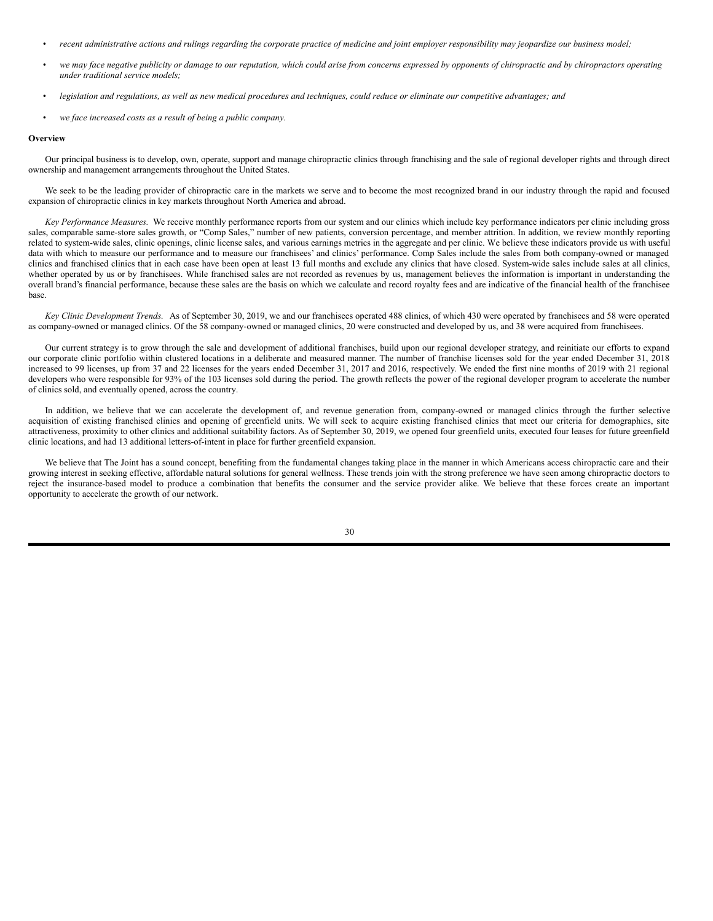- recent administrative actions and rulings regarding the corporate practice of medicine and joint employer responsibility may jeopardize our business model;
- we may face negative publicity or damage to our reputation, which could arise from concerns expressed by opponents of chiropractic and by chiropractors operating *under traditional service models;*
- legislation and regulations, as well as new medical procedures and techniques, could reduce or eliminate our competitive advantages; and
- *we face increased costs as a result of being a public company.*

### **Overview**

Our principal business is to develop, own, operate, support and manage chiropractic clinics through franchising and the sale of regional developer rights and through direct ownership and management arrangements throughout the United States.

We seek to be the leading provider of chiropractic care in the markets we serve and to become the most recognized brand in our industry through the rapid and focused expansion of chiropractic clinics in key markets throughout North America and abroad.

*Key Performance Measures.* We receive monthly performance reports from our system and our clinics which include key performance indicators per clinic including gross sales, comparable same-store sales growth, or "Comp Sales," number of new patients, conversion percentage, and member attrition. In addition, we review monthly reporting related to system-wide sales, clinic openings, clinic license sales, and various earnings metrics in the aggregate and per clinic. We believe these indicators provide us with useful data with which to measure our performance and to measure our franchisees' and clinics' performance. Comp Sales include the sales from both company-owned or managed clinics and franchised clinics that in each case have been open at least 13 full months and exclude any clinics that have closed. System-wide sales include sales at all clinics, whether operated by us or by franchisees. While franchised sales are not recorded as revenues by us, management believes the information is important in understanding the overall brand's financial performance, because these sales are the basis on which we calculate and record royalty fees and are indicative of the financial health of the franchisee base.

*Key Clinic Development Trends*. As of September 30, 2019, we and our franchisees operated 488 clinics, of which 430 were operated by franchisees and 58 were operated as company-owned or managed clinics. Of the 58 company-owned or managed clinics, 20 were constructed and developed by us, and 38 were acquired from franchisees.

Our current strategy is to grow through the sale and development of additional franchises, build upon our regional developer strategy, and reinitiate our efforts to expand our corporate clinic portfolio within clustered locations in a deliberate and measured manner. The number of franchise licenses sold for the year ended December 31, 2018 increased to 99 licenses, up from 37 and 22 licenses for the years ended December 31, 2017 and 2016, respectively. We ended the first nine months of 2019 with 21 regional developers who were responsible for 93% of the 103 licenses sold during the period. The growth reflects the power of the regional developer program to accelerate the number of clinics sold, and eventually opened, across the country.

In addition, we believe that we can accelerate the development of, and revenue generation from, company-owned or managed clinics through the further selective acquisition of existing franchised clinics and opening of greenfield units. We will seek to acquire existing franchised clinics that meet our criteria for demographics, site attractiveness, proximity to other clinics and additional suitability factors. As of September 30, 2019, we opened four greenfield units, executed four leases for future greenfield clinic locations, and had 13 additional letters-of-intent in place for further greenfield expansion.

We believe that The Joint has a sound concept, benefiting from the fundamental changes taking place in the manner in which Americans access chiropractic care and their growing interest in seeking effective, affordable natural solutions for general wellness. These trends join with the strong preference we have seen among chiropractic doctors to reject the insurance-based model to produce a combination that benefits the consumer and the service provider alike. We believe that these forces create an important opportunity to accelerate the growth of our network.

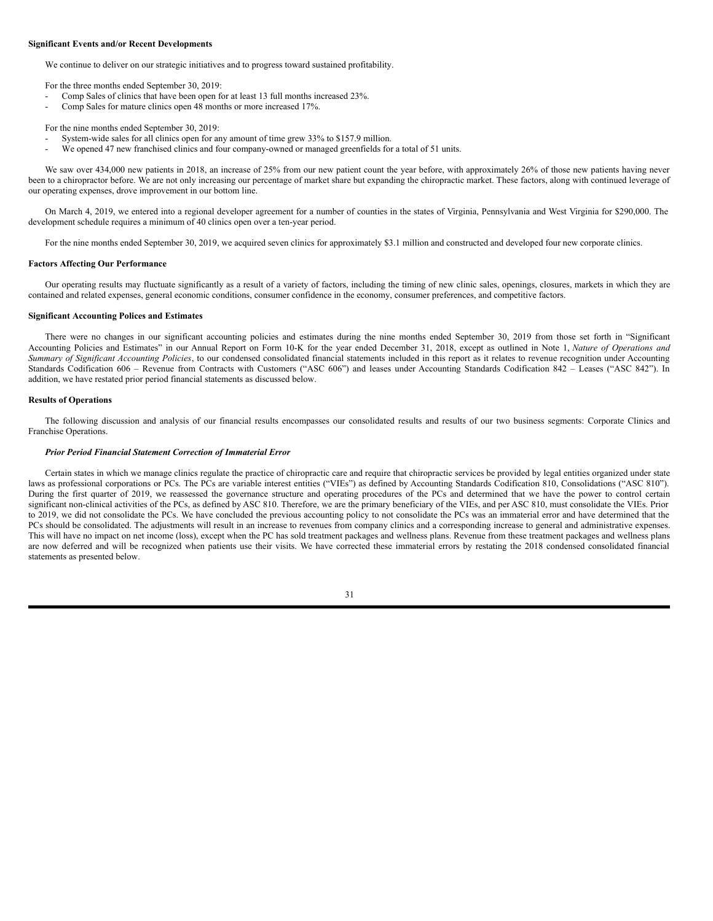### **Significant Events and/or Recent Developments**

We continue to deliver on our strategic initiatives and to progress toward sustained profitability.

For the three months ended September 30, 2019:

- Comp Sales of clinics that have been open for at least 13 full months increased 23%.
- Comp Sales for mature clinics open 48 months or more increased 17%.

For the nine months ended September 30, 2019:

- System-wide sales for all clinics open for any amount of time grew 33% to \$157.9 million.
- We opened 47 new franchised clinics and four company-owned or managed greenfields for a total of 51 units.

We saw over 434,000 new patients in 2018, an increase of 25% from our new patient count the year before, with approximately 26% of those new patients having never been to a chiropractor before. We are not only increasing our percentage of market share but expanding the chiropractic market. These factors, along with continued leverage of our operating expenses, drove improvement in our bottom line.

On March 4, 2019, we entered into a regional developer agreement for a number of counties in the states of Virginia, Pennsylvania and West Virginia for \$290,000. The development schedule requires a minimum of 40 clinics open over a ten-year period.

For the nine months ended September 30, 2019, we acquired seven clinics for approximately \$3.1 million and constructed and developed four new corporate clinics.

### **Factors Affecting Our Performance**

Our operating results may fluctuate significantly as a result of a variety of factors, including the timing of new clinic sales, openings, closures, markets in which they are contained and related expenses, general economic conditions, consumer confidence in the economy, consumer preferences, and competitive factors.

#### **Significant Accounting Polices and Estimates**

There were no changes in our significant accounting policies and estimates during the nine months ended September 30, 2019 from those set forth in "Significant Accounting Policies and Estimates" in our Annual Report on Form 10-K for the year ended December 31, 2018, except as outlined in Note 1, *Nature of Operations and Summary of Significant Accounting Policies*, to our condensed consolidated financial statements included in this report as it relates to revenue recognition under Accounting Standards Codification 606 – Revenue from Contracts with Customers ("ASC 606") and leases under Accounting Standards Codification 842 – Leases ("ASC 842"). In addition, we have restated prior period financial statements as discussed below.

### **Results of Operations**

The following discussion and analysis of our financial results encompasses our consolidated results and results of our two business segments: Corporate Clinics and Franchise Operations.

### *Prior Period Financial Statement Correction of Immaterial Error*

Certain states in which we manage clinics regulate the practice of chiropractic care and require that chiropractic services be provided by legal entities organized under state laws as professional corporations or PCs. The PCs are variable interest entities ("VIEs") as defined by Accounting Standards Codification 810, Consolidations ("ASC 810"). During the first quarter of 2019, we reassessed the governance structure and operating procedures of the PCs and determined that we have the power to control certain significant non-clinical activities of the PCs, as defined by ASC 810. Therefore, we are the primary beneficiary of the VIEs, and per ASC 810, must consolidate the VIEs. Prior to 2019, we did not consolidate the PCs. We have concluded the previous accounting policy to not consolidate the PCs was an immaterial error and have determined that the PCs should be consolidated. The adjustments will result in an increase to revenues from company clinics and a corresponding increase to general and administrative expenses. This will have no impact on net income (loss), except when the PC has sold treatment packages and wellness plans. Revenue from these treatment packages and wellness plans are now deferred and will be recognized when patients use their visits. We have corrected these immaterial errors by restating the 2018 condensed consolidated financial statements as presented below.

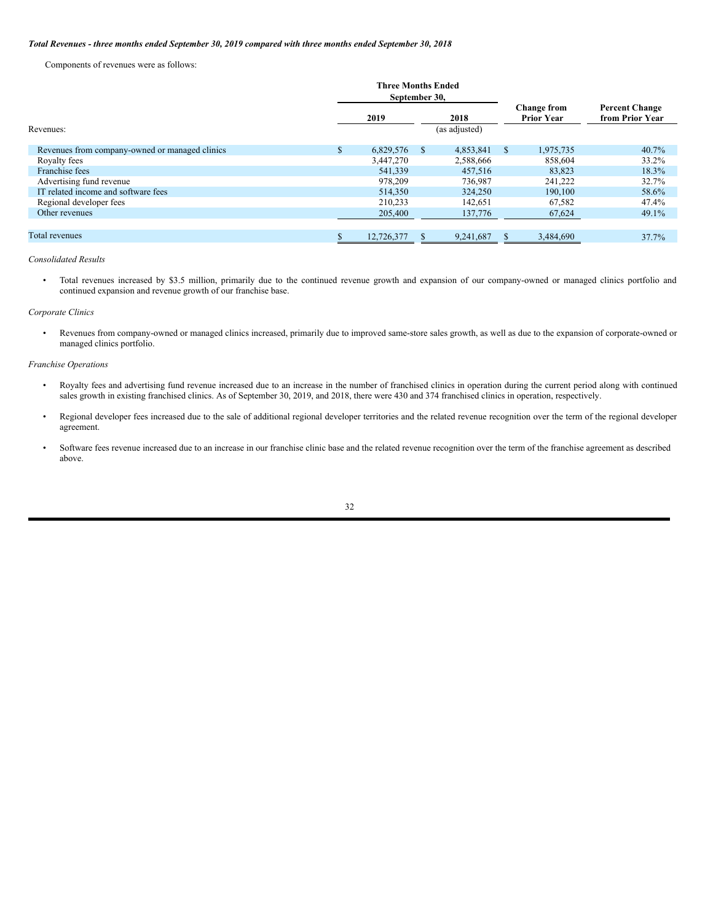# Total Revenues - three months ended September 30, 2019 compared with three months ended September 30, 2018

Components of revenues were as follows:

|                                                |    | <b>Three Months Ended</b><br>September 30. |      |               |              |                                         |                                          |
|------------------------------------------------|----|--------------------------------------------|------|---------------|--------------|-----------------------------------------|------------------------------------------|
| 2019                                           |    |                                            | 2018 |               |              | <b>Change from</b><br><b>Prior Year</b> | <b>Percent Change</b><br>from Prior Year |
| Revenues:                                      |    |                                            |      | (as adjusted) |              |                                         |                                          |
| Revenues from company-owned or managed clinics | \$ | 6,829,576                                  | S    | 4.853.841     | <sup>S</sup> | 1,975,735                               | 40.7%                                    |
| Royalty fees                                   |    | 3,447,270                                  |      | 2,588,666     |              | 858,604                                 | 33.2%                                    |
| Franchise fees                                 |    | 541,339                                    |      | 457,516       |              | 83,823                                  | 18.3%                                    |
| Advertising fund revenue                       |    | 978,209                                    |      | 736,987       |              | 241,222                                 | 32.7%                                    |
| IT related income and software fees            |    | 514,350                                    |      | 324,250       |              | 190,100                                 | 58.6%                                    |
| Regional developer fees                        |    | 210.233                                    |      | 142,651       |              | 67,582                                  | 47.4%                                    |
| Other revenues                                 |    | 205,400                                    |      | 137,776       |              | 67,624                                  | 49.1%                                    |
|                                                |    |                                            |      |               |              |                                         |                                          |
| Total revenues                                 |    | 12,726,377                                 |      | 9,241,687     |              | 3,484,690                               | 37.7%                                    |

*Consolidated Results*

• Total revenues increased by \$3.5 million, primarily due to the continued revenue growth and expansion of our company-owned or managed clinics portfolio and continued expansion and revenue growth of our franchise base.

# *Corporate Clinics*

• Revenues from company-owned or managed clinics increased, primarily due to improved same-store sales growth, as well as due to the expansion of corporate-owned or managed clinics portfolio.

# *Franchise Operations*

- Royalty fees and advertising fund revenue increased due to an increase in the number of franchised clinics in operation during the current period along with continued sales growth in existing franchised clinics. As of September 30, 2019, and 2018, there were 430 and 374 franchised clinics in operation, respectively.
- Regional developer fees increased due to the sale of additional regional developer territories and the related revenue recognition over the term of the regional developer agreement.
- Software fees revenue increased due to an increase in our franchise clinic base and the related revenue recognition over the term of the franchise agreement as described above.

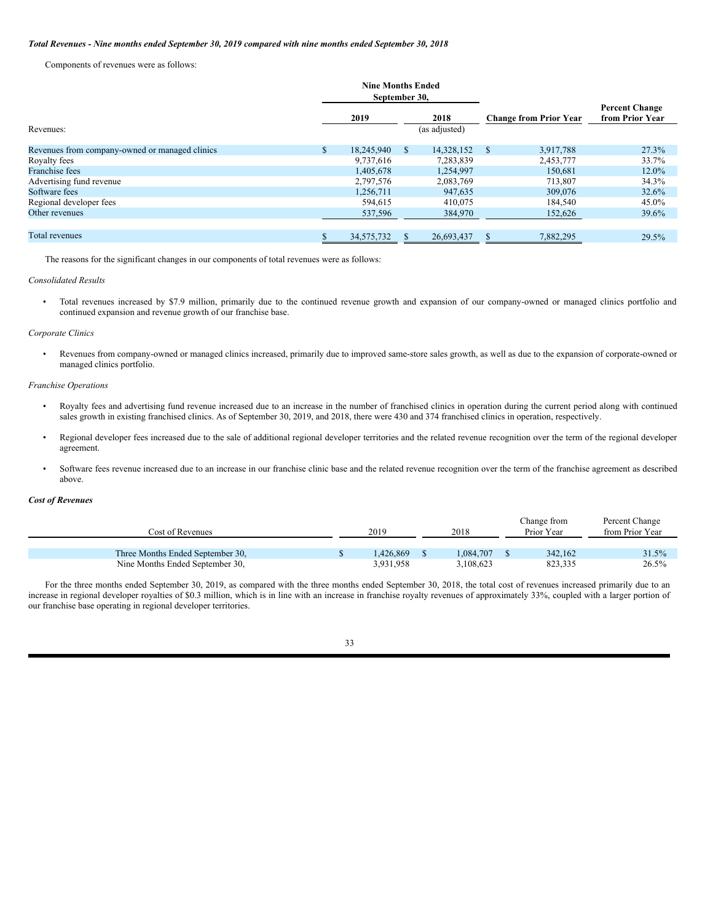# *Total Revenues - Nine months ended September 30, 2019 compared with nine months ended September 30, 2018*

Components of revenues were as follows:

|                                                |    | <b>Nine Months Ended</b><br>September 30, |               |               |                               |           |                                          |
|------------------------------------------------|----|-------------------------------------------|---------------|---------------|-------------------------------|-----------|------------------------------------------|
|                                                |    | 2019                                      | 2018          |               | <b>Change from Prior Year</b> |           | <b>Percent Change</b><br>from Prior Year |
| Revenues:                                      |    |                                           |               | (as adjusted) |                               |           |                                          |
| Revenues from company-owned or managed clinics | \$ | 18,245,940                                | <sup>\$</sup> | 14,328,152    | <sup>S</sup>                  | 3,917,788 | 27.3%                                    |
| Royalty fees                                   |    | 9.737.616                                 |               | 7,283,839     |                               | 2,453,777 | 33.7%                                    |
| <b>Franchise</b> fees                          |    | 1,405,678                                 |               | 1,254,997     |                               | 150.681   | 12.0%                                    |
| Advertising fund revenue                       |    | 2,797,576                                 |               | 2,083,769     |                               | 713,807   | 34.3%                                    |
| Software fees                                  |    | 1.256.711                                 |               | 947,635       |                               | 309,076   | 32.6%                                    |
| Regional developer fees                        |    | 594,615                                   |               | 410,075       |                               | 184,540   | 45.0%                                    |
| Other revenues                                 |    | 537,596                                   |               | 384,970       |                               | 152,626   | 39.6%                                    |
| Total revenues                                 |    | 34, 575, 732                              |               | 26,693,437    |                               | 7,882,295 | 29.5%                                    |

The reasons for the significant changes in our components of total revenues were as follows:

# *Consolidated Results*

• Total revenues increased by \$7.9 million, primarily due to the continued revenue growth and expansion of our company-owned or managed clinics portfolio and continued expansion and revenue growth of our franchise base.

# *Corporate Clinics*

• Revenues from company-owned or managed clinics increased, primarily due to improved same-store sales growth, as well as due to the expansion of corporate-owned or managed clinics portfolio.

# *Franchise Operations*

- Royalty fees and advertising fund revenue increased due to an increase in the number of franchised clinics in operation during the current period along with continued sales growth in existing franchised clinics. As of September 30, 2019, and 2018, there were 430 and 374 franchised clinics in operation, respectively.
- Regional developer fees increased due to the sale of additional regional developer territories and the related revenue recognition over the term of the regional developer agreement.
- Software fees revenue increased due to an increase in our franchise clinic base and the related revenue recognition over the term of the franchise agreement as described above.

# *Cost of Revenues*

| Cost of Revenues                 | 2019      | 2018      | Change from<br>Prior Year | Percent Change<br>from Prior Year |
|----------------------------------|-----------|-----------|---------------------------|-----------------------------------|
|                                  |           |           |                           |                                   |
| Three Months Ended September 30, | .426.869  | 1.084.707 | 342,162                   | 31.5%                             |
| Nine Months Ended September 30.  | 3,931,958 | 3,108,623 | 823,335                   | 26.5%                             |

For the three months ended September 30, 2019, as compared with the three months ended September 30, 2018, the total cost of revenues increased primarily due to an increase in regional developer royalties of \$0.3 million, which is in line with an increase in franchise royalty revenues of approximately 33%, coupled with a larger portion of our franchise base operating in regional developer territories.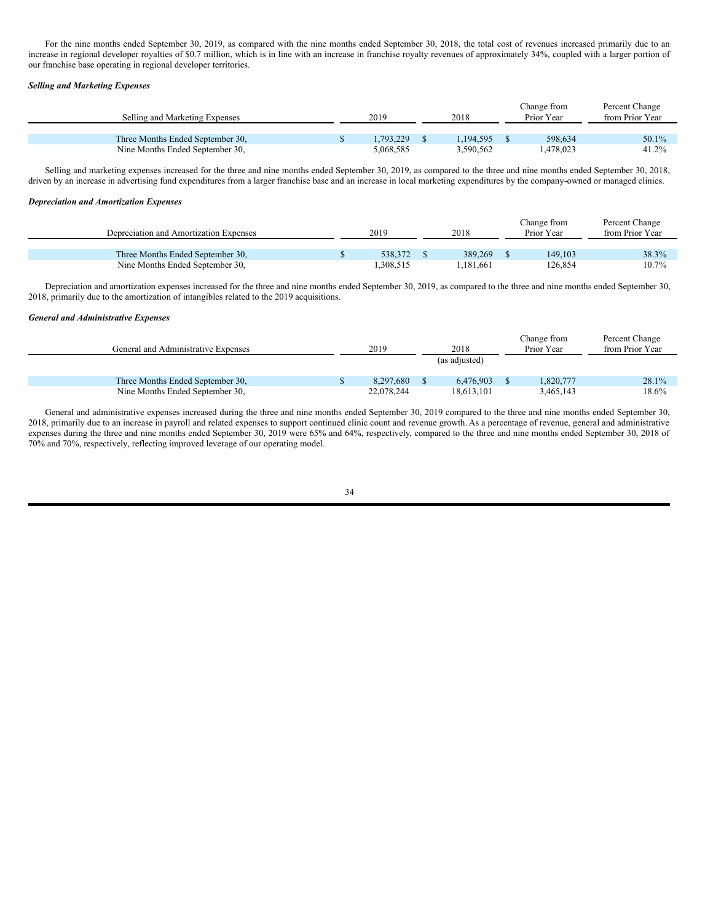For the nine months ended September 30, 2019, as compared with the nine months ended September 30, 2018, the total cost of revenues increased primarily due to an increase in regional developer royalties of \$0.7 million, which is in line with an increase in franchise royalty revenues of approximately 34%, coupled with a larger portion of our franchise base operating in regional developer territories.

# *Selling and Marketing Expenses*

| Selling and Marketing Expenses   | 2019 |           | 2018 |           | Change from<br>Prior Year |          | Percent Change<br>from Prior Year |
|----------------------------------|------|-----------|------|-----------|---------------------------|----------|-----------------------------------|
|                                  |      |           |      |           |                           |          |                                   |
| Three Months Ended September 30, |      | .793.229  |      | . 194.595 |                           | 598,634  | 50.1%                             |
| Nine Months Ended September 30,  |      | 5,068,585 |      | 3,590,562 |                           | .478.023 | 41.2%                             |

Selling and marketing expenses increased for the three and nine months ended September 30, 2019, as compared to the three and nine months ended September 30, 2018, driven by an increase in advertising fund expenditures from a larger franchise base and an increase in local marketing expenditures by the company-owned or managed clinics.

### *Depreciation and Amortization Expenses*

| Depreciation and Amortization Expenses | 2019     | 2018     | Change from<br>Prior Year | Percent Change<br>from Prior Year |
|----------------------------------------|----------|----------|---------------------------|-----------------------------------|
| Three Months Ended September 30,       | 538,372  | 389.269  | 149.103                   | 38.3%                             |
| Nine Months Ended September 30.        | ,308,515 | .181.661 | 126.854                   | $10.7\%$                          |

Depreciation and amortization expenses increased for the three and nine months ended September 30, 2019, as compared to the three and nine months ended September 30, 2018, primarily due to the amortization of intangibles related to the 2019 acquisitions.

### *General and Administrative Expenses*

| General and Administrative Expenses | 2019       | 2018          | Change from<br>Prior Year | Percent Change<br>from Prior Year |
|-------------------------------------|------------|---------------|---------------------------|-----------------------------------|
|                                     |            | (as adjusted) |                           |                                   |
| Three Months Ended September 30,    | 8.297.680  | 6.476.903     | 1,820,777                 | 28.1%                             |
| Nine Months Ended September 30,     | 22,078,244 | 18.613.101    | 3,465,143                 | $18.6\%$                          |

General and administrative expenses increased during the three and nine months ended September 30, 2019 compared to the three and nine months ended September 30, 2018, primarily due to an increase in payroll and related expenses to support continued clinic count and revenue growth. As a percentage of revenue, general and administrative expenses during the three and nine months ended September 30, 2019 were 65% and 64%, respectively, compared to the three and nine months ended September 30, 2018 of 70% and 70%, respectively, reflecting improved leverage of our operating model.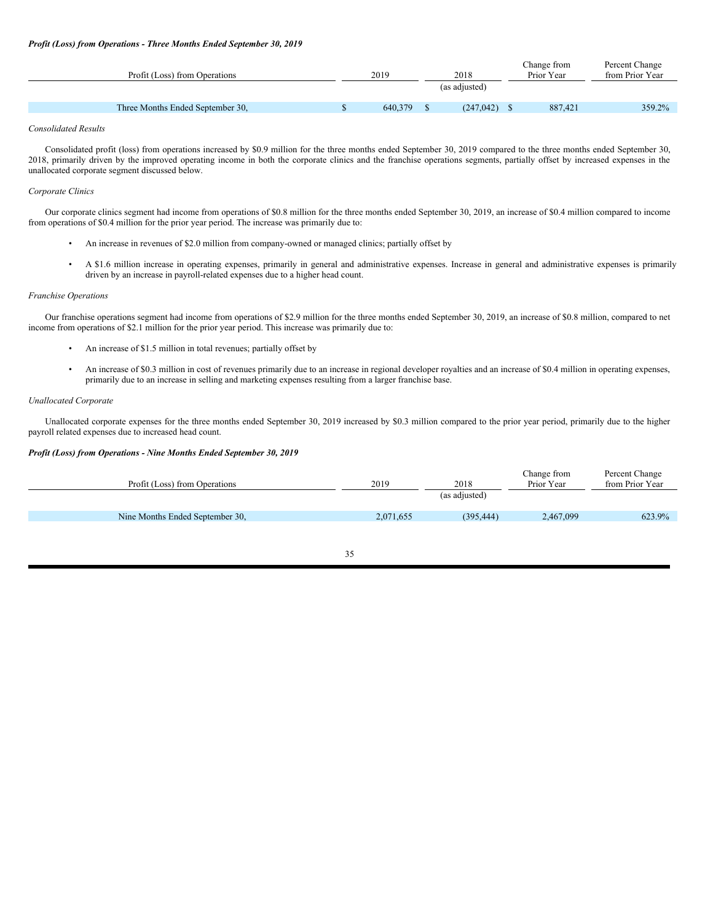# *Profit (Loss) from Operations - Three Months Ended September 30, 2019*

| Profit (Loss) from Operations    | 2019    | 2018          | Change from<br>Prior Year | Percent Change<br>from Prior Year |
|----------------------------------|---------|---------------|---------------------------|-----------------------------------|
|                                  |         | (as adjusted) |                           |                                   |
| Three Months Ended September 30, | 640,379 | (247.042)     | 887.421                   | 359.2%                            |

# *Consolidated Results*

Consolidated profit (loss) from operations increased by \$0.9 million for the three months ended September 30, 2019 compared to the three months ended September 30, 2018, primarily driven by the improved operating income in both the corporate clinics and the franchise operations segments, partially offset by increased expenses in the unallocated corporate segment discussed below.

# *Corporate Clinics*

Our corporate clinics segment had income from operations of \$0.8 million for the three months ended September 30, 2019, an increase of \$0.4 million compared to income from operations of \$0.4 million for the prior year period. The increase was primarily due to:

- An increase in revenues of \$2.0 million from company-owned or managed clinics; partially offset by
- A \$1.6 million increase in operating expenses, primarily in general and administrative expenses. Increase in general and administrative expenses is primarily driven by an increase in payroll-related expenses due to a higher head count.

### *Franchise Operations*

Our franchise operations segment had income from operations of \$2.9 million for the three months ended September 30, 2019, an increase of \$0.8 million, compared to net income from operations of \$2.1 million for the prior year period. This increase was primarily due to:

- An increase of \$1.5 million in total revenues; partially offset by
- An increase of \$0.3 million in cost of revenues primarily due to an increase in regional developer royalties and an increase of \$0.4 million in operating expenses, primarily due to an increase in selling and marketing expenses resulting from a larger franchise base.

# *Unallocated Corporate*

Unallocated corporate expenses for the three months ended September 30, 2019 increased by \$0.3 million compared to the prior year period, primarily due to the higher payroll related expenses due to increased head count.

# *Profit (Loss) from Operations - Nine Months Ended September 30, 2019*

| Profit (Loss) from Operations   | 2019      | 2018          | Change from<br>Prior Year | Percent Change<br>from Prior Year |
|---------------------------------|-----------|---------------|---------------------------|-----------------------------------|
|                                 |           | (as adjusted) |                           |                                   |
| Nine Months Ended September 30, | 2,071,655 | (395, 444)    | 2,467,099                 | 623.9%                            |
|                                 |           |               |                           |                                   |

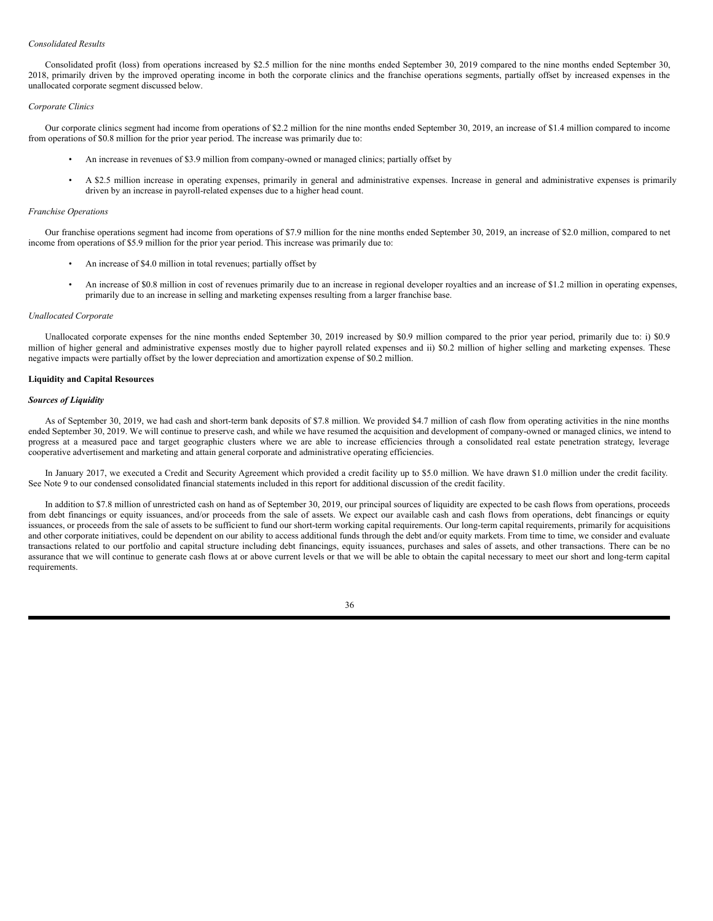# *Consolidated Results*

Consolidated profit (loss) from operations increased by \$2.5 million for the nine months ended September 30, 2019 compared to the nine months ended September 30, 2018, primarily driven by the improved operating income in both the corporate clinics and the franchise operations segments, partially offset by increased expenses in the unallocated corporate segment discussed below.

# *Corporate Clinics*

Our corporate clinics segment had income from operations of \$2.2 million for the nine months ended September 30, 2019, an increase of \$1.4 million compared to income from operations of \$0.8 million for the prior year period. The increase was primarily due to:

- An increase in revenues of \$3.9 million from company-owned or managed clinics; partially offset by
- A \$2.5 million increase in operating expenses, primarily in general and administrative expenses. Increase in general and administrative expenses is primarily driven by an increase in payroll-related expenses due to a higher head count.

### *Franchise Operations*

Our franchise operations segment had income from operations of \$7.9 million for the nine months ended September 30, 2019, an increase of \$2.0 million, compared to net income from operations of \$5.9 million for the prior year period. This increase was primarily due to:

- An increase of \$4.0 million in total revenues; partially offset by
- An increase of \$0.8 million in cost of revenues primarily due to an increase in regional developer royalties and an increase of \$1.2 million in operating expenses, primarily due to an increase in selling and marketing expenses resulting from a larger franchise base.

### *Unallocated Corporate*

Unallocated corporate expenses for the nine months ended September 30, 2019 increased by \$0.9 million compared to the prior year period, primarily due to: i) \$0.9 million of higher general and administrative expenses mostly due to higher payroll related expenses and ii) \$0.2 million of higher selling and marketing expenses. These negative impacts were partially offset by the lower depreciation and amortization expense of \$0.2 million.

### **Liquidity and Capital Resources**

### *Sources of Liquidity*

As of September 30, 2019, we had cash and short-term bank deposits of \$7.8 million. We provided \$4.7 million of cash flow from operating activities in the nine months ended September 30, 2019. We will continue to preserve cash, and while we have resumed the acquisition and development of company-owned or managed clinics, we intend to progress at a measured pace and target geographic clusters where we are able to increase efficiencies through a consolidated real estate penetration strategy, leverage cooperative advertisement and marketing and attain general corporate and administrative operating efficiencies.

In January 2017, we executed a Credit and Security Agreement which provided a credit facility up to \$5.0 million. We have drawn \$1.0 million under the credit facility. See Note 9 to our condensed consolidated financial statements included in this report for additional discussion of the credit facility.

In addition to \$7.8 million of unrestricted cash on hand as of September 30, 2019, our principal sources of liquidity are expected to be cash flows from operations, proceeds from debt financings or equity issuances, and/or proceeds from the sale of assets. We expect our available cash and cash flows from operations, debt financings or equity issuances, or proceeds from the sale of assets to be sufficient to fund our short-term working capital requirements. Our long-term capital requirements, primarily for acquisitions and other corporate initiatives, could be dependent on our ability to access additional funds through the debt and/or equity markets. From time to time, we consider and evaluate transactions related to our portfolio and capital structure including debt financings, equity issuances, purchases and sales of assets, and other transactions. There can be no assurance that we will continue to generate cash flows at or above current levels or that we will be able to obtain the capital necessary to meet our short and long-term capital requirements.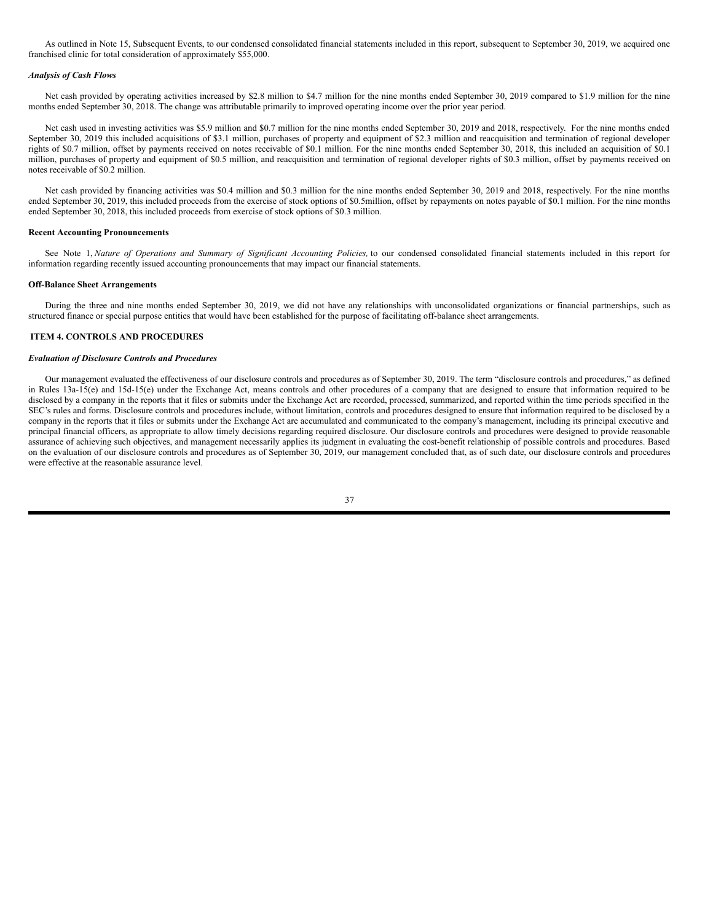As outlined in Note 15, Subsequent Events, to our condensed consolidated financial statements included in this report, subsequent to September 30, 2019, we acquired one franchised clinic for total consideration of approximately \$55,000.

### *Analysis of Cash Flows*

Net cash provided by operating activities increased by \$2.8 million to \$4.7 million for the nine months ended September 30, 2019 compared to \$1.9 million for the nine months ended September 30, 2018. The change was attributable primarily to improved operating income over the prior year period.

Net cash used in investing activities was \$5.9 million and \$0.7 million for the nine months ended September 30, 2019 and 2018, respectively. For the nine months ended September 30, 2019 this included acquisitions of \$3.1 million, purchases of property and equipment of \$2.3 million and reacquisition and termination of regional developer rights of \$0.7 million, offset by payments received on notes receivable of \$0.1 million. For the nine months ended September 30, 2018, this included an acquisition of \$0.1 million, purchases of property and equipment of \$0.5 million, and reacquisition and termination of regional developer rights of \$0.3 million, offset by payments received on notes receivable of \$0.2 million.

Net cash provided by financing activities was \$0.4 million and \$0.3 million for the nine months ended September 30, 2019 and 2018, respectively. For the nine months ended September 30, 2019, this included proceeds from the exercise of stock options of \$0.5million, offset by repayments on notes payable of \$0.1 million. For the nine months ended September 30, 2018, this included proceeds from exercise of stock options of \$0.3 million.

### **Recent Accounting Pronouncements**

See Note 1, *Nature of Operations and Summary of Significant Accounting Policies,* to our condensed consolidated financial statements included in this report for information regarding recently issued accounting pronouncements that may impact our financial statements.

### **Off-Balance Sheet Arrangements**

During the three and nine months ended September 30, 2019, we did not have any relationships with unconsolidated organizations or financial partnerships, such as structured finance or special purpose entities that would have been established for the purpose of facilitating off-balance sheet arrangements.

# <span id="page-39-0"></span>**ITEM 4. CONTROLS AND PROCEDURES**

### *Evaluation of Disclosure Controls and Procedures*

Our management evaluated the effectiveness of our disclosure controls and procedures as of September 30, 2019. The term "disclosure controls and procedures," as defined in Rules 13a-15(e) and 15d-15(e) under the Exchange Act, means controls and other procedures of a company that are designed to ensure that information required to be disclosed by a company in the reports that it files or submits under the Exchange Act are recorded, processed, summarized, and reported within the time periods specified in the SEC's rules and forms. Disclosure controls and procedures include, without limitation, controls and procedures designed to ensure that information required to be disclosed by a company in the reports that it files or submits under the Exchange Act are accumulated and communicated to the company's management, including its principal executive and principal financial officers, as appropriate to allow timely decisions regarding required disclosure. Our disclosure controls and procedures were designed to provide reasonable assurance of achieving such objectives, and management necessarily applies its judgment in evaluating the cost-benefit relationship of possible controls and procedures. Based on the evaluation of our disclosure controls and procedures as of September 30, 2019, our management concluded that, as of such date, our disclosure controls and procedures were effective at the reasonable assurance level.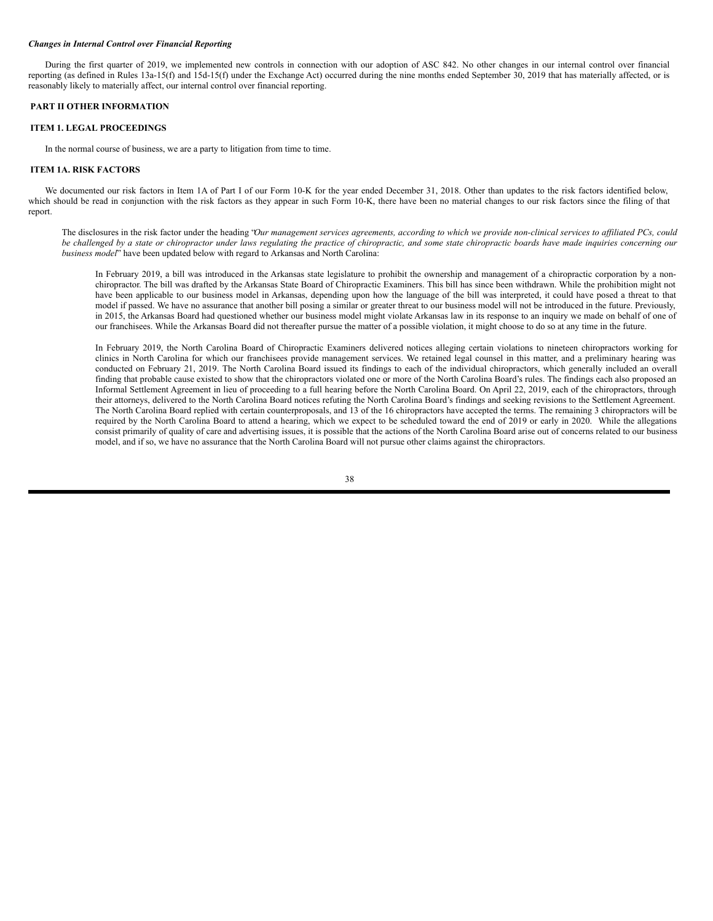# *Changes in Internal Control over Financial Reporting*

During the first quarter of 2019, we implemented new controls in connection with our adoption of ASC 842. No other changes in our internal control over financial reporting (as defined in Rules 13a-15(f) and 15d-15(f) under the Exchange Act) occurred during the nine months ended September 30, 2019 that has materially affected, or is reasonably likely to materially affect, our internal control over financial reporting.

# <span id="page-40-0"></span>**PART II OTHER INFORMATION**

# <span id="page-40-1"></span>**ITEM 1. LEGAL PROCEEDINGS**

In the normal course of business, we are a party to litigation from time to time.

#### <span id="page-40-2"></span>**ITEM 1A. RISK FACTORS**

We documented our risk factors in Item 1A of Part I of our Form 10-K for the year ended December 31, 2018. Other than updates to the risk factors identified below, which should be read in conjunction with the risk factors as they appear in such Form 10-K, there have been no material changes to our risk factors since the filing of that report.

The disclosures in the risk factor under the heading 'Our management services agreements, according to which we provide non-clinical services to affiliated PCs, could be challenged by a state or chiropractor under laws regulating the practice of chiropractic, and some state chiropractic boards have made inquiries concerning our *business model*" have been updated below with regard to Arkansas and North Carolina:

In February 2019, a bill was introduced in the Arkansas state legislature to prohibit the ownership and management of a chiropractic corporation by a nonchiropractor. The bill was drafted by the Arkansas State Board of Chiropractic Examiners. This bill has since been withdrawn. While the prohibition might not have been applicable to our business model in Arkansas, depending upon how the language of the bill was interpreted, it could have posed a threat to that model if passed. We have no assurance that another bill posing a similar or greater threat to our business model will not be introduced in the future. Previously, in 2015, the Arkansas Board had questioned whether our business model might violate Arkansas law in its response to an inquiry we made on behalf of one of our franchisees. While the Arkansas Board did not thereafter pursue the matter of a possible violation, it might choose to do so at any time in the future.

In February 2019, the North Carolina Board of Chiropractic Examiners delivered notices alleging certain violations to nineteen chiropractors working for clinics in North Carolina for which our franchisees provide management services. We retained legal counsel in this matter, and a preliminary hearing was conducted on February 21, 2019. The North Carolina Board issued its findings to each of the individual chiropractors, which generally included an overall finding that probable cause existed to show that the chiropractors violated one or more of the North Carolina Board's rules. The findings each also proposed an Informal Settlement Agreement in lieu of proceeding to a full hearing before the North Carolina Board. On April 22, 2019, each of the chiropractors, through their attorneys, delivered to the North Carolina Board notices refuting the North Carolina Board's findings and seeking revisions to the Settlement Agreement. The North Carolina Board replied with certain counterproposals, and 13 of the 16 chiropractors have accepted the terms. The remaining 3 chiropractors will be required by the North Carolina Board to attend a hearing, which we expect to be scheduled toward the end of 2019 or early in 2020. While the allegations consist primarily of quality of care and advertising issues, it is possible that the actions of the North Carolina Board arise out of concerns related to our business model, and if so, we have no assurance that the North Carolina Board will not pursue other claims against the chiropractors.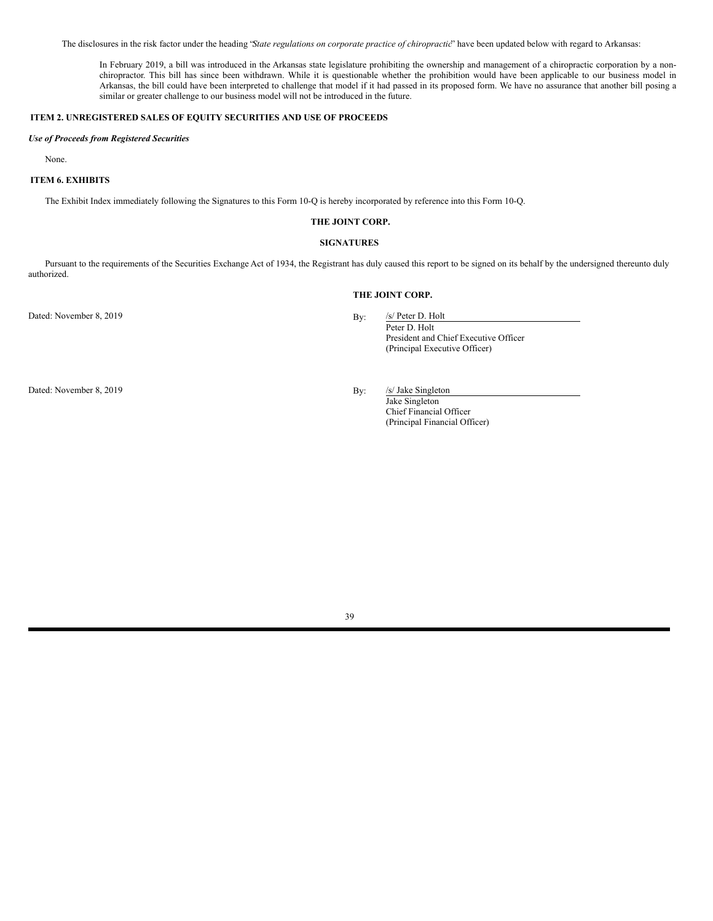The disclosures in the risk factor under the heading "*State regulations on corporate practice of chiropractic*" have been updated below with regard to Arkansas:

In February 2019, a bill was introduced in the Arkansas state legislature prohibiting the ownership and management of a chiropractic corporation by a nonchiropractor. This bill has since been withdrawn. While it is questionable whether the prohibition would have been applicable to our business model in Arkansas, the bill could have been interpreted to challenge that model if it had passed in its proposed form. We have no assurance that another bill posing a similar or greater challenge to our business model will not be introduced in the future.

# <span id="page-41-0"></span>**ITEM 2. UNREGISTERED SALES OF EQUITY SECURITIES AND USE OF PROCEEDS**

# *Use of Proceeds from Registered Securities*

None.

# <span id="page-41-1"></span>**ITEM 6. EXHIBITS**

The Exhibit Index immediately following the Signatures to this Form 10-Q is hereby incorporated by reference into this Form 10-Q.

# <span id="page-41-2"></span>**THE JOINT CORP.**

# **SIGNATURES**

Pursuant to the requirements of the Securities Exchange Act of 1934, the Registrant has duly caused this report to be signed on its behalf by the undersigned thereunto duly authorized.

# **THE JOINT CORP.**

Dated: November 8, 2019 By: /s/ Peter D. Holt

Peter D. Holt President and Chief Executive Officer (Principal Executive Officer)

Dated: November 8, 2019 By: /s/ Jake Singleton

Jake Singleton Chief Financial Officer (Principal Financial Officer)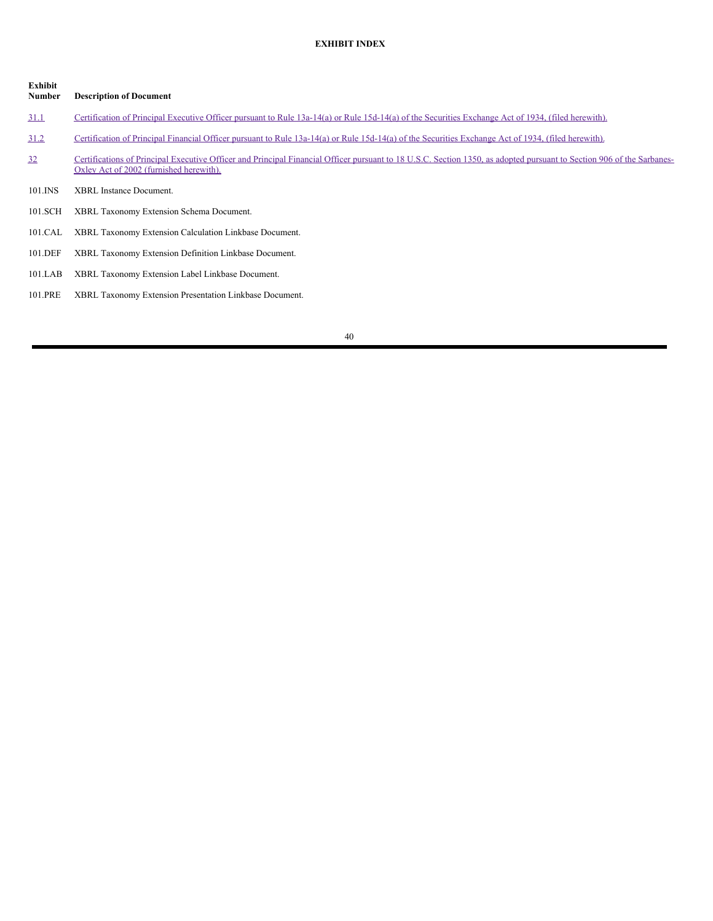# <span id="page-42-0"></span>**EXHIBIT INDEX**

**Exhibit Description** of **Document** 

- [31.1](#page-43-0) [Certification](#page-43-0) of Principal Executive Officer pursuant to Rule 13a-14(a) or Rule 15d-14(a) of the Securities Exchange Act of 1934, (filed herewith).
- [31.2](#page-44-0) [Certification](#page-44-0) of Principal Financial Officer pursuant to Rule 13a-14(a) or Rule 15d-14(a) of the Securities Exchange Act of 1934, (filed herewith).
- [32](#page-45-0) [Certifications](#page-45-0) of Principal Executive Officer and Principal Financial Officer pursuant to 18 U.S.C. Section 1350, as adopted pursuant to Section 906 of the Sarbanes-Oxley Act of 2002 (furnished herewith).
- 101.INS XBRL Instance Document.
- 101.SCH XBRL Taxonomy Extension Schema Document.
- 101.CAL XBRL Taxonomy Extension Calculation Linkbase Document.
- 101.DEF XBRL Taxonomy Extension Definition Linkbase Document.
- 101.LAB XBRL Taxonomy Extension Label Linkbase Document.
- 101.PRE XBRL Taxonomy Extension Presentation Linkbase Document.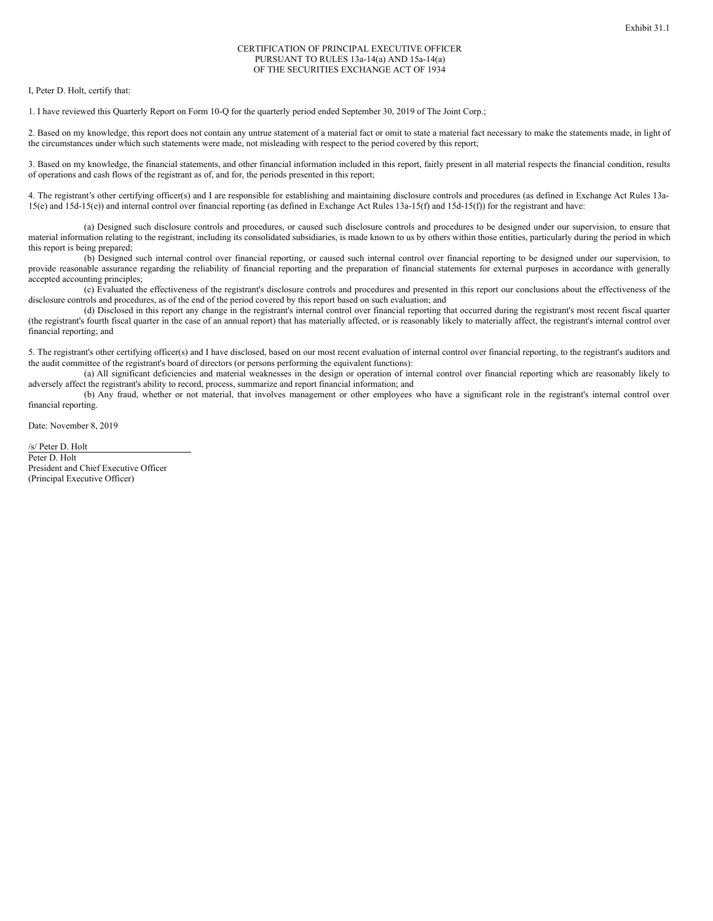# CERTIFICATION OF PRINCIPAL EXECUTIVE OFFICER PURSUANT TO RULES 13a-14(a) AND 15a-14(a) OF THE SECURITIES EXCHANGE ACT OF 1934

<span id="page-43-0"></span>I, Peter D. Holt, certify that:

1. I have reviewed this Quarterly Report on Form 10-Q for the quarterly period ended September 30, 2019 of The Joint Corp.;

2. Based on my knowledge, this report does not contain any untrue statement of a material fact or omit to state a material fact necessary to make the statements made, in light of the circumstances under which such statements were made, not misleading with respect to the period covered by this report;

3. Based on my knowledge, the financial statements, and other financial information included in this report, fairly present in all material respects the financial condition, results of operations and cash flows of the registrant as of, and for, the periods presented in this report;

4. The registrant's other certifying officer(s) and I are responsible for establishing and maintaining disclosure controls and procedures (as defined in Exchange Act Rules 13a-15(e) and 15d-15(e)) and internal control over financial reporting (as defined in Exchange Act Rules 13a-15(f) and 15d-15(f)) for the registrant and have:

(a) Designed such disclosure controls and procedures, or caused such disclosure controls and procedures to be designed under our supervision, to ensure that material information relating to the registrant, including its consolidated subsidiaries, is made known to us by others within those entities, particularly during the period in which this report is being prepared;

(b) Designed such internal control over financial reporting, or caused such internal control over financial reporting to be designed under our supervision, to provide reasonable assurance regarding the reliability of financial reporting and the preparation of financial statements for external purposes in accordance with generally accepted accounting principles;

(c) Evaluated the effectiveness of the registrant's disclosure controls and procedures and presented in this report our conclusions about the effectiveness of the disclosure controls and procedures, as of the end of the period covered by this report based on such evaluation; and

(d) Disclosed in this report any change in the registrant's internal control over financial reporting that occurred during the registrant's most recent fiscal quarter (the registrant's fourth fiscal quarter in the case of an annual report) that has materially affected, or is reasonably likely to materially affect, the registrant's internal control over financial reporting; and

5. The registrant's other certifying officer(s) and I have disclosed, based on our most recent evaluation of internal control over financial reporting, to the registrant's auditors and the audit committee of the registrant's board of directors (or persons performing the equivalent functions):

(a) All significant deficiencies and material weaknesses in the design or operation of internal control over financial reporting which are reasonably likely to adversely affect the registrant's ability to record, process, summarize and report financial information; and

(b) Any fraud, whether or not material, that involves management or other employees who have a significant role in the registrant's internal control over financial reporting.

Date: November 8, 2019

/s/ Peter D. Holt Peter D. Holt President and Chief Executive Officer (Principal Executive Officer)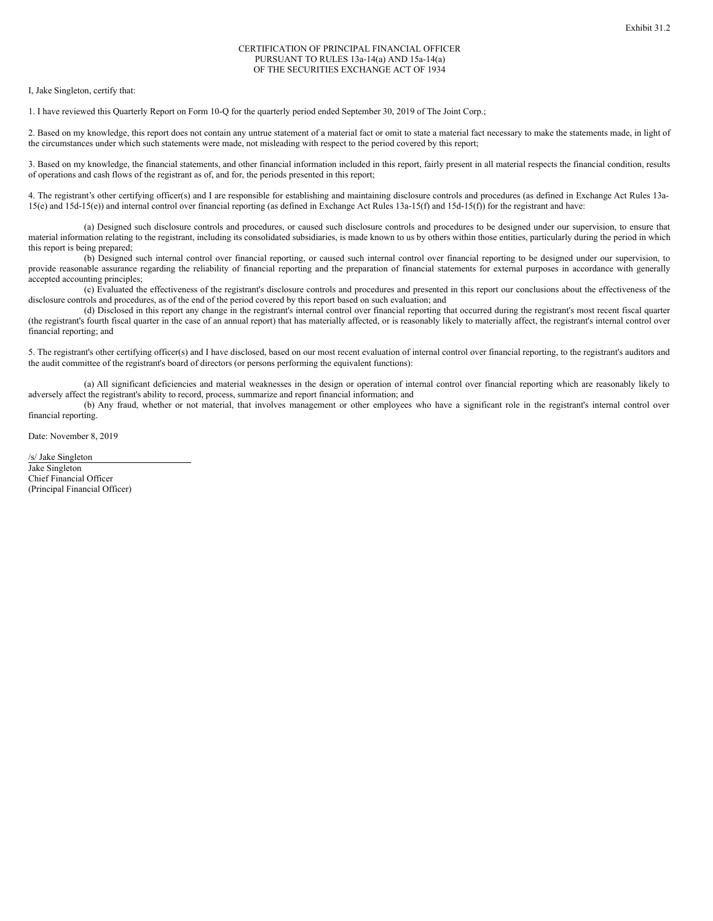# CERTIFICATION OF PRINCIPAL FINANCIAL OFFICER PURSUANT TO RULES 13a-14(a) AND 15a-14(a) OF THE SECURITIES EXCHANGE ACT OF 1934

<span id="page-44-0"></span>I, Jake Singleton, certify that:

1. I have reviewed this Quarterly Report on Form 10-Q for the quarterly period ended September 30, 2019 of The Joint Corp.;

2. Based on my knowledge, this report does not contain any untrue statement of a material fact or omit to state a material fact necessary to make the statements made, in light of the circumstances under which such statements were made, not misleading with respect to the period covered by this report;

3. Based on my knowledge, the financial statements, and other financial information included in this report, fairly present in all material respects the financial condition, results of operations and cash flows of the registrant as of, and for, the periods presented in this report;

4. The registrant's other certifying officer(s) and I are responsible for establishing and maintaining disclosure controls and procedures (as defined in Exchange Act Rules 13a-15(e) and 15d-15(e)) and internal control over financial reporting (as defined in Exchange Act Rules 13a-15(f) and 15d-15(f)) for the registrant and have:

(a) Designed such disclosure controls and procedures, or caused such disclosure controls and procedures to be designed under our supervision, to ensure that material information relating to the registrant, including its consolidated subsidiaries, is made known to us by others within those entities, particularly during the period in which this report is being prepared;

(b) Designed such internal control over financial reporting, or caused such internal control over financial reporting to be designed under our supervision, to provide reasonable assurance regarding the reliability of financial reporting and the preparation of financial statements for external purposes in accordance with generally accepted accounting principles;

(c) Evaluated the effectiveness of the registrant's disclosure controls and procedures and presented in this report our conclusions about the effectiveness of the disclosure controls and procedures, as of the end of the period covered by this report based on such evaluation; and

(d) Disclosed in this report any change in the registrant's internal control over financial reporting that occurred during the registrant's most recent fiscal quarter (the registrant's fourth fiscal quarter in the case of an annual report) that has materially affected, or is reasonably likely to materially affect, the registrant's internal control over financial reporting; and

5. The registrant's other certifying officer(s) and I have disclosed, based on our most recent evaluation of internal control over financial reporting, to the registrant's auditors and the audit committee of the registrant's board of directors (or persons performing the equivalent functions):

(a) All significant deficiencies and material weaknesses in the design or operation of internal control over financial reporting which are reasonably likely to adversely affect the registrant's ability to record, process, summarize and report financial information; and

(b) Any fraud, whether or not material, that involves management or other employees who have a significant role in the registrant's internal control over financial reporting.

Date: November 8, 2019

/s/ Jake Singleton Jake Singleton Chief Financial Officer (Principal Financial Officer)